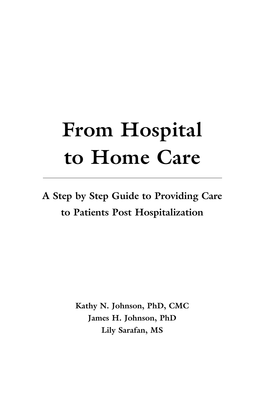# **From Hospital to Home Care**

**A Step by Step Guide to Providing Care to Patients Post Hospitalization**

> **Kathy N. Johnson, PhD, CMC James H. Johnson, PhD Lily Sarafan, MS**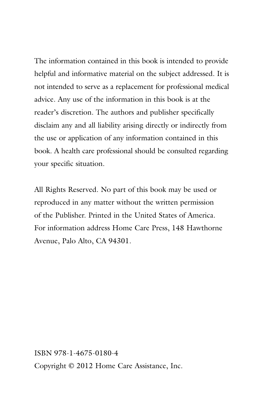The information contained in this book is intended to provide helpful and informative material on the subject addressed. It is not intended to serve as a replacement for professional medical advice. Any use of the information in this book is at the reader's discretion. The authors and publisher specifically disclaim any and all liability arising directly or indirectly from the use or application of any information contained in this book. A health care professional should be consulted regarding your specific situation.

All Rights Reserved. No part of this book may be used or reproduced in any matter without the written permission of the Publisher. Printed in the United States of America. For information address Home Care Press, 148 Hawthorne Avenue, Palo Alto, CA 94301.

ISBN 978-1-4675-0180-4 Copyright © 2012 Home Care Assistance, Inc.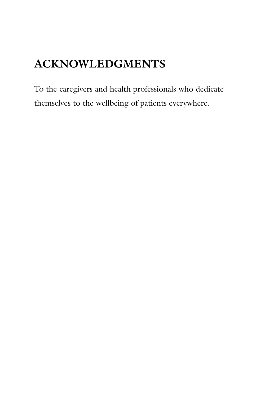## **ACKNOWLEDGMENTS**

To the caregivers and health professionals who dedicate themselves to the wellbeing of patients everywhere.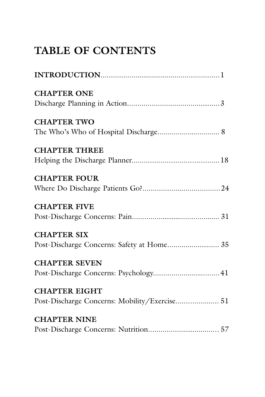## **TABLE OF CONTENTS**

| <b>CHAPTER ONE</b>                                                    |
|-----------------------------------------------------------------------|
| <b>CHAPTER TWO</b>                                                    |
| <b>CHAPTER THREE</b>                                                  |
| <b>CHAPTER FOUR</b>                                                   |
| <b>CHAPTER FIVE</b>                                                   |
| <b>CHAPTER SIX</b><br>Post-Discharge Concerns: Safety at Home 35      |
| <b>CHAPTER SEVEN</b><br>Post-Discharge Concerns: Psychology 41        |
| <b>CHAPTER EIGHT</b><br>Post-Discharge Concerns: Mobility/Exercise 51 |
| <b>CHAPTER NINE</b>                                                   |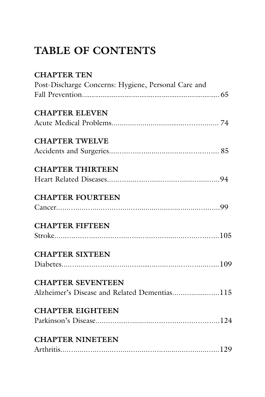## **TABLE OF CONTENTS**

| <b>CHAPTER TEN</b>                                  |  |
|-----------------------------------------------------|--|
| Post-Discharge Concerns: Hygiene, Personal Care and |  |
|                                                     |  |
|                                                     |  |
| <b>CHAPTER ELEVEN</b>                               |  |
|                                                     |  |
| <b>CHAPTER TWELVE</b>                               |  |
|                                                     |  |
| <b>CHAPTER THIRTEEN</b>                             |  |
|                                                     |  |
|                                                     |  |
| <b>CHAPTER FOURTEEN</b>                             |  |
|                                                     |  |
| <b>CHAPTER FIFTEEN</b>                              |  |
|                                                     |  |
|                                                     |  |
| <b>CHAPTER SIXTEEN</b>                              |  |
|                                                     |  |
| <b>CHAPTER SEVENTEEN</b>                            |  |
| Alzheimer's Disease and Related Dementias115        |  |
| <b>CHAPTER EIGHTEEN</b>                             |  |
|                                                     |  |
|                                                     |  |
| <b>CHAPTER NINETEEN</b>                             |  |
|                                                     |  |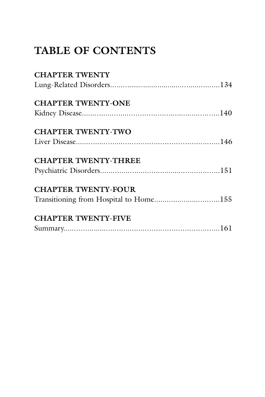## **TABLE OF CONTENTS**

| <b>CHAPTER TWENTY</b>                  |  |
|----------------------------------------|--|
|                                        |  |
| <b>CHAPTER TWENTY-ONE</b>              |  |
|                                        |  |
| <b>CHAPTER TWENTY-TWO</b>              |  |
|                                        |  |
| <b>CHAPTER TWENTY-THREE</b>            |  |
|                                        |  |
| <b>CHAPTER TWENTY-FOUR</b>             |  |
| Transitioning from Hospital to Home155 |  |
| <b>CHAPTER TWENTY-FIVE</b>             |  |
|                                        |  |
|                                        |  |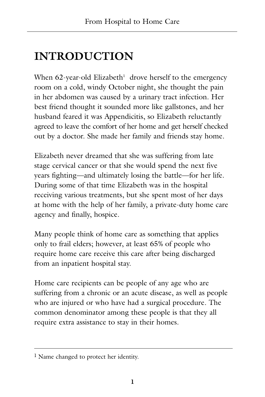## **INTRODUCTION**

When  $62$ -year-old Elizabeth<sup>1</sup> drove herself to the emergency room on a cold, windy October night, she thought the pain in her abdomen was caused by a urinary tract infection. Her best friend thought it sounded more like gallstones, and her husband feared it was Appendicitis, so Elizabeth reluctantly agreed to leave the comfort of her home and get herself checked out by a doctor. She made her family and friends stay home.

Elizabeth never dreamed that she was suffering from late stage cervical cancer or that she would spend the next five years fighting—and ultimately losing the battle—for her life. During some of that time Elizabeth was in the hospital receiving various treatments, but she spent most of her days at home with the help of her family, a private-duty home care agency and finally, hospice.

Many people think of home care as something that applies only to frail elders; however, at least 65% of people who require home care receive this care after being discharged from an inpatient hospital stay.

Home care recipients can be people of any age who are suffering from a chronic or an acute disease, as well as people who are injured or who have had a surgical procedure. The common denominator among these people is that they all require extra assistance to stay in their homes.

<sup>1</sup> Name changed to protect her identity.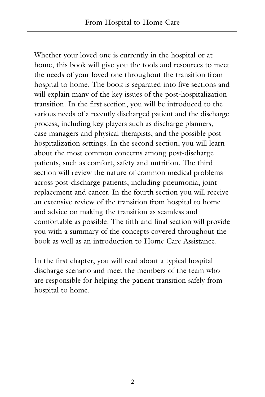Whether your loved one is currently in the hospital or at home, this book will give you the tools and resources to meet the needs of your loved one throughout the transition from hospital to home. The book is separated into five sections and will explain many of the key issues of the post-hospitalization transition. In the first section, you will be introduced to the various needs of a recently discharged patient and the discharge process, including key players such as discharge planners, case managers and physical therapists, and the possible posthospitalization settings. In the second section, you will learn about the most common concerns among post-discharge patients, such as comfort, safety and nutrition. The third section will review the nature of common medical problems across post-discharge patients, including pneumonia, joint replacement and cancer. In the fourth section you will receive an extensive review of the transition from hospital to home and advice on making the transition as seamless and comfortable as possible. The fifth and final section will provide you with a summary of the concepts covered throughout the book as well as an introduction to Home Care Assistance.

In the first chapter, you will read about a typical hospital discharge scenario and meet the members of the team who are responsible for helping the patient transition safely from hospital to home.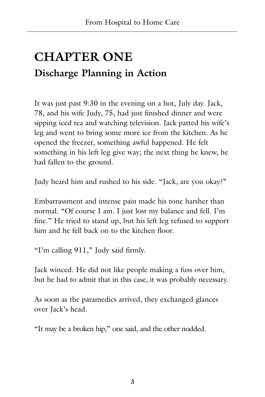# **CHAPTER ONE Discharge Planning in Action**

It was just past 9:30 in the evening on a hot, July day. Jack, 78, and his wife Judy, 75, had just finished dinner and were sipping iced tea and watching television. Jack patted his wife's leg and went to bring some more ice from the kitchen. As he opened the freezer, something awful happened. He felt something in his left leg give way; the next thing he knew, he had fallen to the ground.

Judy heard him and rushed to his side. "Jack, are you okay?"

Embarrassment and intense pain made his tone harsher than normal. "Of course I am. I just lost my balance and fell. I'm fine." He tried to stand up, but his left leg refused to support him and he fell back on to the kitchen floor.

"I'm calling 911," Judy said firmly.

Jack winced. He did not like people making a fuss over him, but he had to admit that in this case, it was probably necessary.

As soon as the paramedics arrived, they exchanged glances over Jack's head.

"It may be a broken hip," one said, and the other nodded.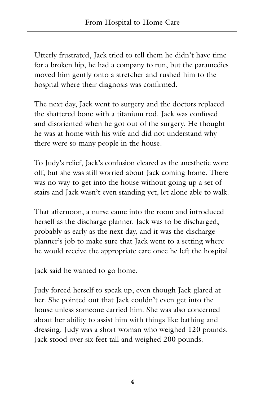Utterly frustrated, Jack tried to tell them he didn't have time for a broken hip, he had a company to run, but the paramedics moved him gently onto a stretcher and rushed him to the hospital where their diagnosis was confirmed.

The next day, Jack went to surgery and the doctors replaced the shattered bone with a titanium rod. Jack was confused and disoriented when he got out of the surgery. He thought he was at home with his wife and did not understand why there were so many people in the house.

To Judy's relief, Jack's confusion cleared as the anesthetic wore off, but she was still worried about Jack coming home. There was no way to get into the house without going up a set of stairs and Jack wasn't even standing yet, let alone able to walk.

That afternoon, a nurse came into the room and introduced herself as the discharge planner. Jack was to be discharged, probably as early as the next day, and it was the discharge planner's job to make sure that Jack went to a setting where he would receive the appropriate care once he left the hospital.

Jack said he wanted to go home.

Judy forced herself to speak up, even though Jack glared at her. She pointed out that Jack couldn't even get into the house unless someone carried him. She was also concerned about her ability to assist him with things like bathing and dressing. Judy was a short woman who weighed 120 pounds. Jack stood over six feet tall and weighed 200 pounds.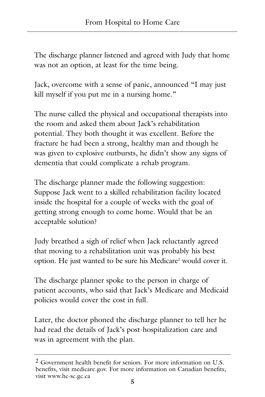The discharge planner listened and agreed with Judy that home was not an option, at least for the time being.

Jack, overcome with a sense of panic, announced "I may just kill myself if you put me in a nursing home."

The nurse called the physical and occupational therapists into the room and asked them about Jack's rehabilitation potential. They both thought it was excellent. Before the fracture he had been a strong, healthy man and though he was given to explosive outbursts, he didn't show any signs of dementia that could complicate a rehab program.

The discharge planner made the following suggestion: Suppose Jack went to a skilled rehabilitation facility located inside the hospital for a couple of weeks with the goal of getting strong enough to come home. Would that be an acceptable solution?

Judy breathed a sigh of relief when Jack reluctantly agreed that moving to a rehabilitation unit was probably his best option. He just wanted to be sure his Medicare<sup>2</sup> would cover it.

The discharge planner spoke to the person in charge of patient accounts, who said that Jack's Medicare and Medicaid policies would cover the cost in full.

Later, the doctor phoned the discharge planner to tell her he had read the details of Jack's post-hospitalization care and was in agreement with the plan.

<sup>2</sup> Government health benefit for seniors. For more information on U.S. benefits, visit medicare.gov. For more information on Canadian benefits, visit www.hc-sc.gc.ca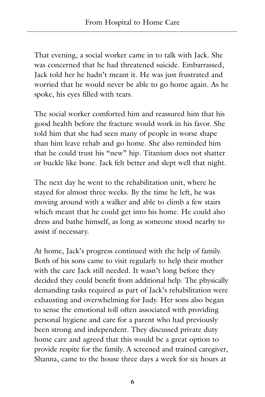That evening, a social worker came in to talk with Jack. She was concerned that he had threatened suicide. Embarrassed, Jack told her he hadn't meant it. He was just frustrated and worried that he would never be able to go home again. As he spoke, his eyes filled with tears.

The social worker comforted him and reassured him that his good health before the fracture would work in his favor. She told him that she had seen many of people in worse shape than him leave rehab and go home. She also reminded him that he could trust his "new" hip. Titanium does not shatter or buckle like bone. Jack felt better and slept well that night.

The next day he went to the rehabilitation unit, where he stayed for almost three weeks. By the time he left, he was moving around with a walker and able to climb a few stairs which meant that he could get into his home. He could also dress and bathe himself, as long as someone stood nearby to assist if necessary.

At home, Jack's progress continued with the help of family. Both of his sons came to visit regularly to help their mother with the care Jack still needed. It wasn't long before they decided they could benefit from additional help. The physically demanding tasks required as part of Jack's rehabilitation were exhausting and overwhelming for Judy. Her sons also began to sense the emotional toll often associated with providing personal hygiene and care for a parent who had previously been strong and independent. They discussed private duty home care and agreed that this would be a great option to provide respite for the family. A screened and trained caregiver, Shanna, came to the house three days a week for six hours at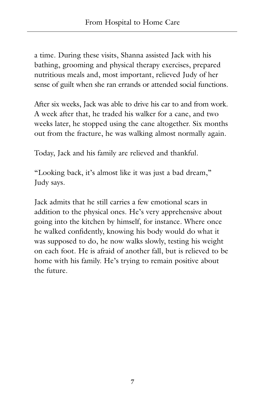a time. During these visits, Shanna assisted Jack with his bathing, grooming and physical therapy exercises, prepared nutritious meals and, most important, relieved Judy of her sense of guilt when she ran errands or attended social functions.

After six weeks, Jack was able to drive his car to and from work. A week after that, he traded his walker for a cane, and two weeks later, he stopped using the cane altogether. Six months out from the fracture, he was walking almost normally again.

Today, Jack and his family are relieved and thankful.

"Looking back, it's almost like it was just a bad dream," Judy says.

Jack admits that he still carries a few emotional scars in addition to the physical ones. He's very apprehensive about going into the kitchen by himself, for instance. Where once he walked confidently, knowing his body would do what it was supposed to do, he now walks slowly, testing his weight on each foot. He is afraid of another fall, but is relieved to be home with his family. He's trying to remain positive about the future.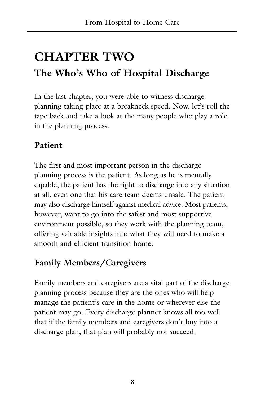# **CHAPTER TWO The Who's Who of Hospital Discharge**

In the last chapter, you were able to witness discharge planning taking place at a breakneck speed. Now, let's roll the tape back and take a look at the many people who play a role in the planning process.

#### **Patient**

The first and most important person in the discharge planning process is the patient. As long as he is mentally capable, the patient has the right to discharge into any situation at all, even one that his care team deems unsafe. The patient may also discharge himself against medical advice. Most patients, however, want to go into the safest and most supportive environment possible, so they work with the planning team, offering valuable insights into what they will need to make a smooth and efficient transition home.

#### **Family Members/Caregivers**

Family members and caregivers are a vital part of the discharge planning process because they are the ones who will help manage the patient's care in the home or wherever else the patient may go. Every discharge planner knows all too well that if the family members and caregivers don't buy into a discharge plan, that plan will probably not succeed.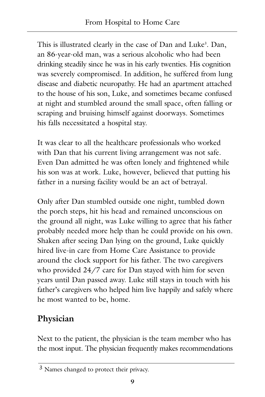This is illustrated clearly in the case of Dan and Luke<sup>3</sup>. Dan, an 86-year-old man, was a serious alcoholic who had been drinking steadily since he was in his early twenties. His cognition was severely compromised. In addition, he suffered from lung disease and diabetic neuropathy. He had an apartment attached to the house of his son, Luke, and sometimes became confused at night and stumbled around the small space, often falling or scraping and bruising himself against doorways. Sometimes his falls necessitated a hospital stay.

It was clear to all the healthcare professionals who worked with Dan that his current living arrangement was not safe. Even Dan admitted he was often lonely and frightened while his son was at work. Luke, however, believed that putting his father in a nursing facility would be an act of betrayal.

Only after Dan stumbled outside one night, tumbled down the porch steps, hit his head and remained unconscious on the ground all night, was Luke willing to agree that his father probably needed more help than he could provide on his own. Shaken after seeing Dan lying on the ground, Luke quickly hired live-in care from Home Care Assistance to provide around the clock support for his father. The two caregivers who provided 24/7 care for Dan stayed with him for seven years until Dan passed away. Luke still stays in touch with his father's caregivers who helped him live happily and safely where he most wanted to be, home.

#### **Physician**

Next to the patient, the physician is the team member who has the most input. The physician frequently makes recommendations

<sup>3</sup> Names changed to protect their privacy.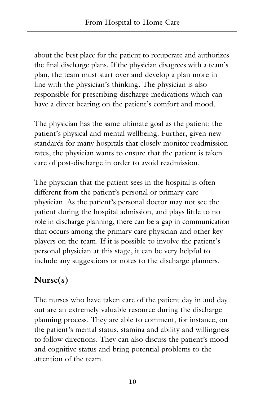about the best place for the patient to recuperate and authorizes the final discharge plans. If the physician disagrees with a team's plan, the team must start over and develop a plan more in line with the physician's thinking. The physician is also responsible for prescribing discharge medications which can have a direct bearing on the patient's comfort and mood.

The physician has the same ultimate goal as the patient: the patient's physical and mental wellbeing. Further, given new standards for many hospitals that closely monitor readmission rates, the physician wants to ensure that the patient is taken care of post-discharge in order to avoid readmission.

The physician that the patient sees in the hospital is often different from the patient's personal or primary care physician. As the patient's personal doctor may not see the patient during the hospital admission, and plays little to no role in discharge planning, there can be a gap in communication that occurs among the primary care physician and other key players on the team. If it is possible to involve the patient's personal physician at this stage, it can be very helpful to include any suggestions or notes to the discharge planners.

#### **Nurse(s)**

The nurses who have taken care of the patient day in and day out are an extremely valuable resource during the discharge planning process. They are able to comment, for instance, on the patient's mental status, stamina and ability and willingness to follow directions. They can also discuss the patient's mood and cognitive status and bring potential problems to the attention of the team.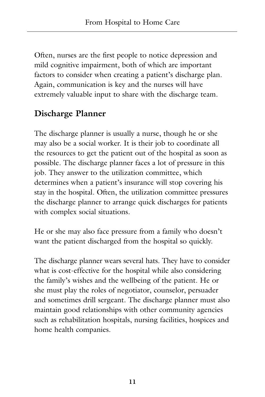Often, nurses are the first people to notice depression and mild cognitive impairment, both of which are important factors to consider when creating a patient's discharge plan. Again, communication is key and the nurses will have extremely valuable input to share with the discharge team.

#### **Discharge Planner**

The discharge planner is usually a nurse, though he or she may also be a social worker. It is their job to coordinate all the resources to get the patient out of the hospital as soon as possible. The discharge planner faces a lot of pressure in this job. They answer to the utilization committee, which determines when a patient's insurance will stop covering his stay in the hospital. Often, the utilization committee pressures the discharge planner to arrange quick discharges for patients with complex social situations.

He or she may also face pressure from a family who doesn't want the patient discharged from the hospital so quickly.

The discharge planner wears several hats. They have to consider what is cost-effective for the hospital while also considering the family's wishes and the wellbeing of the patient. He or she must play the roles of negotiator, counselor, persuader and sometimes drill sergeant. The discharge planner must also maintain good relationships with other community agencies such as rehabilitation hospitals, nursing facilities, hospices and home health companies.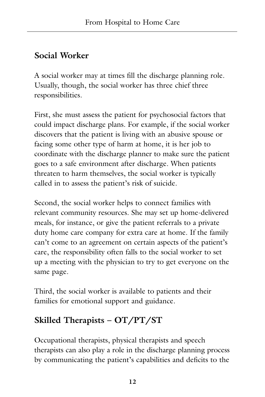#### **Social Worker**

A social worker may at times fill the discharge planning role. Usually, though, the social worker has three chief three responsibilities.

First, she must assess the patient for psychosocial factors that could impact discharge plans. For example, if the social worker discovers that the patient is living with an abusive spouse or facing some other type of harm at home, it is her job to coordinate with the discharge planner to make sure the patient goes to a safe environment after discharge. When patients threaten to harm themselves, the social worker is typically called in to assess the patient's risk of suicide.

Second, the social worker helps to connect families with relevant community resources. She may set up home-delivered meals, for instance, or give the patient referrals to a private duty home care company for extra care at home. If the family can't come to an agreement on certain aspects of the patient's care, the responsibility often falls to the social worker to set up a meeting with the physician to try to get everyone on the same page.

Third, the social worker is available to patients and their families for emotional support and guidance.

#### **Skilled Therapists – OT/PT/ST**

Occupational therapists, physical therapists and speech therapists can also play a role in the discharge planning process by communicating the patient's capabilities and deficits to the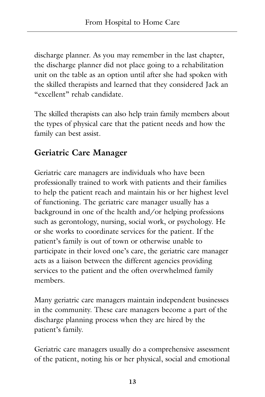discharge planner. As you may remember in the last chapter, the discharge planner did not place going to a rehabilitation unit on the table as an option until after she had spoken with the skilled therapists and learned that they considered Jack an "excellent" rehab candidate.

The skilled therapists can also help train family members about the types of physical care that the patient needs and how the family can best assist.

#### **Geriatric Care Manager**

Geriatric care managers are individuals who have been professionally trained to work with patients and their families to help the patient reach and maintain his or her highest level of functioning. The geriatric care manager usually has a background in one of the health and/or helping professions such as gerontology, nursing, social work, or psychology. He or she works to coordinate services for the patient. If the patient's family is out of town or otherwise unable to participate in their loved one's care, the geriatric care manager acts as a liaison between the different agencies providing services to the patient and the often overwhelmed family members.

Many geriatric care managers maintain independent businesses in the community. These care managers become a part of the discharge planning process when they are hired by the patient's family.

Geriatric care managers usually do a comprehensive assessment of the patient, noting his or her physical, social and emotional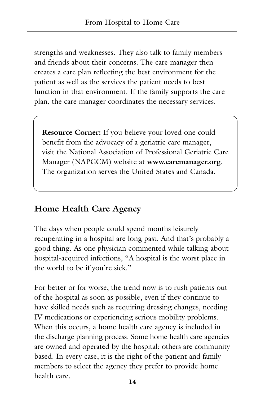strengths and weaknesses. They also talk to family members and friends about their concerns. The care manager then creates a care plan reflecting the best environment for the patient as well as the services the patient needs to best function in that environment. If the family supports the care plan, the care manager coordinates the necessary services.

**Resource Corner:** If you believe your loved one could benefit from the advocacy of a geriatric care manager, visit the National Association of Professional Geriatric Care Manager (NAPGCM) website at **www.caremanager.org**. The organization serves the United States and Canada.

#### **Home Health Care Agency**

The days when people could spend months leisurely recuperating in a hospital are long past. And that's probably a good thing. As one physician commented while talking about hospital-acquired infections, "A hospital is the worst place in the world to be if you're sick."

For better or for worse, the trend now is to rush patients out of the hospital as soon as possible, even if they continue to have skilled needs such as requiring dressing changes, needing IV medications or experiencing serious mobility problems. When this occurs, a home health care agency is included in the discharge planning process. Some home health care agencies are owned and operated by the hospital; others are community based. In every case, it is the right of the patient and family members to select the agency they prefer to provide home health care.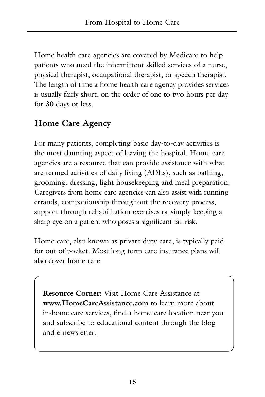Home health care agencies are covered by Medicare to help patients who need the intermittent skilled services of a nurse, physical therapist, occupational therapist, or speech therapist. The length of time a home health care agency provides services is usually fairly short, on the order of one to two hours per day for 30 days or less.

#### **Home Care Agency**

For many patients, completing basic day-to-day activities is the most daunting aspect of leaving the hospital. Home care agencies are a resource that can provide assistance with what are termed activities of daily living (ADLs), such as bathing, grooming, dressing, light housekeeping and meal preparation. Caregivers from home care agencies can also assist with running errands, companionship throughout the recovery process, support through rehabilitation exercises or simply keeping a sharp eye on a patient who poses a significant fall risk.

Home care, also known as private duty care, is typically paid for out of pocket. Most long term care insurance plans will also cover home care.

**Resource Corner:** Visit Home Care Assistance at **www.HomeCareAssistance.com** to learn more about in-home care services, find a home care location near you and subscribe to educational content through the blog and e-newsletter.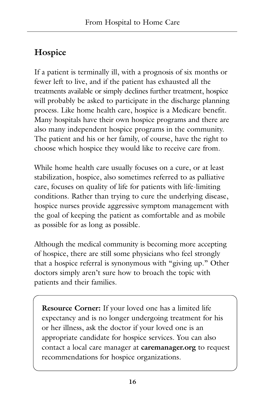#### **Hospice**

If a patient is terminally ill, with a prognosis of six months or fewer left to live, and if the patient has exhausted all the treatments available or simply declines further treatment, hospice will probably be asked to participate in the discharge planning process. Like home health care, hospice is a Medicare benefit. Many hospitals have their own hospice programs and there are also many independent hospice programs in the community. The patient and his or her family, of course, have the right to choose which hospice they would like to receive care from.

While home health care usually focuses on a cure, or at least stabilization, hospice, also sometimes referred to as palliative care, focuses on quality of life for patients with life-limiting conditions. Rather than trying to cure the underlying disease, hospice nurses provide aggressive symptom management with the goal of keeping the patient as comfortable and as mobile as possible for as long as possible.

Although the medical community is becoming more accepting of hospice, there are still some physicians who feel strongly that a hospice referral is synonymous with "giving up." Other doctors simply aren't sure how to broach the topic with patients and their families.

**Resource Corner:** If your loved one has a limited life expectancy and is no longer undergoing treatment for his or her illness, ask the doctor if your loved one is an appropriate candidate for hospice services. You can also contact a local care manager at **caremanager.org** to request recommendations for hospice organizations.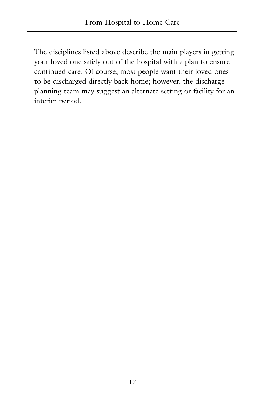The disciplines listed above describe the main players in getting your loved one safely out of the hospital with a plan to ensure continued care. Of course, most people want their loved ones to be discharged directly back home; however, the discharge planning team may suggest an alternate setting or facility for an interim period.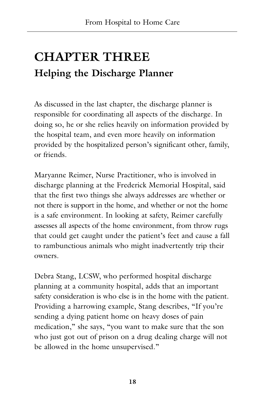# **CHAPTER THREE Helping the Discharge Planner**

As discussed in the last chapter, the discharge planner is responsible for coordinating all aspects of the discharge. In doing so, he or she relies heavily on information provided by the hospital team, and even more heavily on information provided by the hospitalized person's significant other, family, or friends.

Maryanne Reimer, Nurse Practitioner, who is involved in discharge planning at the Frederick Memorial Hospital, said that the first two things she always addresses are whether or not there is support in the home, and whether or not the home is a safe environment. In looking at safety, Reimer carefully assesses all aspects of the home environment, from throw rugs that could get caught under the patient's feet and cause a fall to rambunctious animals who might inadvertently trip their owners.

Debra Stang, LCSW, who performed hospital discharge planning at a community hospital, adds that an important safety consideration is who else is in the home with the patient. Providing a harrowing example, Stang describes, "If you're sending a dying patient home on heavy doses of pain medication," she says, "you want to make sure that the son who just got out of prison on a drug dealing charge will not be allowed in the home unsupervised."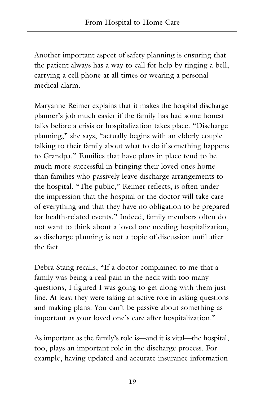Another important aspect of safety planning is ensuring that the patient always has a way to call for help by ringing a bell, carrying a cell phone at all times or wearing a personal medical alarm.

Maryanne Reimer explains that it makes the hospital discharge planner's job much easier if the family has had some honest talks before a crisis or hospitalization takes place. "Discharge planning," she says, "actually begins with an elderly couple talking to their family about what to do if something happens to Grandpa." Families that have plans in place tend to be much more successful in bringing their loved ones home than families who passively leave discharge arrangements to the hospital. "The public," Reimer reflects, is often under the impression that the hospital or the doctor will take care of everything and that they have no obligation to be prepared for health-related events." Indeed, family members often do not want to think about a loved one needing hospitalization, so discharge planning is not a topic of discussion until after the fact.

Debra Stang recalls, "If a doctor complained to me that a family was being a real pain in the neck with too many questions, I figured I was going to get along with them just fine. At least they were taking an active role in asking questions and making plans. You can't be passive about something as important as your loved one's care after hospitalization."

As important as the family's role is—and it is vital—the hospital, too, plays an important role in the discharge process. For example, having updated and accurate insurance information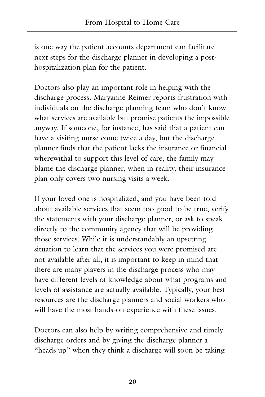is one way the patient accounts department can facilitate next steps for the discharge planner in developing a posthospitalization plan for the patient.

Doctors also play an important role in helping with the discharge process. Maryanne Reimer reports frustration with individuals on the discharge planning team who don't know what services are available but promise patients the impossible anyway. If someone, for instance, has said that a patient can have a visiting nurse come twice a day, but the discharge planner finds that the patient lacks the insurance or financial wherewithal to support this level of care, the family may blame the discharge planner, when in reality, their insurance plan only covers two nursing visits a week.

If your loved one is hospitalized, and you have been told about available services that seem too good to be true, verify the statements with your discharge planner, or ask to speak directly to the community agency that will be providing those services. While it is understandably an upsetting situation to learn that the services you were promised are not available after all, it is important to keep in mind that there are many players in the discharge process who may have different levels of knowledge about what programs and levels of assistance are actually available. Typically, your best resources are the discharge planners and social workers who will have the most hands-on experience with these issues.

Doctors can also help by writing comprehensive and timely discharge orders and by giving the discharge planner a "heads up" when they think a discharge will soon be taking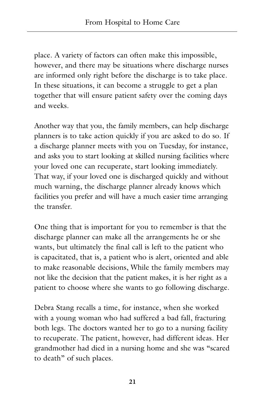place. A variety of factors can often make this impossible, however, and there may be situations where discharge nurses are informed only right before the discharge is to take place. In these situations, it can become a struggle to get a plan together that will ensure patient safety over the coming days and weeks.

Another way that you, the family members, can help discharge planners is to take action quickly if you are asked to do so. If a discharge planner meets with you on Tuesday, for instance, and asks you to start looking at skilled nursing facilities where your loved one can recuperate, start looking immediately. That way, if your loved one is discharged quickly and without much warning, the discharge planner already knows which facilities you prefer and will have a much easier time arranging the transfer.

One thing that is important for you to remember is that the discharge planner can make all the arrangements he or she wants, but ultimately the final call is left to the patient who is capacitated, that is, a patient who is alert, oriented and able to make reasonable decisions, While the family members may not like the decision that the patient makes, it is her right as a patient to choose where she wants to go following discharge.

Debra Stang recalls a time, for instance, when she worked with a young woman who had suffered a bad fall, fracturing both legs. The doctors wanted her to go to a nursing facility to recuperate. The patient, however, had different ideas. Her grandmother had died in a nursing home and she was "scared to death" of such places.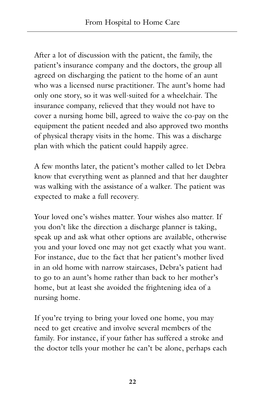After a lot of discussion with the patient, the family, the patient's insurance company and the doctors, the group all agreed on discharging the patient to the home of an aunt who was a licensed nurse practitioner. The aunt's home had only one story, so it was well-suited for a wheelchair. The insurance company, relieved that they would not have to cover a nursing home bill, agreed to waive the co-pay on the equipment the patient needed and also approved two months of physical therapy visits in the home. This was a discharge plan with which the patient could happily agree.

A few months later, the patient's mother called to let Debra know that everything went as planned and that her daughter was walking with the assistance of a walker. The patient was expected to make a full recovery.

Your loved one's wishes matter. Your wishes also matter. If you don't like the direction a discharge planner is taking, speak up and ask what other options are available, otherwise you and your loved one may not get exactly what you want. For instance, due to the fact that her patient's mother lived in an old home with narrow staircases, Debra's patient had to go to an aunt's home rather than back to her mother's home, but at least she avoided the frightening idea of a nursing home.

If you're trying to bring your loved one home, you may need to get creative and involve several members of the family. For instance, if your father has suffered a stroke and the doctor tells your mother he can't be alone, perhaps each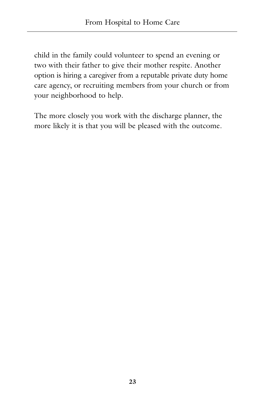child in the family could volunteer to spend an evening or two with their father to give their mother respite. Another option is hiring a caregiver from a reputable private duty home care agency, or recruiting members from your church or from your neighborhood to help.

The more closely you work with the discharge planner, the more likely it is that you will be pleased with the outcome.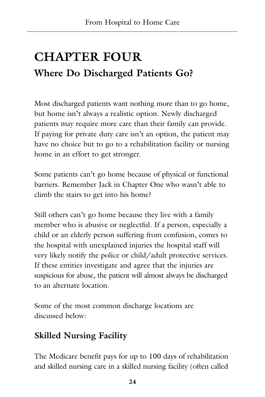# **CHAPTER FOUR Where Do Discharged Patients Go?**

Most discharged patients want nothing more than to go home, but home isn't always a realistic option. Newly discharged patients may require more care than their family can provide. If paying for private duty care isn't an option, the patient may have no choice but to go to a rehabilitation facility or nursing home in an effort to get stronger.

Some patients can't go home because of physical or functional barriers. Remember Jack in Chapter One who wasn't able to climb the stairs to get into his home?

Still others can't go home because they live with a family member who is abusive or neglectful. If a person, especially a child or an elderly person suffering from confusion, comes to the hospital with unexplained injuries the hospital staff will very likely notify the police or child/adult protective services. If these entities investigate and agree that the injuries are suspicious for abuse, the patient will almost always be discharged to an alternate location.

Some of the most common discharge locations are discussed below:

#### **Skilled Nursing Facility**

The Medicare benefit pays for up to 100 days of rehabilitation and skilled nursing care in a skilled nursing facility (often called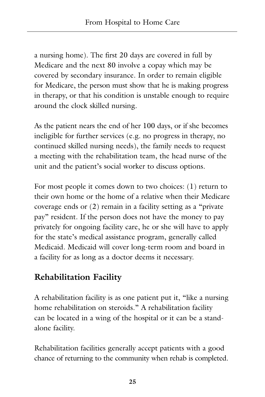a nursing home). The first 20 days are covered in full by Medicare and the next 80 involve a copay which may be covered by secondary insurance. In order to remain eligible for Medicare, the person must show that he is making progress in therapy, or that his condition is unstable enough to require around the clock skilled nursing.

As the patient nears the end of her 100 days, or if she becomes ineligible for further services (e.g. no progress in therapy, no continued skilled nursing needs), the family needs to request a meeting with the rehabilitation team, the head nurse of the unit and the patient's social worker to discuss options.

For most people it comes down to two choices: (1) return to their own home or the home of a relative when their Medicare coverage ends or (2) remain in a facility setting as a "private pay" resident. If the person does not have the money to pay privately for ongoing facility care, he or she will have to apply for the state's medical assistance program, generally called Medicaid. Medicaid will cover long-term room and board in a facility for as long as a doctor deems it necessary.

#### **Rehabilitation Facility**

A rehabilitation facility is as one patient put it, "like a nursing home rehabilitation on steroids." A rehabilitation facility can be located in a wing of the hospital or it can be a standalone facility.

Rehabilitation facilities generally accept patients with a good chance of returning to the community when rehab is completed.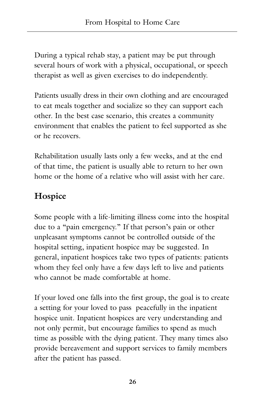During a typical rehab stay, a patient may be put through several hours of work with a physical, occupational, or speech therapist as well as given exercises to do independently.

Patients usually dress in their own clothing and are encouraged to eat meals together and socialize so they can support each other. In the best case scenario, this creates a community environment that enables the patient to feel supported as she or he recovers.

Rehabilitation usually lasts only a few weeks, and at the end of that time, the patient is usually able to return to her own home or the home of a relative who will assist with her care.

#### **Hospice**

Some people with a life-limiting illness come into the hospital due to a "pain emergency." If that person's pain or other unpleasant symptoms cannot be controlled outside of the hospital setting, inpatient hospice may be suggested. In general, inpatient hospices take two types of patients: patients whom they feel only have a few days left to live and patients who cannot be made comfortable at home.

If your loved one falls into the first group, the goal is to create a setting for your loved to pass peacefully in the inpatient hospice unit. Inpatient hospices are very understanding and not only permit, but encourage families to spend as much time as possible with the dying patient. They many times also provide bereavement and support services to family members after the patient has passed.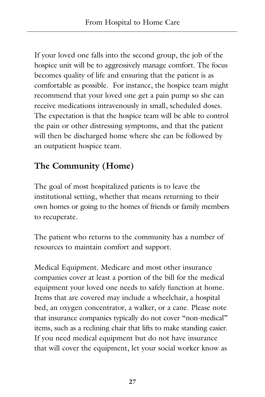If your loved one falls into the second group, the job of the hospice unit will be to aggressively manage comfort. The focus becomes quality of life and ensuring that the patient is as comfortable as possible. For instance, the hospice team might recommend that your loved one get a pain pump so she can receive medications intravenously in small, scheduled doses. The expectation is that the hospice team will be able to control the pain or other distressing symptoms, and that the patient will then be discharged home where she can be followed by an outpatient hospice team.

#### **The Community (Home)**

The goal of most hospitalized patients is to leave the institutional setting, whether that means returning to their own homes or going to the homes of friends or family members to recuperate.

The patient who returns to the community has a number of resources to maintain comfort and support.

Medical Equipment. Medicare and most other insurance companies cover at least a portion of the bill for the medical equipment your loved one needs to safely function at home. Items that are covered may include a wheelchair, a hospital bed, an oxygen concentrator, a walker, or a cane. Please note that insurance companies typically do not cover "non-medical" items, such as a reclining chair that lifts to make standing easier. If you need medical equipment but do not have insurance that will cover the equipment, let your social worker know as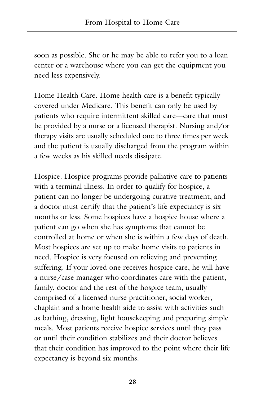soon as possible. She or he may be able to refer you to a loan center or a warehouse where you can get the equipment you need less expensively.

Home Health Care. Home health care is a benefit typically covered under Medicare. This benefit can only be used by patients who require intermittent skilled care—care that must be provided by a nurse or a licensed therapist. Nursing and/or therapy visits are usually scheduled one to three times per week and the patient is usually discharged from the program within a few weeks as his skilled needs dissipate.

Hospice. Hospice programs provide palliative care to patients with a terminal illness. In order to qualify for hospice, a patient can no longer be undergoing curative treatment, and a doctor must certify that the patient's life expectancy is six months or less. Some hospices have a hospice house where a patient can go when she has symptoms that cannot be controlled at home or when she is within a few days of death. Most hospices are set up to make home visits to patients in need. Hospice is very focused on relieving and preventing suffering. If your loved one receives hospice care, he will have a nurse/case manager who coordinates care with the patient, family, doctor and the rest of the hospice team, usually comprised of a licensed nurse practitioner, social worker, chaplain and a home health aide to assist with activities such as bathing, dressing, light housekeeping and preparing simple meals. Most patients receive hospice services until they pass or until their condition stabilizes and their doctor believes that their condition has improved to the point where their life expectancy is beyond six months.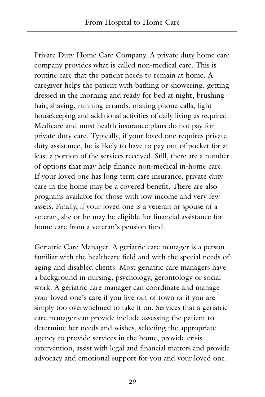Private Duty Home Care Company. A private duty home care company provides what is called non-medical care. This is routine care that the patient needs to remain at home. A caregiver helps the patient with bathing or showering, getting dressed in the morning and ready for bed at night, brushing hair, shaving, running errands, making phone calls, light housekeeping and additional activities of daily living as required. Medicare and most health insurance plans do not pay for private duty care. Typically, if your loved one requires private duty assistance, he is likely to have to pay out of pocket for at least a portion of the services received. Still, there are a number of options that may help finance non-medical in-home care. If your loved one has long term care insurance, private duty care in the home may be a covered benefit. There are also programs available for those with low income and very few assets. Finally, if your loved one is a veteran or spouse of a veteran, she or he may be eligible for financial assistance for home care from a veteran's pension fund.

Geriatric Care Manager. A geriatric care manager is a person familiar with the healthcare field and with the special needs of aging and disabled clients. Most geriatric care managers have a background in nursing, psychology, gerontology or social work. A geriatric care manager can coordinate and manage your loved one's care if you live out of town or if you are simply too overwhelmed to take it on. Services that a geriatric care manager can provide include assessing the patient to determine her needs and wishes, selecting the appropriate agency to provide services in the home, provide crisis intervention, assist with legal and financial matters and provide advocacy and emotional support for you and your loved one.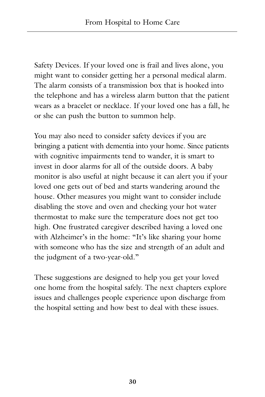Safety Devices. If your loved one is frail and lives alone, you might want to consider getting her a personal medical alarm. The alarm consists of a transmission box that is hooked into the telephone and has a wireless alarm button that the patient wears as a bracelet or necklace. If your loved one has a fall, he or she can push the button to summon help.

You may also need to consider safety devices if you are bringing a patient with dementia into your home. Since patients with cognitive impairments tend to wander, it is smart to invest in door alarms for all of the outside doors. A baby monitor is also useful at night because it can alert you if your loved one gets out of bed and starts wandering around the house. Other measures you might want to consider include disabling the stove and oven and checking your hot water thermostat to make sure the temperature does not get too high. One frustrated caregiver described having a loved one with Alzheimer's in the home: "It's like sharing your home with someone who has the size and strength of an adult and the judgment of a two-year-old."

These suggestions are designed to help you get your loved one home from the hospital safely. The next chapters explore issues and challenges people experience upon discharge from the hospital setting and how best to deal with these issues.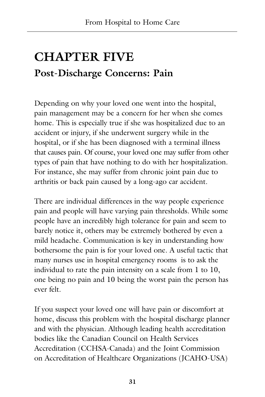# **CHAPTER FIVE Post-Discharge Concerns: Pain**

Depending on why your loved one went into the hospital, pain management may be a concern for her when she comes home. This is especially true if she was hospitalized due to an accident or injury, if she underwent surgery while in the hospital, or if she has been diagnosed with a terminal illness that causes pain. Of course, your loved one may suffer from other types of pain that have nothing to do with her hospitalization. For instance, she may suffer from chronic joint pain due to arthritis or back pain caused by a long-ago car accident.

There are individual differences in the way people experience pain and people will have varying pain thresholds. While some people have an incredibly high tolerance for pain and seem to barely notice it, others may be extremely bothered by even a mild headache. Communication is key in understanding how bothersome the pain is for your loved one. A useful tactic that many nurses use in hospital emergency rooms is to ask the individual to rate the pain intensity on a scale from 1 to 10, one being no pain and 10 being the worst pain the person has ever felt.

If you suspect your loved one will have pain or discomfort at home, discuss this problem with the hospital discharge planner and with the physician. Although leading health accreditation bodies like the Canadian Council on Health Services Accreditation (CCHSA-Canada) and the Joint Commission on Accreditation of Healthcare Organizations (JCAHO-USA)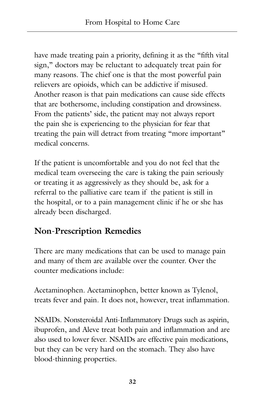have made treating pain a priority, defining it as the "fifth vital sign," doctors may be reluctant to adequately treat pain for many reasons. The chief one is that the most powerful pain relievers are opioids, which can be addictive if misused. Another reason is that pain medications can cause side effects that are bothersome, including constipation and drowsiness. From the patients' side, the patient may not always report the pain she is experiencing to the physician for fear that treating the pain will detract from treating "more important" medical concerns.

If the patient is uncomfortable and you do not feel that the medical team overseeing the care is taking the pain seriously or treating it as aggressively as they should be, ask for a referral to the palliative care team if the patient is still in the hospital, or to a pain management clinic if he or she has already been discharged.

## **Non-Prescription Remedies**

There are many medications that can be used to manage pain and many of them are available over the counter. Over the counter medications include:

Acetaminophen. Acetaminophen, better known as Tylenol, treats fever and pain. It does not, however, treat inflammation.

NSAIDs. Nonsteroidal Anti-Inflammatory Drugs such as aspirin, ibuprofen, and Aleve treat both pain and inflammation and are also used to lower fever. NSAIDs are effective pain medications, but they can be very hard on the stomach. They also have blood-thinning properties.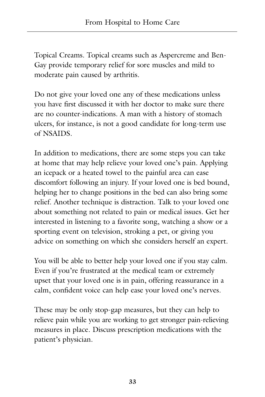Topical Creams. Topical creams such as Aspercreme and Ben-Gay provide temporary relief for sore muscles and mild to moderate pain caused by arthritis.

Do not give your loved one any of these medications unless you have first discussed it with her doctor to make sure there are no counter-indications. A man with a history of stomach ulcers, for instance, is not a good candidate for long-term use of NSAIDS.

In addition to medications, there are some steps you can take at home that may help relieve your loved one's pain. Applying an icepack or a heated towel to the painful area can ease discomfort following an injury. If your loved one is bed bound, helping her to change positions in the bed can also bring some relief. Another technique is distraction. Talk to your loved one about something not related to pain or medical issues. Get her interested in listening to a favorite song, watching a show or a sporting event on television, stroking a pet, or giving you advice on something on which she considers herself an expert.

You will be able to better help your loved one if you stay calm. Even if you're frustrated at the medical team or extremely upset that your loved one is in pain, offering reassurance in a calm, confident voice can help ease your loved one's nerves.

These may be only stop-gap measures, but they can help to relieve pain while you are working to get stronger pain-relieving measures in place. Discuss prescription medications with the patient's physician.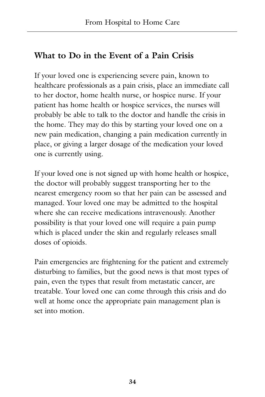#### **What to Do in the Event of a Pain Crisis**

If your loved one is experiencing severe pain, known to healthcare professionals as a pain crisis, place an immediate call to her doctor, home health nurse, or hospice nurse. If your patient has home health or hospice services, the nurses will probably be able to talk to the doctor and handle the crisis in the home. They may do this by starting your loved one on a new pain medication, changing a pain medication currently in place, or giving a larger dosage of the medication your loved one is currently using.

If your loved one is not signed up with home health or hospice, the doctor will probably suggest transporting her to the nearest emergency room so that her pain can be assessed and managed. Your loved one may be admitted to the hospital where she can receive medications intravenously. Another possibility is that your loved one will require a pain pump which is placed under the skin and regularly releases small doses of opioids.

Pain emergencies are frightening for the patient and extremely disturbing to families, but the good news is that most types of pain, even the types that result from metastatic cancer, are treatable. Your loved one can come through this crisis and do well at home once the appropriate pain management plan is set into motion.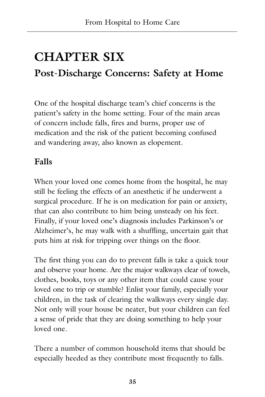# **CHAPTER SIX Post-Discharge Concerns: Safety at Home**

One of the hospital discharge team's chief concerns is the patient's safety in the home setting. Four of the main areas of concern include falls, fires and burns, proper use of medication and the risk of the patient becoming confused and wandering away, also known as elopement.

## **Falls**

When your loved one comes home from the hospital, he may still be feeling the effects of an anesthetic if he underwent a surgical procedure. If he is on medication for pain or anxiety, that can also contribute to him being unsteady on his feet. Finally, if your loved one's diagnosis includes Parkinson's or Alzheimer's, he may walk with a shuffling, uncertain gait that puts him at risk for tripping over things on the floor.

The first thing you can do to prevent falls is take a quick tour and observe your home. Are the major walkways clear of towels, clothes, books, toys or any other item that could cause your loved one to trip or stumble? Enlist your family, especially your children, in the task of clearing the walkways every single day. Not only will your house be neater, but your children can feel a sense of pride that they are doing something to help your loved one.

There a number of common household items that should be especially heeded as they contribute most frequently to falls.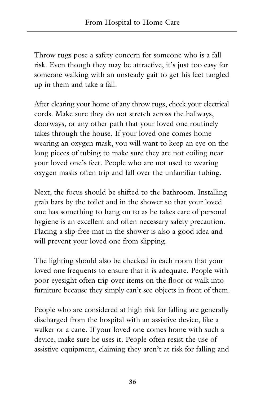Throw rugs pose a safety concern for someone who is a fall risk. Even though they may be attractive, it's just too easy for someone walking with an unsteady gait to get his feet tangled up in them and take a fall.

After clearing your home of any throw rugs, check your electrical cords. Make sure they do not stretch across the hallways, doorways, or any other path that your loved one routinely takes through the house. If your loved one comes home wearing an oxygen mask, you will want to keep an eye on the long pieces of tubing to make sure they are not coiling near your loved one's feet. People who are not used to wearing oxygen masks often trip and fall over the unfamiliar tubing.

Next, the focus should be shifted to the bathroom. Installing grab bars by the toilet and in the shower so that your loved one has something to hang on to as he takes care of personal hygiene is an excellent and often necessary safety precaution. Placing a slip-free mat in the shower is also a good idea and will prevent your loved one from slipping.

The lighting should also be checked in each room that your loved one frequents to ensure that it is adequate. People with poor eyesight often trip over items on the floor or walk into furniture because they simply can't see objects in front of them.

People who are considered at high risk for falling are generally discharged from the hospital with an assistive device, like a walker or a cane. If your loved one comes home with such a device, make sure he uses it. People often resist the use of assistive equipment, claiming they aren't at risk for falling and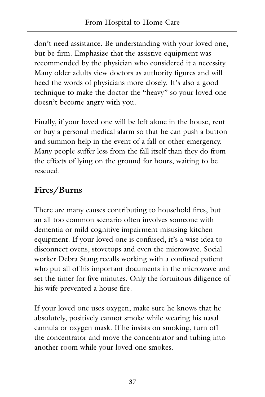don't need assistance. Be understanding with your loved one, but be firm. Emphasize that the assistive equipment was recommended by the physician who considered it a necessity. Many older adults view doctors as authority figures and will heed the words of physicians more closely. It's also a good technique to make the doctor the "heavy" so your loved one doesn't become angry with you.

Finally, if your loved one will be left alone in the house, rent or buy a personal medical alarm so that he can push a button and summon help in the event of a fall or other emergency. Many people suffer less from the fall itself than they do from the effects of lying on the ground for hours, waiting to be rescued.

## **Fires/Burns**

There are many causes contributing to household fires, but an all too common scenario often involves someone with dementia or mild cognitive impairment misusing kitchen equipment. If your loved one is confused, it's a wise idea to disconnect ovens, stovetops and even the microwave. Social worker Debra Stang recalls working with a confused patient who put all of his important documents in the microwave and set the timer for five minutes. Only the fortuitous diligence of his wife prevented a house fire.

If your loved one uses oxygen, make sure he knows that he absolutely, positively cannot smoke while wearing his nasal cannula or oxygen mask. If he insists on smoking, turn off the concentrator and move the concentrator and tubing into another room while your loved one smokes.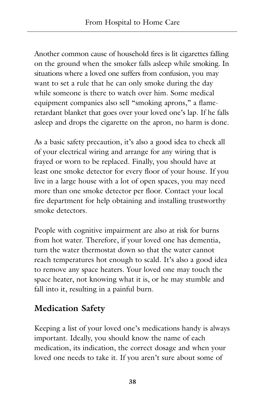Another common cause of household fires is lit cigarettes falling on the ground when the smoker falls asleep while smoking. In situations where a loved one suffers from confusion, you may want to set a rule that he can only smoke during the day while someone is there to watch over him. Some medical equipment companies also sell "smoking aprons," a flameretardant blanket that goes over your loved one's lap. If he falls asleep and drops the cigarette on the apron, no harm is done.

As a basic safety precaution, it's also a good idea to check all of your electrical wiring and arrange for any wiring that is frayed or worn to be replaced. Finally, you should have at least one smoke detector for every floor of your house. If you live in a large house with a lot of open spaces, you may need more than one smoke detector per floor. Contact your local fire department for help obtaining and installing trustworthy smoke detectors.

People with cognitive impairment are also at risk for burns from hot water. Therefore, if your loved one has dementia, turn the water thermostat down so that the water cannot reach temperatures hot enough to scald. It's also a good idea to remove any space heaters. Your loved one may touch the space heater, not knowing what it is, or he may stumble and fall into it, resulting in a painful burn.

## **Medication Safety**

Keeping a list of your loved one's medications handy is always important. Ideally, you should know the name of each medication, its indication, the correct dosage and when your loved one needs to take it. If you aren't sure about some of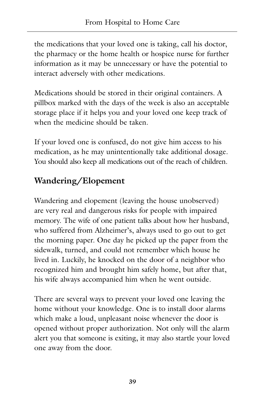the medications that your loved one is taking, call his doctor, the pharmacy or the home health or hospice nurse for further information as it may be unnecessary or have the potential to interact adversely with other medications.

Medications should be stored in their original containers. A pillbox marked with the days of the week is also an acceptable storage place if it helps you and your loved one keep track of when the medicine should be taken.

If your loved one is confused, do not give him access to his medication, as he may unintentionally take additional dosage. You should also keep all medications out of the reach of children.

## **Wandering/Elopement**

Wandering and elopement (leaving the house unobserved) are very real and dangerous risks for people with impaired memory. The wife of one patient talks about how her husband, who suffered from Alzheimer's, always used to go out to get the morning paper. One day he picked up the paper from the sidewalk, turned, and could not remember which house he lived in. Luckily, he knocked on the door of a neighbor who recognized him and brought him safely home, but after that, his wife always accompanied him when he went outside.

There are several ways to prevent your loved one leaving the home without your knowledge. One is to install door alarms which make a loud, unpleasant noise whenever the door is opened without proper authorization. Not only will the alarm alert you that someone is exiting, it may also startle your loved one away from the door.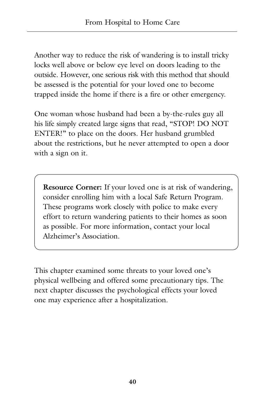Another way to reduce the risk of wandering is to install tricky locks well above or below eye level on doors leading to the outside. However, one serious risk with this method that should be assessed is the potential for your loved one to become trapped inside the home if there is a fire or other emergency.

One woman whose husband had been a by-the-rules guy all his life simply created large signs that read, "STOP! DO NOT ENTER!" to place on the doors. Her husband grumbled about the restrictions, but he never attempted to open a door with a sign on it.

**Resource Corner:** If your loved one is at risk of wandering, consider enrolling him with a local Safe Return Program. These programs work closely with police to make every effort to return wandering patients to their homes as soon as possible. For more information, contact your local Alzheimer's Association.

This chapter examined some threats to your loved one's physical wellbeing and offered some precautionary tips. The next chapter discusses the psychological effects your loved one may experience after a hospitalization.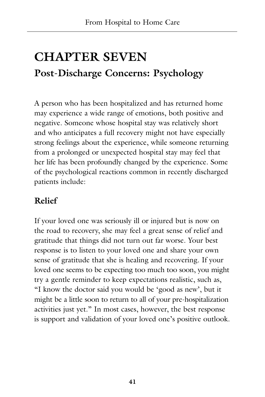## **CHAPTER SEVEN Post-Discharge Concerns: Psychology**

A person who has been hospitalized and has returned home may experience a wide range of emotions, both positive and negative. Someone whose hospital stay was relatively short and who anticipates a full recovery might not have especially strong feelings about the experience, while someone returning from a prolonged or unexpected hospital stay may feel that her life has been profoundly changed by the experience. Some of the psychological reactions common in recently discharged patients include:

## **Relief**

If your loved one was seriously ill or injured but is now on the road to recovery, she may feel a great sense of relief and gratitude that things did not turn out far worse. Your best response is to listen to your loved one and share your own sense of gratitude that she is healing and recovering. If your loved one seems to be expecting too much too soon, you might try a gentle reminder to keep expectations realistic, such as, "I know the doctor said you would be 'good as new', but it might be a little soon to return to all of your pre-hospitalization activities just yet." In most cases, however, the best response is support and validation of your loved one's positive outlook.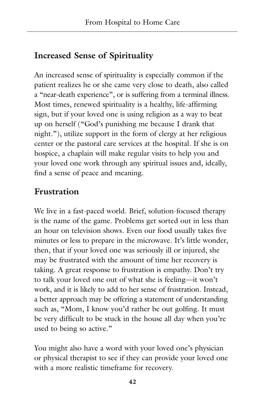### **Increased Sense of Spirituality**

An increased sense of spirituality is especially common if the patient realizes he or she came very close to death, also called a "near-death experience", or is suffering from a terminal illness. Most times, renewed spirituality is a healthy, life-affirming sign, but if your loved one is using religion as a way to beat up on herself ("God's punishing me because I drank that night."), utilize support in the form of clergy at her religious center or the pastoral care services at the hospital. If she is on hospice, a chaplain will make regular visits to help you and your loved one work through any spiritual issues and, ideally, find a sense of peace and meaning.

#### **Frustration**

We live in a fast-paced world. Brief, solution-focused therapy is the name of the game. Problems get sorted out in less than an hour on television shows. Even our food usually takes five minutes or less to prepare in the microwave. It's little wonder, then, that if your loved one was seriously ill or injured, she may be frustrated with the amount of time her recovery is taking. A great response to frustration is empathy. Don't try to talk your loved one out of what she is feeling—it won't work, and it is likely to add to her sense of frustration. Instead, a better approach may be offering a statement of understanding such as, "Mom, I know you'd rather be out golfing. It must be very difficult to be stuck in the house all day when you're used to being so active."

You might also have a word with your loved one's physician or physical therapist to see if they can provide your loved one with a more realistic timeframe for recovery.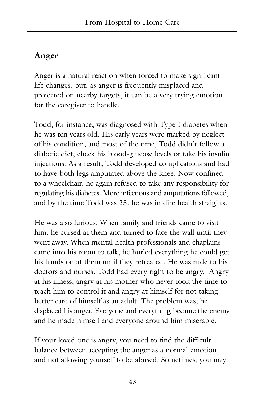#### **Anger**

Anger is a natural reaction when forced to make significant life changes, but, as anger is frequently misplaced and projected on nearby targets, it can be a very trying emotion for the caregiver to handle.

Todd, for instance, was diagnosed with Type I diabetes when he was ten years old. His early years were marked by neglect of his condition, and most of the time, Todd didn't follow a diabetic diet, check his blood-glucose levels or take his insulin injections. As a result, Todd developed complications and had to have both legs amputated above the knee. Now confined to a wheelchair, he again refused to take any responsibility for regulating his diabetes. More infections and amputations followed, and by the time Todd was 25, he was in dire health straights.

He was also furious. When family and friends came to visit him, he cursed at them and turned to face the wall until they went away. When mental health professionals and chaplains came into his room to talk, he hurled everything he could get his hands on at them until they retreated. He was rude to his doctors and nurses. Todd had every right to be angry. Angry at his illness, angry at his mother who never took the time to teach him to control it and angry at himself for not taking better care of himself as an adult. The problem was, he displaced his anger. Everyone and everything became the enemy and he made himself and everyone around him miserable.

If your loved one is angry, you need to find the difficult balance between accepting the anger as a normal emotion and not allowing yourself to be abused. Sometimes, you may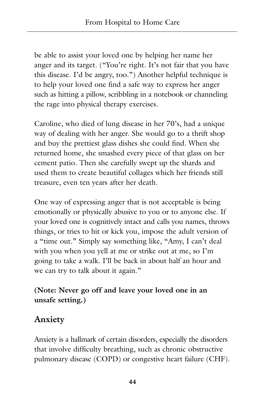be able to assist your loved one by helping her name her anger and its target. ("You're right. It's not fair that you have this disease. I'd be angry, too.") Another helpful technique is to help your loved one find a safe way to express her anger such as hitting a pillow, scribbling in a notebook or channeling the rage into physical therapy exercises.

Caroline, who died of lung disease in her 70's, had a unique way of dealing with her anger. She would go to a thrift shop and buy the prettiest glass dishes she could find. When she returned home, she smashed every piece of that glass on her cement patio. Then she carefully swept up the shards and used them to create beautiful collages which her friends still treasure, even ten years after her death.

One way of expressing anger that is not acceptable is being emotionally or physically abusive to you or to anyone else. If your loved one is cognitively intact and calls you names, throws things, or tries to hit or kick you, impose the adult version of a "time out." Simply say something like, "Amy, I can't deal with you when you yell at me or strike out at me, so I'm going to take a walk. I'll be back in about half an hour and we can try to talk about it again."

#### **(Note: Never go off and leave your loved one in an unsafe setting.)**

#### **Anxiety**

Anxiety is a hallmark of certain disorders, especially the disorders that involve difficulty breathing, such as chronic obstructive pulmonary disease (COPD) or congestive heart failure (CHF).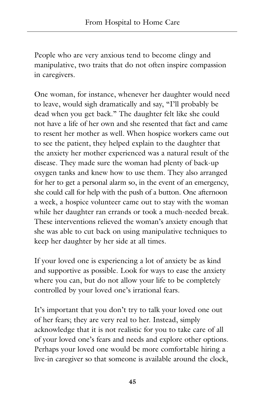People who are very anxious tend to become clingy and manipulative, two traits that do not often inspire compassion in caregivers.

One woman, for instance, whenever her daughter would need to leave, would sigh dramatically and say, "I'll probably be dead when you get back." The daughter felt like she could not have a life of her own and she resented that fact and came to resent her mother as well. When hospice workers came out to see the patient, they helped explain to the daughter that the anxiety her mother experienced was a natural result of the disease. They made sure the woman had plenty of back-up oxygen tanks and knew how to use them. They also arranged for her to get a personal alarm so, in the event of an emergency, she could call for help with the push of a button. One afternoon a week, a hospice volunteer came out to stay with the woman while her daughter ran errands or took a much-needed break. These interventions relieved the woman's anxiety enough that she was able to cut back on using manipulative techniques to keep her daughter by her side at all times.

If your loved one is experiencing a lot of anxiety be as kind and supportive as possible. Look for ways to ease the anxiety where you can, but do not allow your life to be completely controlled by your loved one's irrational fears.

It's important that you don't try to talk your loved one out of her fears; they are very real to her. Instead, simply acknowledge that it is not realistic for you to take care of all of your loved one's fears and needs and explore other options. Perhaps your loved one would be more comfortable hiring a live-in caregiver so that someone is available around the clock,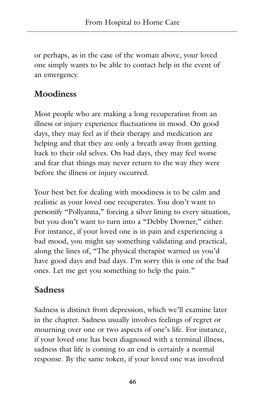or perhaps, as in the case of the woman above, your loved one simply wants to be able to contact help in the event of an emergency.

## **Moodiness**

Most people who are making a long recuperation from an illness or injury experience fluctuations in mood. On good days, they may feel as if their therapy and medication are helping and that they are only a breath away from getting back to their old selves. On bad days, they may feel worse and fear that things may never return to the way they were before the illness or injury occurred.

Your best bet for dealing with moodiness is to be calm and realistic as your loved one recuperates. You don't want to personify "Pollyanna," forcing a silver lining to every situation, but you don't want to turn into a "Debby Downer," either. For instance, if your loved one is in pain and experiencing a bad mood, you might say something validating and practical, along the lines of, "The physical therapist warned us you'd have good days and bad days. I'm sorry this is one of the bad ones. Let me get you something to help the pain."

#### **Sadness**

Sadness is distinct from depression, which we'll examine later in the chapter. Sadness usually involves feelings of regret or mourning over one or two aspects of one's life. For instance, if your loved one has been diagnosed with a terminal illness, sadness that life is coming to an end is certainly a normal response. By the same token, if your loved one was involved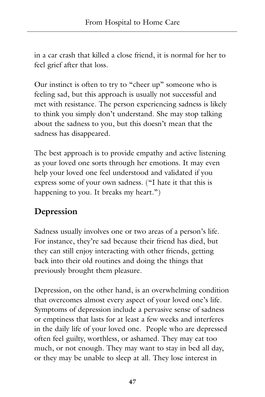in a car crash that killed a close friend, it is normal for her to feel grief after that loss.

Our instinct is often to try to "cheer up" someone who is feeling sad, but this approach is usually not successful and met with resistance. The person experiencing sadness is likely to think you simply don't understand. She may stop talking about the sadness to you, but this doesn't mean that the sadness has disappeared.

The best approach is to provide empathy and active listening as your loved one sorts through her emotions. It may even help your loved one feel understood and validated if you express some of your own sadness. ("I hate it that this is happening to you. It breaks my heart.")

## **Depression**

Sadness usually involves one or two areas of a person's life. For instance, they're sad because their friend has died, but they can still enjoy interacting with other friends, getting back into their old routines and doing the things that previously brought them pleasure.

Depression, on the other hand, is an overwhelming condition that overcomes almost every aspect of your loved one's life. Symptoms of depression include a pervasive sense of sadness or emptiness that lasts for at least a few weeks and interferes in the daily life of your loved one. People who are depressed often feel guilty, worthless, or ashamed. They may eat too much, or not enough. They may want to stay in bed all day, or they may be unable to sleep at all. They lose interest in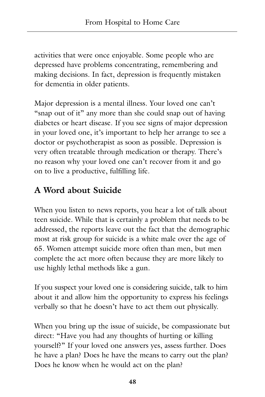activities that were once enjoyable. Some people who are depressed have problems concentrating, remembering and making decisions. In fact, depression is frequently mistaken for dementia in older patients.

Major depression is a mental illness. Your loved one can't "snap out of it" any more than she could snap out of having diabetes or heart disease. If you see signs of major depression in your loved one, it's important to help her arrange to see a doctor or psychotherapist as soon as possible. Depression is very often treatable through medication or therapy. There's no reason why your loved one can't recover from it and go on to live a productive, fulfilling life.

## **A Word about Suicide**

When you listen to news reports, you hear a lot of talk about teen suicide. While that is certainly a problem that needs to be addressed, the reports leave out the fact that the demographic most at risk group for suicide is a white male over the age of 65. Women attempt suicide more often than men, but men complete the act more often because they are more likely to use highly lethal methods like a gun.

If you suspect your loved one is considering suicide, talk to him about it and allow him the opportunity to express his feelings verbally so that he doesn't have to act them out physically.

When you bring up the issue of suicide, be compassionate but direct: "Have you had any thoughts of hurting or killing yourself?" If your loved one answers yes, assess further. Does he have a plan? Does he have the means to carry out the plan? Does he know when he would act on the plan?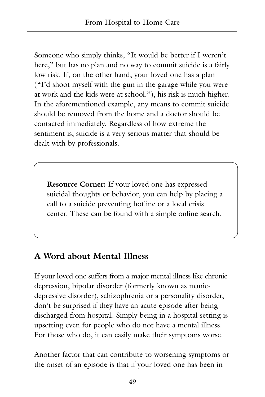Someone who simply thinks, "It would be better if I weren't here," but has no plan and no way to commit suicide is a fairly low risk. If, on the other hand, your loved one has a plan ("I'd shoot myself with the gun in the garage while you were at work and the kids were at school."), his risk is much higher. In the aforementioned example, any means to commit suicide should be removed from the home and a doctor should be contacted immediately. Regardless of how extreme the sentiment is, suicide is a very serious matter that should be dealt with by professionals.

**Resource Corner:** If your loved one has expressed suicidal thoughts or behavior, you can help by placing a call to a suicide preventing hotline or a local crisis center. These can be found with a simple online search.

#### **A Word about Mental Illness**

If your loved one suffers from a major mental illness like chronic depression, bipolar disorder (formerly known as manicdepressive disorder), schizophrenia or a personality disorder, don't be surprised if they have an acute episode after being discharged from hospital. Simply being in a hospital setting is upsetting even for people who do not have a mental illness. For those who do, it can easily make their symptoms worse.

Another factor that can contribute to worsening symptoms or the onset of an episode is that if your loved one has been in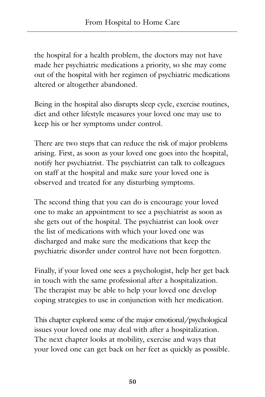the hospital for a health problem, the doctors may not have made her psychiatric medications a priority, so she may come out of the hospital with her regimen of psychiatric medications altered or altogether abandoned.

Being in the hospital also disrupts sleep cycle, exercise routines, diet and other lifestyle measures your loved one may use to keep his or her symptoms under control.

There are two steps that can reduce the risk of major problems arising. First, as soon as your loved one goes into the hospital, notify her psychiatrist. The psychiatrist can talk to colleagues on staff at the hospital and make sure your loved one is observed and treated for any disturbing symptoms.

The second thing that you can do is encourage your loved one to make an appointment to see a psychiatrist as soon as she gets out of the hospital. The psychiatrist can look over the list of medications with which your loved one was discharged and make sure the medications that keep the psychiatric disorder under control have not been forgotten.

Finally, if your loved one sees a psychologist, help her get back in touch with the same professional after a hospitalization. The therapist may be able to help your loved one develop coping strategies to use in conjunction with her medication.

This chapter explored some of the major emotional/psychological issues your loved one may deal with after a hospitalization. The next chapter looks at mobility, exercise and ways that your loved one can get back on her feet as quickly as possible.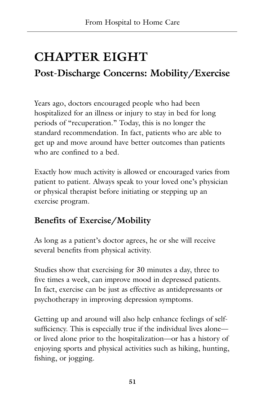## **CHAPTER EIGHT Post-Discharge Concerns: Mobility/Exercise**

Years ago, doctors encouraged people who had been hospitalized for an illness or injury to stay in bed for long periods of "recuperation." Today, this is no longer the standard recommendation. In fact, patients who are able to get up and move around have better outcomes than patients who are confined to a bed.

Exactly how much activity is allowed or encouraged varies from patient to patient. Always speak to your loved one's physician or physical therapist before initiating or stepping up an exercise program.

## **Benefits of Exercise/Mobility**

As long as a patient's doctor agrees, he or she will receive several benefits from physical activity.

Studies show that exercising for 30 minutes a day, three to five times a week, can improve mood in depressed patients. In fact, exercise can be just as effective as antidepressants or psychotherapy in improving depression symptoms.

Getting up and around will also help enhance feelings of selfsufficiency. This is especially true if the individual lives alone or lived alone prior to the hospitalization—or has a history of enjoying sports and physical activities such as hiking, hunting, fishing, or jogging.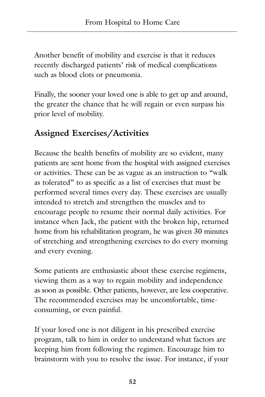Another benefit of mobility and exercise is that it reduces recently discharged patients' risk of medical complications such as blood clots or pneumonia.

Finally, the sooner your loved one is able to get up and around, the greater the chance that he will regain or even surpass his prior level of mobility.

## **Assigned Exercises/Activities**

Because the health benefits of mobility are so evident, many patients are sent home from the hospital with assigned exercises or activities. These can be as vague as an instruction to "walk as tolerated" to as specific as a list of exercises that must be performed several times every day. These exercises are usually intended to stretch and strengthen the muscles and to encourage people to resume their normal daily activities. For instance when Jack, the patient with the broken hip, returned home from his rehabilitation program, he was given 30 minutes of stretching and strengthening exercises to do every morning and every evening.

Some patients are enthusiastic about these exercise regimens, viewing them as a way to regain mobility and independence as soon as possible. Other patients, however, are less cooperative. The recommended exercises may be uncomfortable, timeconsuming, or even painful.

If your loved one is not diligent in his prescribed exercise program, talk to him in order to understand what factors are keeping him from following the regimen. Encourage him to brainstorm with you to resolve the issue. For instance, if your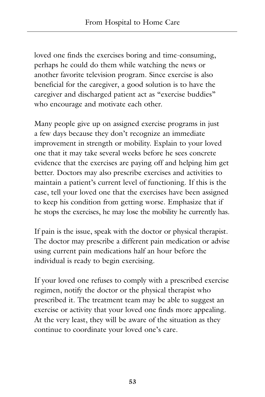loved one finds the exercises boring and time-consuming, perhaps he could do them while watching the news or another favorite television program. Since exercise is also beneficial for the caregiver, a good solution is to have the caregiver and discharged patient act as "exercise buddies" who encourage and motivate each other.

Many people give up on assigned exercise programs in just a few days because they don't recognize an immediate improvement in strength or mobility. Explain to your loved one that it may take several weeks before he sees concrete evidence that the exercises are paying off and helping him get better. Doctors may also prescribe exercises and activities to maintain a patient's current level of functioning. If this is the case, tell your loved one that the exercises have been assigned to keep his condition from getting worse. Emphasize that if he stops the exercises, he may lose the mobility he currently has.

If pain is the issue, speak with the doctor or physical therapist. The doctor may prescribe a different pain medication or advise using current pain medications half an hour before the individual is ready to begin exercising.

If your loved one refuses to comply with a prescribed exercise regimen, notify the doctor or the physical therapist who prescribed it. The treatment team may be able to suggest an exercise or activity that your loved one finds more appealing. At the very least, they will be aware of the situation as they continue to coordinate your loved one's care.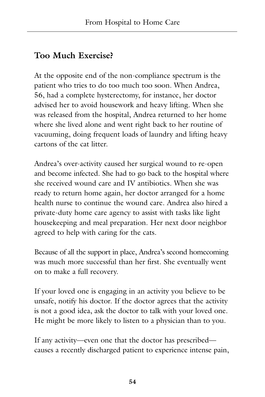#### **Too Much Exercise?**

At the opposite end of the non-compliance spectrum is the patient who tries to do too much too soon. When Andrea, 56, had a complete hysterectomy, for instance, her doctor advised her to avoid housework and heavy lifting. When she was released from the hospital, Andrea returned to her home where she lived alone and went right back to her routine of vacuuming, doing frequent loads of laundry and lifting heavy cartons of the cat litter.

Andrea's over-activity caused her surgical wound to re-open and become infected. She had to go back to the hospital where she received wound care and IV antibiotics. When she was ready to return home again, her doctor arranged for a home health nurse to continue the wound care. Andrea also hired a private-duty home care agency to assist with tasks like light housekeeping and meal preparation. Her next door neighbor agreed to help with caring for the cats.

Because of all the support in place, Andrea's second homecoming was much more successful than her first. She eventually went on to make a full recovery.

If your loved one is engaging in an activity you believe to be unsafe, notify his doctor. If the doctor agrees that the activity is not a good idea, ask the doctor to talk with your loved one. He might be more likely to listen to a physician than to you.

If any activity—even one that the doctor has prescribed causes a recently discharged patient to experience intense pain,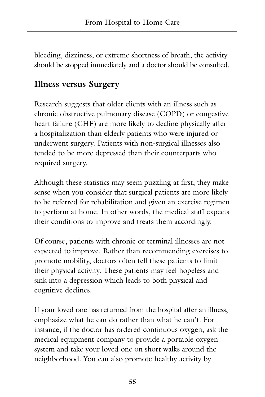bleeding, dizziness, or extreme shortness of breath, the activity should be stopped immediately and a doctor should be consulted.

### **Illness versus Surgery**

Research suggests that older clients with an illness such as chronic obstructive pulmonary disease (COPD) or congestive heart failure (CHF) are more likely to decline physically after a hospitalization than elderly patients who were injured or underwent surgery. Patients with non-surgical illnesses also tended to be more depressed than their counterparts who required surgery.

Although these statistics may seem puzzling at first, they make sense when you consider that surgical patients are more likely to be referred for rehabilitation and given an exercise regimen to perform at home. In other words, the medical staff expects their conditions to improve and treats them accordingly.

Of course, patients with chronic or terminal illnesses are not expected to improve. Rather than recommending exercises to promote mobility, doctors often tell these patients to limit their physical activity. These patients may feel hopeless and sink into a depression which leads to both physical and cognitive declines.

If your loved one has returned from the hospital after an illness, emphasize what he can do rather than what he can't. For instance, if the doctor has ordered continuous oxygen, ask the medical equipment company to provide a portable oxygen system and take your loved one on short walks around the neighborhood. You can also promote healthy activity by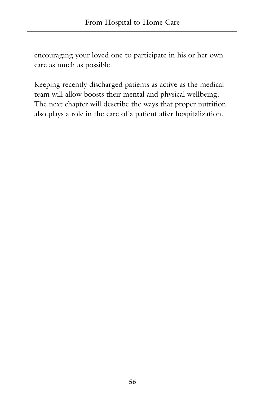encouraging your loved one to participate in his or her own care as much as possible.

Keeping recently discharged patients as active as the medical team will allow boosts their mental and physical wellbeing. The next chapter will describe the ways that proper nutrition also plays a role in the care of a patient after hospitalization.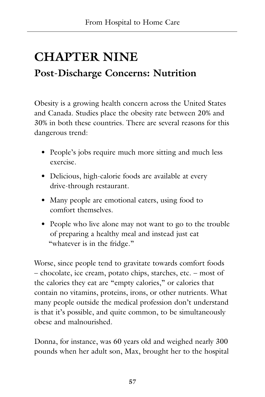## **CHAPTER NINE Post-Discharge Concerns: Nutrition**

Obesity is a growing health concern across the United States and Canada. Studies place the obesity rate between 20% and 30% in both these countries. There are several reasons for this dangerous trend:

- People's jobs require much more sitting and much less exercise.
- Delicious, high-calorie foods are available at every drive-through restaurant.
- Many people are emotional eaters, using food to comfort themselves.
- People who live alone may not want to go to the trouble of preparing a healthy meal and instead just eat "whatever is in the fridge."

Worse, since people tend to gravitate towards comfort foods – chocolate, ice cream, potato chips, starches, etc. – most of the calories they eat are "empty calories," or calories that contain no vitamins, proteins, irons, or other nutrients. What many people outside the medical profession don't understand is that it's possible, and quite common, to be simultaneously obese and malnourished.

Donna, for instance, was 60 years old and weighed nearly 300 pounds when her adult son, Max, brought her to the hospital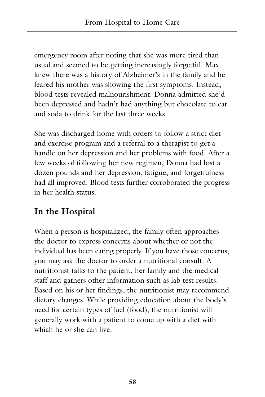emergency room after noting that she was more tired than usual and seemed to be getting increasingly forgetful. Max knew there was a history of Alzheimer's in the family and he feared his mother was showing the first symptoms. Instead, blood tests revealed malnourishment. Donna admitted she'd been depressed and hadn't had anything but chocolate to eat and soda to drink for the last three weeks.

She was discharged home with orders to follow a strict diet and exercise program and a referral to a therapist to get a handle on her depression and her problems with food. After a few weeks of following her new regimen, Donna had lost a dozen pounds and her depression, fatigue, and forgetfulness had all improved. Blood tests further corroborated the progress in her health status.

## **In the Hospital**

When a person is hospitalized, the family often approaches the doctor to express concerns about whether or not the individual has been eating properly. If you have those concerns, you may ask the doctor to order a nutritional consult. A nutritionist talks to the patient, her family and the medical staff and gathers other information such as lab test results. Based on his or her findings, the nutritionist may recommend dietary changes. While providing education about the body's need for certain types of fuel (food), the nutritionist will generally work with a patient to come up with a diet with which he or she can live.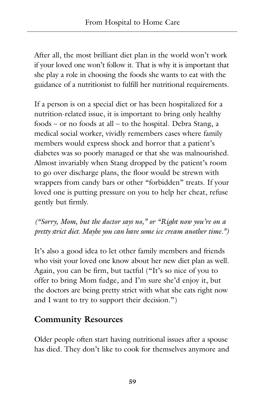After all, the most brilliant diet plan in the world won't work if your loved one won't follow it. That is why it is important that she play a role in choosing the foods she wants to eat with the guidance of a nutritionist to fulfill her nutritional requirements.

If a person is on a special diet or has been hospitalized for a nutrition-related issue, it is important to bring only healthy foods – or no foods at all – to the hospital. Debra Stang, a medical social worker, vividly remembers cases where family members would express shock and horror that a patient's diabetes was so poorly managed or that she was malnourished. Almost invariably when Stang dropped by the patient's room to go over discharge plans, the floor would be strewn with wrappers from candy bars or other "forbidden" treats. If your loved one is putting pressure on you to help her cheat, refuse gently but firmly.

*("Sorry, Mom, but the doctor says no," or "Right now you're on a pretty strict diet. Maybe you can have some ice cream another time.")*

It's also a good idea to let other family members and friends who visit your loved one know about her new diet plan as well. Again, you can be firm, but tactful ("It's so nice of you to offer to bring Mom fudge, and I'm sure she'd enjoy it, but the doctors are being pretty strict with what she eats right now and I want to try to support their decision.")

#### **Community Resources**

Older people often start having nutritional issues after a spouse has died. They don't like to cook for themselves anymore and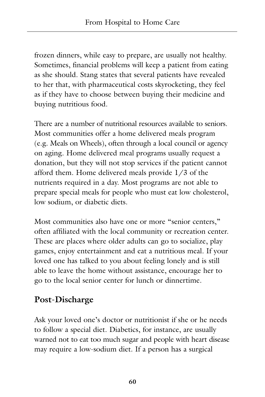frozen dinners, while easy to prepare, are usually not healthy. Sometimes, financial problems will keep a patient from eating as she should. Stang states that several patients have revealed to her that, with pharmaceutical costs skyrocketing, they feel as if they have to choose between buying their medicine and buying nutritious food.

There are a number of nutritional resources available to seniors. Most communities offer a home delivered meals program (e.g. Meals on Wheels), often through a local council or agency on aging. Home delivered meal programs usually request a donation, but they will not stop services if the patient cannot afford them. Home delivered meals provide 1/3 of the nutrients required in a day. Most programs are not able to prepare special meals for people who must eat low cholesterol, low sodium, or diabetic diets.

Most communities also have one or more "senior centers," often affiliated with the local community or recreation center. These are places where older adults can go to socialize, play games, enjoy entertainment and eat a nutritious meal. If your loved one has talked to you about feeling lonely and is still able to leave the home without assistance, encourage her to go to the local senior center for lunch or dinnertime.

#### **Post-Discharge**

Ask your loved one's doctor or nutritionist if she or he needs to follow a special diet. Diabetics, for instance, are usually warned not to eat too much sugar and people with heart disease may require a low-sodium diet. If a person has a surgical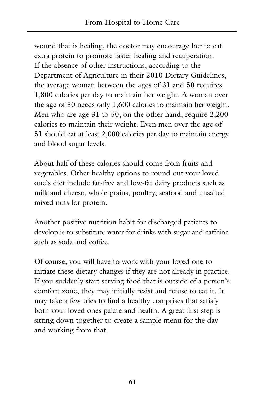wound that is healing, the doctor may encourage her to eat extra protein to promote faster healing and recuperation. If the absence of other instructions, according to the Department of Agriculture in their 2010 Dietary Guidelines, the average woman between the ages of 31 and 50 requires 1,800 calories per day to maintain her weight. A woman over the age of 50 needs only 1,600 calories to maintain her weight. Men who are age 31 to 50, on the other hand, require 2,200 calories to maintain their weight. Even men over the age of 51 should eat at least 2,000 calories per day to maintain energy and blood sugar levels.

About half of these calories should come from fruits and vegetables. Other healthy options to round out your loved one's diet include fat-free and low-fat dairy products such as milk and cheese, whole grains, poultry, seafood and unsalted mixed nuts for protein.

Another positive nutrition habit for discharged patients to develop is to substitute water for drinks with sugar and caffeine such as soda and coffee.

Of course, you will have to work with your loved one to initiate these dietary changes if they are not already in practice. If you suddenly start serving food that is outside of a person's comfort zone, they may initially resist and refuse to eat it. It may take a few tries to find a healthy comprises that satisfy both your loved ones palate and health. A great first step is sitting down together to create a sample menu for the day and working from that.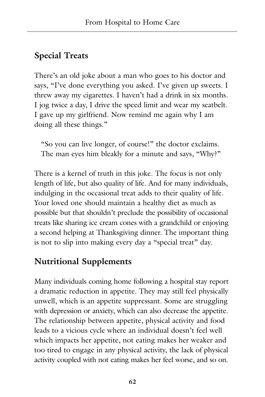#### **Special Treats**

There's an old joke about a man who goes to his doctor and says, "I've done everything you asked. I've given up sweets. I threw away my cigarettes. I haven't had a drink in six months. I jog twice a day, I drive the speed limit and wear my seatbelt. I gave up my girlfriend. Now remind me again why I am doing all these things."

"So you can live longer, of course!" the doctor exclaims. The man eyes him bleakly for a minute and says, "Why?"

There is a kernel of truth in this joke. The focus is not only length of life, but also quality of life. And for many individuals, indulging in the occasional treat adds to their quality of life. Your loved one should maintain a healthy diet as much as possible but that shouldn't preclude the possibility of occasional treats like sharing ice cream cones with a grandchild or enjoying a second helping at Thanksgiving dinner. The important thing is not to slip into making every day a "special treat" day.

#### **Nutritional Supplements**

Many individuals coming home following a hospital stay report a dramatic reduction in appetite. They may still feel physically unwell, which is an appetite suppressant. Some are struggling with depression or anxiety, which can also decrease the appetite. The relationship between appetite, physical activity and food leads to a vicious cycle where an individual doesn't feel well which impacts her appetite, not eating makes her weaker and too tired to engage in any physical activity, the lack of physical activity coupled with not eating makes her feel worse, and so on.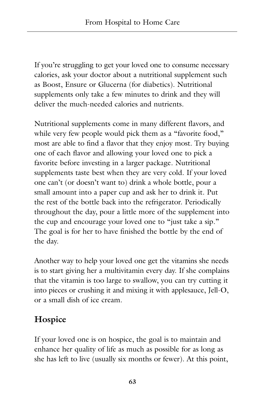If you're struggling to get your loved one to consume necessary calories, ask your doctor about a nutritional supplement such as Boost, Ensure or Glucerna (for diabetics). Nutritional supplements only take a few minutes to drink and they will deliver the much-needed calories and nutrients.

Nutritional supplements come in many different flavors, and while very few people would pick them as a "favorite food," most are able to find a flavor that they enjoy most. Try buying one of each flavor and allowing your loved one to pick a favorite before investing in a larger package. Nutritional supplements taste best when they are very cold. If your loved one can't (or doesn't want to) drink a whole bottle, pour a small amount into a paper cup and ask her to drink it. Put the rest of the bottle back into the refrigerator. Periodically throughout the day, pour a little more of the supplement into the cup and encourage your loved one to "just take a sip." The goal is for her to have finished the bottle by the end of the day.

Another way to help your loved one get the vitamins she needs is to start giving her a multivitamin every day. If she complains that the vitamin is too large to swallow, you can try cutting it into pieces or crushing it and mixing it with applesauce, Jell-O, or a small dish of ice cream.

## **Hospice**

If your loved one is on hospice, the goal is to maintain and enhance her quality of life as much as possible for as long as she has left to live (usually six months or fewer). At this point,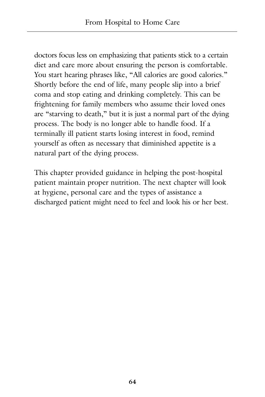doctors focus less on emphasizing that patients stick to a certain diet and care more about ensuring the person is comfortable. You start hearing phrases like, "All calories are good calories." Shortly before the end of life, many people slip into a brief coma and stop eating and drinking completely. This can be frightening for family members who assume their loved ones are "starving to death," but it is just a normal part of the dying process. The body is no longer able to handle food. If a terminally ill patient starts losing interest in food, remind yourself as often as necessary that diminished appetite is a natural part of the dying process.

This chapter provided guidance in helping the post-hospital patient maintain proper nutrition. The next chapter will look at hygiene, personal care and the types of assistance a discharged patient might need to feel and look his or her best.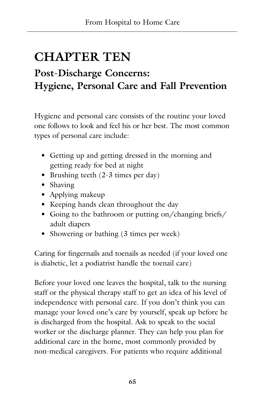## **CHAPTER TEN**

## **Post-Discharge Concerns: Hygiene, Personal Care and Fall Prevention**

Hygiene and personal care consists of the routine your loved one follows to look and feel his or her best. The most common types of personal care include:

- Getting up and getting dressed in the morning and getting ready for bed at night
- Brushing teeth (2-3 times per day)
- Shaving
- Applying makeup
- Keeping hands clean throughout the day
- Going to the bathroom or putting on/changing briefs/ adult diapers
- Showering or bathing (3 times per week)

Caring for fingernails and toenails as needed (if your loved one is diabetic, let a podiatrist handle the toenail care)

Before your loved one leaves the hospital, talk to the nursing staff or the physical therapy staff to get an idea of his level of independence with personal care. If you don't think you can manage your loved one's care by yourself, speak up before he is discharged from the hospital. Ask to speak to the social worker or the discharge planner. They can help you plan for additional care in the home, most commonly provided by non-medical caregivers. For patients who require additional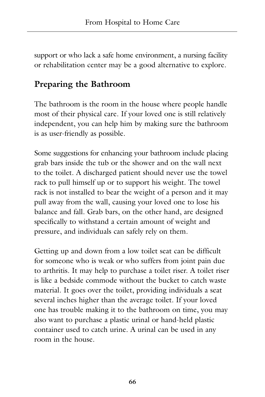support or who lack a safe home environment, a nursing facility or rehabilitation center may be a good alternative to explore.

#### **Preparing the Bathroom**

The bathroom is the room in the house where people handle most of their physical care. If your loved one is still relatively independent, you can help him by making sure the bathroom is as user-friendly as possible.

Some suggestions for enhancing your bathroom include placing grab bars inside the tub or the shower and on the wall next to the toilet. A discharged patient should never use the towel rack to pull himself up or to support his weight. The towel rack is not installed to bear the weight of a person and it may pull away from the wall, causing your loved one to lose his balance and fall. Grab bars, on the other hand, are designed specifically to withstand a certain amount of weight and pressure, and individuals can safely rely on them.

Getting up and down from a low toilet seat can be difficult for someone who is weak or who suffers from joint pain due to arthritis. It may help to purchase a toilet riser. A toilet riser is like a bedside commode without the bucket to catch waste material. It goes over the toilet, providing individuals a seat several inches higher than the average toilet. If your loved one has trouble making it to the bathroom on time, you may also want to purchase a plastic urinal or hand-held plastic container used to catch urine. A urinal can be used in any room in the house.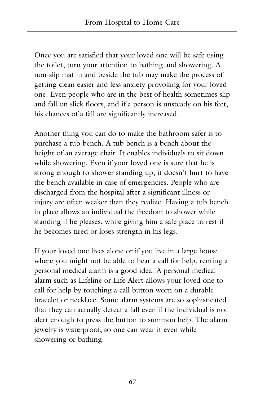Once you are satisfied that your loved one will be safe using the toilet, turn your attention to bathing and showering. A non-slip mat in and beside the tub may make the process of getting clean easier and less anxiety-provoking for your loved one. Even people who are in the best of health sometimes slip and fall on slick floors, and if a person is unsteady on his feet, his chances of a fall are significantly increased.

Another thing you can do to make the bathroom safer is to purchase a tub bench. A tub bench is a bench about the height of an average chair. It enables individuals to sit down while showering. Even if your loved one is sure that he is strong enough to shower standing up, it doesn't hurt to have the bench available in case of emergencies. People who are discharged from the hospital after a significant illness or injury are often weaker than they realize. Having a tub bench in place allows an individual the freedom to shower while standing if he pleases, while giving him a safe place to rest if he becomes tired or loses strength in his legs.

If your loved one lives alone or if you live in a large house where you might not be able to hear a call for help, renting a personal medical alarm is a good idea. A personal medical alarm such as Lifeline or Life Alert allows your loved one to call for help by touching a call button worn on a durable bracelet or necklace. Some alarm systems are so sophisticated that they can actually detect a fall even if the individual is not alert enough to press the button to summon help. The alarm jewelry is waterproof, so one can wear it even while showering or bathing.

**67**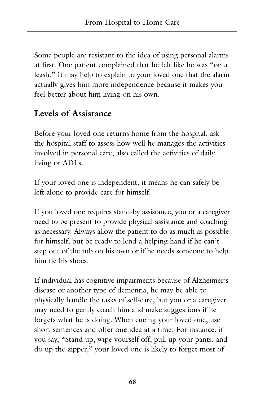Some people are resistant to the idea of using personal alarms at first. One patient complained that he felt like he was "on a leash." It may help to explain to your loved one that the alarm actually gives him more independence because it makes you feel better about him living on his own.

### **Levels of Assistance**

Before your loved one returns home from the hospital, ask the hospital staff to assess how well he manages the activities involved in personal care, also called the activities of daily living or ADLs.

If your loved one is independent, it means he can safely be left alone to provide care for himself.

If you loved one requires stand-by assistance, you or a caregiver need to be present to provide physical assistance and coaching as necessary. Always allow the patient to do as much as possible for himself, but be ready to lend a helping hand if he can't step out of the tub on his own or if he needs someone to help him tie his shoes.

If individual has cognitive impairments because of Alzheimer's disease or another type of dementia, he may be able to physically handle the tasks of self-care, but you or a caregiver may need to gently coach him and make suggestions if he forgets what he is doing. When cueing your loved one, use short sentences and offer one idea at a time. For instance, if you say, "Stand up, wipe yourself off, pull up your pants, and do up the zipper," your loved one is likely to forget most of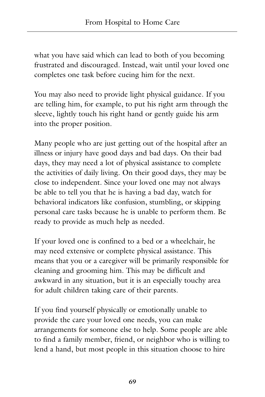what you have said which can lead to both of you becoming frustrated and discouraged. Instead, wait until your loved one completes one task before cueing him for the next.

You may also need to provide light physical guidance. If you are telling him, for example, to put his right arm through the sleeve, lightly touch his right hand or gently guide his arm into the proper position.

Many people who are just getting out of the hospital after an illness or injury have good days and bad days. On their bad days, they may need a lot of physical assistance to complete the activities of daily living. On their good days, they may be close to independent. Since your loved one may not always be able to tell you that he is having a bad day, watch for behavioral indicators like confusion, stumbling, or skipping personal care tasks because he is unable to perform them. Be ready to provide as much help as needed.

If your loved one is confined to a bed or a wheelchair, he may need extensive or complete physical assistance. This means that you or a caregiver will be primarily responsible for cleaning and grooming him. This may be difficult and awkward in any situation, but it is an especially touchy area for adult children taking care of their parents.

If you find yourself physically or emotionally unable to provide the care your loved one needs, you can make arrangements for someone else to help. Some people are able to find a family member, friend, or neighbor who is willing to lend a hand, but most people in this situation choose to hire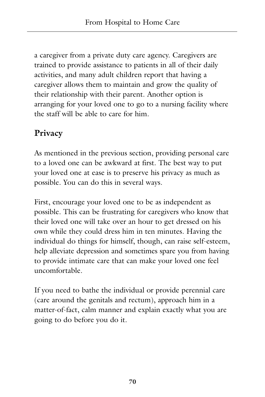a caregiver from a private duty care agency. Caregivers are trained to provide assistance to patients in all of their daily activities, and many adult children report that having a caregiver allows them to maintain and grow the quality of their relationship with their parent. Another option is arranging for your loved one to go to a nursing facility where the staff will be able to care for him.

### **Privacy**

As mentioned in the previous section, providing personal care to a loved one can be awkward at first. The best way to put your loved one at ease is to preserve his privacy as much as possible. You can do this in several ways.

First, encourage your loved one to be as independent as possible. This can be frustrating for caregivers who know that their loved one will take over an hour to get dressed on his own while they could dress him in ten minutes. Having the individual do things for himself, though, can raise self-esteem, help alleviate depression and sometimes spare you from having to provide intimate care that can make your loved one feel uncomfortable.

If you need to bathe the individual or provide perennial care (care around the genitals and rectum), approach him in a matter-of-fact, calm manner and explain exactly what you are going to do before you do it.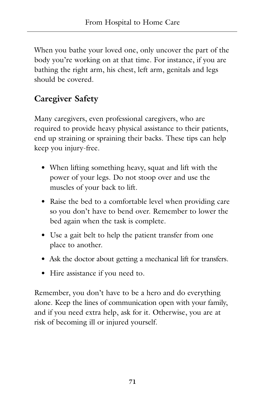When you bathe your loved one, only uncover the part of the body you're working on at that time. For instance, if you are bathing the right arm, his chest, left arm, genitals and legs should be covered.

## **Caregiver Safety**

Many caregivers, even professional caregivers, who are required to provide heavy physical assistance to their patients, end up straining or spraining their backs. These tips can help keep you injury-free.

- When lifting something heavy, squat and lift with the power of your legs. Do not stoop over and use the muscles of your back to lift.
- Raise the bed to a comfortable level when providing care so you don't have to bend over. Remember to lower the bed again when the task is complete.
- Use a gait belt to help the patient transfer from one place to another.
- Ask the doctor about getting a mechanical lift for transfers.
- Hire assistance if you need to.

Remember, you don't have to be a hero and do everything alone. Keep the lines of communication open with your family, and if you need extra help, ask for it. Otherwise, you are at risk of becoming ill or injured yourself.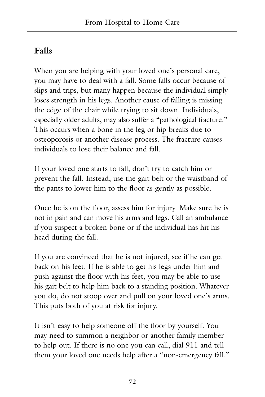## **Falls**

When you are helping with your loved one's personal care, you may have to deal with a fall. Some falls occur because of slips and trips, but many happen because the individual simply loses strength in his legs. Another cause of falling is missing the edge of the chair while trying to sit down. Individuals, especially older adults, may also suffer a "pathological fracture." This occurs when a bone in the leg or hip breaks due to osteoporosis or another disease process. The fracture causes individuals to lose their balance and fall.

If your loved one starts to fall, don't try to catch him or prevent the fall. Instead, use the gait belt or the waistband of the pants to lower him to the floor as gently as possible.

Once he is on the floor, assess him for injury. Make sure he is not in pain and can move his arms and legs. Call an ambulance if you suspect a broken bone or if the individual has hit his head during the fall.

If you are convinced that he is not injured, see if he can get back on his feet. If he is able to get his legs under him and push against the floor with his feet, you may be able to use his gait belt to help him back to a standing position. Whatever you do, do not stoop over and pull on your loved one's arms. This puts both of you at risk for injury.

It isn't easy to help someone off the floor by yourself. You may need to summon a neighbor or another family member to help out. If there is no one you can call, dial 911 and tell them your loved one needs help after a "non-emergency fall."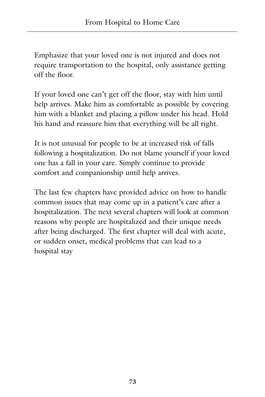Emphasize that your loved one is not injured and does not require transportation to the hospital, only assistance getting off the floor.

If your loved one can't get off the floor, stay with him until help arrives. Make him as comfortable as possible by covering him with a blanket and placing a pillow under his head. Hold his hand and reassure him that everything will be all right.

It is not unusual for people to be at increased risk of falls following a hospitalization. Do not blame yourself if your loved one has a fall in your care. Simply continue to provide comfort and companionship until help arrives.

The last few chapters have provided advice on how to handle common issues that may come up in a patient's care after a hospitalization. The next several chapters will look at common reasons why people are hospitalized and their unique needs after being discharged. The first chapter will deal with acute, or sudden onset, medical problems that can lead to a hospital stay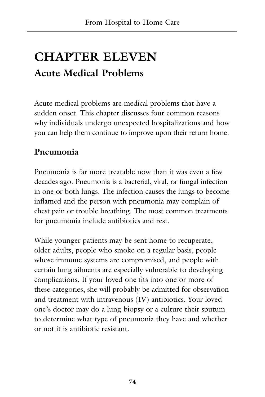# **CHAPTER ELEVEN Acute Medical Problems**

Acute medical problems are medical problems that have a sudden onset. This chapter discusses four common reasons why individuals undergo unexpected hospitalizations and how you can help them continue to improve upon their return home.

## **Pneumonia**

Pneumonia is far more treatable now than it was even a few decades ago. Pneumonia is a bacterial, viral, or fungal infection in one or both lungs. The infection causes the lungs to become inflamed and the person with pneumonia may complain of chest pain or trouble breathing. The most common treatments for pneumonia include antibiotics and rest.

While younger patients may be sent home to recuperate, older adults, people who smoke on a regular basis, people whose immune systems are compromised, and people with certain lung ailments are especially vulnerable to developing complications. If your loved one fits into one or more of these categories, she will probably be admitted for observation and treatment with intravenous (IV) antibiotics. Your loved one's doctor may do a lung biopsy or a culture their sputum to determine what type of pneumonia they have and whether or not it is antibiotic resistant.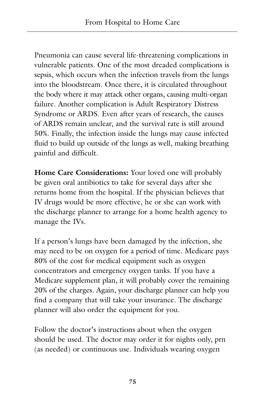Pneumonia can cause several life-threatening complications in vulnerable patients. One of the most dreaded complications is sepsis, which occurs when the infection travels from the lungs into the bloodstream. Once there, it is circulated throughout the body where it may attack other organs, causing multi-organ failure. Another complication is Adult Respiratory Distress Syndrome or ARDS. Even after years of research, the causes of ARDS remain unclear, and the survival rate is still around 50%. Finally, the infection inside the lungs may cause infected fluid to build up outside of the lungs as well, making breathing painful and difficult.

**Home Care Considerations:** Your loved one will probably be given oral antibiotics to take for several days after she returns home from the hospital. If the physician believes that IV drugs would be more effective, he or she can work with the discharge planner to arrange for a home health agency to manage the IVs.

If a person's lungs have been damaged by the infection, she may need to be on oxygen for a period of time. Medicare pays 80% of the cost for medical equipment such as oxygen concentrators and emergency oxygen tanks. If you have a Medicare supplement plan, it will probably cover the remaining 20% of the charges. Again, your discharge planner can help you find a company that will take your insurance. The discharge planner will also order the equipment for you.

Follow the doctor's instructions about when the oxygen should be used. The doctor may order it for nights only, prn (as needed) or continuous use. Individuals wearing oxygen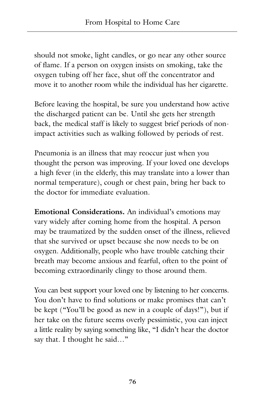should not smoke, light candles, or go near any other source of flame. If a person on oxygen insists on smoking, take the oxygen tubing off her face, shut off the concentrator and move it to another room while the individual has her cigarette.

Before leaving the hospital, be sure you understand how active the discharged patient can be. Until she gets her strength back, the medical staff is likely to suggest brief periods of nonimpact activities such as walking followed by periods of rest.

Pneumonia is an illness that may reoccur just when you thought the person was improving. If your loved one develops a high fever (in the elderly, this may translate into a lower than normal temperature), cough or chest pain, bring her back to the doctor for immediate evaluation.

**Emotional Considerations.** An individual's emotions may vary widely after coming home from the hospital. A person may be traumatized by the sudden onset of the illness, relieved that she survived or upset because she now needs to be on oxygen. Additionally, people who have trouble catching their breath may become anxious and fearful, often to the point of becoming extraordinarily clingy to those around them.

You can best support your loved one by listening to her concerns. You don't have to find solutions or make promises that can't be kept ("You'll be good as new in a couple of days!"), but if her take on the future seems overly pessimistic, you can inject a little reality by saying something like, "I didn't hear the doctor say that. I thought he said…"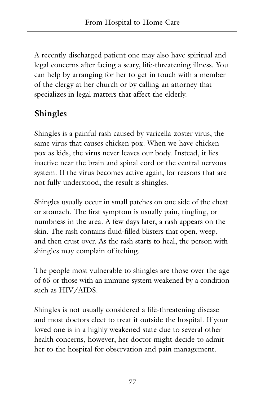A recently discharged patient one may also have spiritual and legal concerns after facing a scary, life-threatening illness. You can help by arranging for her to get in touch with a member of the clergy at her church or by calling an attorney that specializes in legal matters that affect the elderly.

## **Shingles**

Shingles is a painful rash caused by varicella-zoster virus, the same virus that causes chicken pox. When we have chicken pox as kids, the virus never leaves our body. Instead, it lies inactive near the brain and spinal cord or the central nervous system. If the virus becomes active again, for reasons that are not fully understood, the result is shingles.

Shingles usually occur in small patches on one side of the chest or stomach. The first symptom is usually pain, tingling, or numbness in the area. A few days later, a rash appears on the skin. The rash contains fluid-filled blisters that open, weep, and then crust over. As the rash starts to heal, the person with shingles may complain of itching.

The people most vulnerable to shingles are those over the age of 65 or those with an immune system weakened by a condition such as HIV/AIDS.

Shingles is not usually considered a life-threatening disease and most doctors elect to treat it outside the hospital. If your loved one is in a highly weakened state due to several other health concerns, however, her doctor might decide to admit her to the hospital for observation and pain management.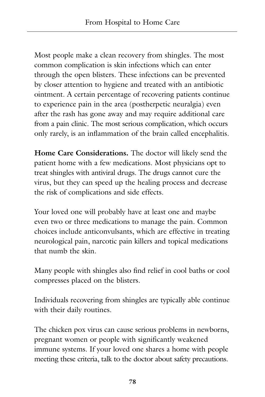Most people make a clean recovery from shingles. The most common complication is skin infections which can enter through the open blisters. These infections can be prevented by closer attention to hygiene and treated with an antibiotic ointment. A certain percentage of recovering patients continue to experience pain in the area (postherpetic neuralgia) even after the rash has gone away and may require additional care from a pain clinic. The most serious complication, which occurs only rarely, is an inflammation of the brain called encephalitis.

**Home Care Considerations.** The doctor will likely send the patient home with a few medications. Most physicians opt to treat shingles with antiviral drugs. The drugs cannot cure the virus, but they can speed up the healing process and decrease the risk of complications and side effects.

Your loved one will probably have at least one and maybe even two or three medications to manage the pain. Common choices include anticonvulsants, which are effective in treating neurological pain, narcotic pain killers and topical medications that numb the skin.

Many people with shingles also find relief in cool baths or cool compresses placed on the blisters.

Individuals recovering from shingles are typically able continue with their daily routines.

The chicken pox virus can cause serious problems in newborns, pregnant women or people with significantly weakened immune systems. If your loved one shares a home with people meeting these criteria, talk to the doctor about safety precautions.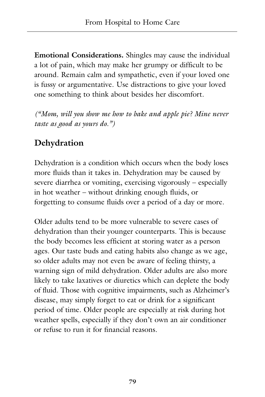**Emotional Considerations.** Shingles may cause the individual a lot of pain, which may make her grumpy or difficult to be around. Remain calm and sympathetic, even if your loved one is fussy or argumentative. Use distractions to give your loved one something to think about besides her discomfort.

*("Mom, will you show me how to bake and apple pie? Mine never taste as good as yours do.")*

#### **Dehydration**

Dehydration is a condition which occurs when the body loses more fluids than it takes in. Dehydration may be caused by severe diarrhea or vomiting, exercising vigorously – especially in hot weather – without drinking enough fluids, or forgetting to consume fluids over a period of a day or more.

Older adults tend to be more vulnerable to severe cases of dehydration than their younger counterparts. This is because the body becomes less efficient at storing water as a person ages. Our taste buds and eating habits also change as we age, so older adults may not even be aware of feeling thirsty, a warning sign of mild dehydration. Older adults are also more likely to take laxatives or diuretics which can deplete the body of fluid. Those with cognitive impairments, such as Alzheimer's disease, may simply forget to eat or drink for a significant period of time. Older people are especially at risk during hot weather spells, especially if they don't own an air conditioner or refuse to run it for financial reasons.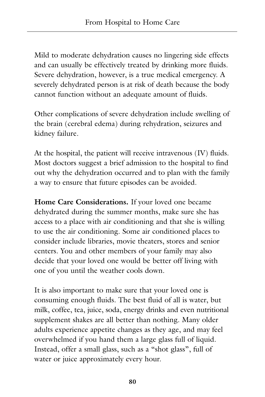Mild to moderate dehydration causes no lingering side effects and can usually be effectively treated by drinking more fluids. Severe dehydration, however, is a true medical emergency. A severely dehydrated person is at risk of death because the body cannot function without an adequate amount of fluids.

Other complications of severe dehydration include swelling of the brain (cerebral edema) during rehydration, seizures and kidney failure.

At the hospital, the patient will receive intravenous (IV) fluids. Most doctors suggest a brief admission to the hospital to find out why the dehydration occurred and to plan with the family a way to ensure that future episodes can be avoided.

**Home Care Considerations.** If your loved one became dehydrated during the summer months, make sure she has access to a place with air conditioning and that she is willing to use the air conditioning. Some air conditioned places to consider include libraries, movie theaters, stores and senior centers. You and other members of your family may also decide that your loved one would be better off living with one of you until the weather cools down.

It is also important to make sure that your loved one is consuming enough fluids. The best fluid of all is water, but milk, coffee, tea, juice, soda, energy drinks and even nutritional supplement shakes are all better than nothing. Many older adults experience appetite changes as they age, and may feel overwhelmed if you hand them a large glass full of liquid. Instead, offer a small glass, such as a "shot glass", full of water or juice approximately every hour.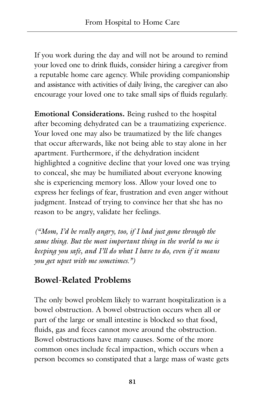If you work during the day and will not be around to remind your loved one to drink fluids, consider hiring a caregiver from a reputable home care agency. While providing companionship and assistance with activities of daily living, the caregiver can also encourage your loved one to take small sips of fluids regularly.

**Emotional Considerations.** Being rushed to the hospital after becoming dehydrated can be a traumatizing experience. Your loved one may also be traumatized by the life changes that occur afterwards, like not being able to stay alone in her apartment. Furthermore, if the dehydration incident highlighted a cognitive decline that your loved one was trying to conceal, she may be humiliated about everyone knowing she is experiencing memory loss. Allow your loved one to express her feelings of fear, frustration and even anger without judgment. Instead of trying to convince her that she has no reason to be angry, validate her feelings.

*("Mom, I'd be really angry, too, if I had just gone through the same thing. But the most important thing in the world to me is keeping you safe, and I'll do what I have to do, even if it means you get upset with me sometimes.")*

## **Bowel-Related Problems**

The only bowel problem likely to warrant hospitalization is a bowel obstruction. A bowel obstruction occurs when all or part of the large or small intestine is blocked so that food, fluids, gas and feces cannot move around the obstruction. Bowel obstructions have many causes. Some of the more common ones include fecal impaction, which occurs when a person becomes so constipated that a large mass of waste gets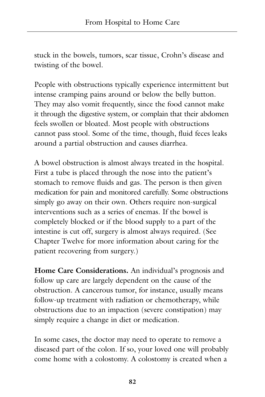stuck in the bowels, tumors, scar tissue, Crohn's disease and twisting of the bowel.

People with obstructions typically experience intermittent but intense cramping pains around or below the belly button. They may also vomit frequently, since the food cannot make it through the digestive system, or complain that their abdomen feels swollen or bloated. Most people with obstructions cannot pass stool. Some of the time, though, fluid feces leaks around a partial obstruction and causes diarrhea.

A bowel obstruction is almost always treated in the hospital. First a tube is placed through the nose into the patient's stomach to remove fluids and gas. The person is then given medication for pain and monitored carefully. Some obstructions simply go away on their own. Others require non-surgical interventions such as a series of enemas. If the bowel is completely blocked or if the blood supply to a part of the intestine is cut off, surgery is almost always required. (See Chapter Twelve for more information about caring for the patient recovering from surgery.)

**Home Care Considerations.** An individual's prognosis and follow up care are largely dependent on the cause of the obstruction. A cancerous tumor, for instance, usually means follow-up treatment with radiation or chemotherapy, while obstructions due to an impaction (severe constipation) may simply require a change in diet or medication.

In some cases, the doctor may need to operate to remove a diseased part of the colon. If so, your loved one will probably come home with a colostomy. A colostomy is created when a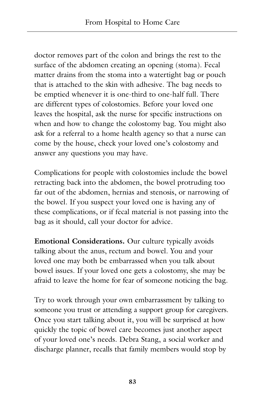doctor removes part of the colon and brings the rest to the surface of the abdomen creating an opening (stoma). Fecal matter drains from the stoma into a watertight bag or pouch that is attached to the skin with adhesive. The bag needs to be emptied whenever it is one-third to one-half full. There are different types of colostomies. Before your loved one leaves the hospital, ask the nurse for specific instructions on when and how to change the colostomy bag. You might also ask for a referral to a home health agency so that a nurse can come by the house, check your loved one's colostomy and answer any questions you may have.

Complications for people with colostomies include the bowel retracting back into the abdomen, the bowel protruding too far out of the abdomen, hernias and stenosis, or narrowing of the bowel. If you suspect your loved one is having any of these complications, or if fecal material is not passing into the bag as it should, call your doctor for advice.

**Emotional Considerations.** Our culture typically avoids talking about the anus, rectum and bowel. You and your loved one may both be embarrassed when you talk about bowel issues. If your loved one gets a colostomy, she may be afraid to leave the home for fear of someone noticing the bag.

Try to work through your own embarrassment by talking to someone you trust or attending a support group for caregivers. Once you start talking about it, you will be surprised at how quickly the topic of bowel care becomes just another aspect of your loved one's needs. Debra Stang, a social worker and discharge planner, recalls that family members would stop by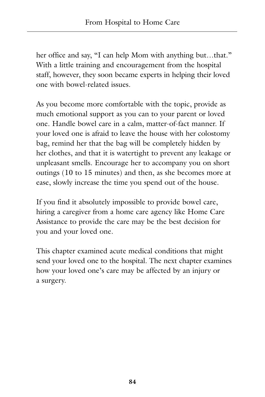her office and say, "I can help Mom with anything but...that." With a little training and encouragement from the hospital staff, however, they soon became experts in helping their loved one with bowel-related issues.

As you become more comfortable with the topic, provide as much emotional support as you can to your parent or loved one. Handle bowel care in a calm, matter-of-fact manner. If your loved one is afraid to leave the house with her colostomy bag, remind her that the bag will be completely hidden by her clothes, and that it is watertight to prevent any leakage or unpleasant smells. Encourage her to accompany you on short outings (10 to 15 minutes) and then, as she becomes more at ease, slowly increase the time you spend out of the house.

If you find it absolutely impossible to provide bowel care, hiring a caregiver from a home care agency like Home Care Assistance to provide the care may be the best decision for you and your loved one.

This chapter examined acute medical conditions that might send your loved one to the hospital. The next chapter examines how your loved one's care may be affected by an injury or a surgery.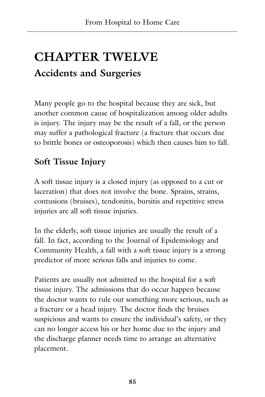# **CHAPTER TWELVE Accidents and Surgeries**

Many people go to the hospital because they are sick, but another common cause of hospitalization among older adults is injury. The injury may be the result of a fall, or the person may suffer a pathological fracture (a fracture that occurs due to brittle bones or osteoporosis) which then causes him to fall.

## **Soft Tissue Injury**

A soft tissue injury is a closed injury (as opposed to a cut or laceration) that does not involve the bone. Sprains, strains, contusions (bruises), tendonitis, bursitis and repetitive stress injuries are all soft tissue injuries.

In the elderly, soft tissue injuries are usually the result of a fall. In fact, according to the Journal of Epidemiology and Community Health, a fall with a soft tissue injury is a strong predictor of more serious falls and injuries to come.

Patients are usually not admitted to the hospital for a soft tissue injury. The admissions that do occur happen because the doctor wants to rule out something more serious, such as a fracture or a head injury. The doctor finds the bruises suspicious and wants to ensure the individual's safety, or they can no longer access his or her home due to the injury and the discharge planner needs time to arrange an alternative placement.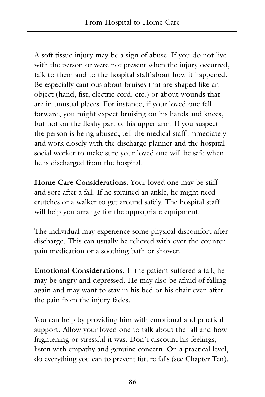A soft tissue injury may be a sign of abuse. If you do not live with the person or were not present when the injury occurred, talk to them and to the hospital staff about how it happened. Be especially cautious about bruises that are shaped like an object (hand, fist, electric cord, etc.) or about wounds that are in unusual places. For instance, if your loved one fell forward, you might expect bruising on his hands and knees, but not on the fleshy part of his upper arm. If you suspect the person is being abused, tell the medical staff immediately and work closely with the discharge planner and the hospital social worker to make sure your loved one will be safe when he is discharged from the hospital.

**Home Care Considerations.** Your loved one may be stiff and sore after a fall. If he sprained an ankle, he might need crutches or a walker to get around safely. The hospital staff will help you arrange for the appropriate equipment.

The individual may experience some physical discomfort after discharge. This can usually be relieved with over the counter pain medication or a soothing bath or shower.

**Emotional Considerations.** If the patient suffered a fall, he may be angry and depressed. He may also be afraid of falling again and may want to stay in his bed or his chair even after the pain from the injury fades.

You can help by providing him with emotional and practical support. Allow your loved one to talk about the fall and how frightening or stressful it was. Don't discount his feelings; listen with empathy and genuine concern. On a practical level, do everything you can to prevent future falls (see Chapter Ten).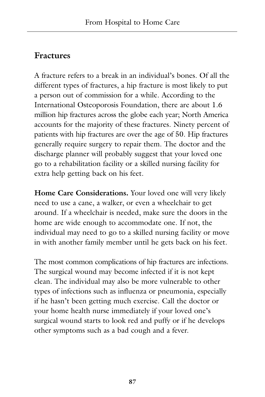#### **Fractures**

A fracture refers to a break in an individual's bones. Of all the different types of fractures, a hip fracture is most likely to put a person out of commission for a while. According to the International Osteoporosis Foundation, there are about 1.6 million hip fractures across the globe each year; North America accounts for the majority of these fractures. Ninety percent of patients with hip fractures are over the age of 50. Hip fractures generally require surgery to repair them. The doctor and the discharge planner will probably suggest that your loved one go to a rehabilitation facility or a skilled nursing facility for extra help getting back on his feet.

**Home Care Considerations.** Your loved one will very likely need to use a cane, a walker, or even a wheelchair to get around. If a wheelchair is needed, make sure the doors in the home are wide enough to accommodate one. If not, the individual may need to go to a skilled nursing facility or move in with another family member until he gets back on his feet.

The most common complications of hip fractures are infections. The surgical wound may become infected if it is not kept clean. The individual may also be more vulnerable to other types of infections such as influenza or pneumonia, especially if he hasn't been getting much exercise. Call the doctor or your home health nurse immediately if your loved one's surgical wound starts to look red and puffy or if he develops other symptoms such as a bad cough and a fever.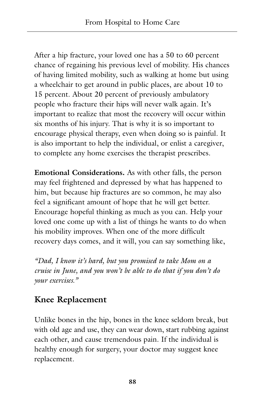After a hip fracture, your loved one has a 50 to 60 percent chance of regaining his previous level of mobility. His chances of having limited mobility, such as walking at home but using a wheelchair to get around in public places, are about 10 to 15 percent. About 20 percent of previously ambulatory people who fracture their hips will never walk again. It's important to realize that most the recovery will occur within six months of his injury. That is why it is so important to encourage physical therapy, even when doing so is painful. It is also important to help the individual, or enlist a caregiver, to complete any home exercises the therapist prescribes.

**Emotional Considerations.** As with other falls, the person may feel frightened and depressed by what has happened to him, but because hip fractures are so common, he may also feel a significant amount of hope that he will get better. Encourage hopeful thinking as much as you can. Help your loved one come up with a list of things he wants to do when his mobility improves. When one of the more difficult recovery days comes, and it will, you can say something like,

*"Dad, I know it's hard, but you promised to take Mom on a cruise in June, and you won't be able to do that if you don't do your exercises."*

## **Knee Replacement**

Unlike bones in the hip, bones in the knee seldom break, but with old age and use, they can wear down, start rubbing against each other, and cause tremendous pain. If the individual is healthy enough for surgery, your doctor may suggest knee replacement.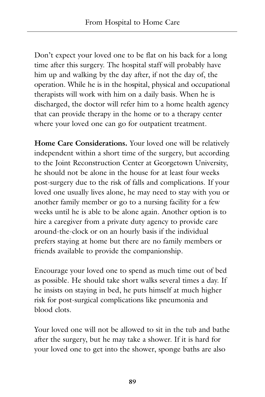Don't expect your loved one to be flat on his back for a long time after this surgery. The hospital staff will probably have him up and walking by the day after, if not the day of, the operation. While he is in the hospital, physical and occupational therapists will work with him on a daily basis. When he is discharged, the doctor will refer him to a home health agency that can provide therapy in the home or to a therapy center where your loved one can go for outpatient treatment.

**Home Care Considerations.** Your loved one will be relatively independent within a short time of the surgery, but according to the Joint Reconstruction Center at Georgetown University, he should not be alone in the house for at least four weeks post-surgery due to the risk of falls and complications. If your loved one usually lives alone, he may need to stay with you or another family member or go to a nursing facility for a few weeks until he is able to be alone again. Another option is to hire a caregiver from a private duty agency to provide care around-the-clock or on an hourly basis if the individual prefers staying at home but there are no family members or friends available to provide the companionship.

Encourage your loved one to spend as much time out of bed as possible. He should take short walks several times a day. If he insists on staying in bed, he puts himself at much higher risk for post-surgical complications like pneumonia and blood clots.

Your loved one will not be allowed to sit in the tub and bathe after the surgery, but he may take a shower. If it is hard for your loved one to get into the shower, sponge baths are also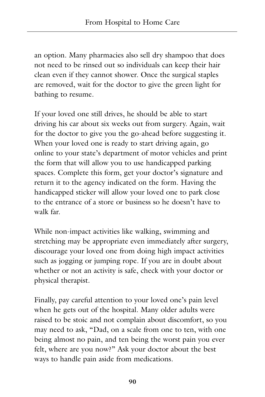an option. Many pharmacies also sell dry shampoo that does not need to be rinsed out so individuals can keep their hair clean even if they cannot shower. Once the surgical staples are removed, wait for the doctor to give the green light for bathing to resume.

If your loved one still drives, he should be able to start driving his car about six weeks out from surgery. Again, wait for the doctor to give you the go-ahead before suggesting it. When your loved one is ready to start driving again, go online to your state's department of motor vehicles and print the form that will allow you to use handicapped parking spaces. Complete this form, get your doctor's signature and return it to the agency indicated on the form. Having the handicapped sticker will allow your loved one to park close to the entrance of a store or business so he doesn't have to walk far.

While non-impact activities like walking, swimming and stretching may be appropriate even immediately after surgery, discourage your loved one from doing high impact activities such as jogging or jumping rope. If you are in doubt about whether or not an activity is safe, check with your doctor or physical therapist.

Finally, pay careful attention to your loved one's pain level when he gets out of the hospital. Many older adults were raised to be stoic and not complain about discomfort, so you may need to ask, "Dad, on a scale from one to ten, with one being almost no pain, and ten being the worst pain you ever felt, where are you now?" Ask your doctor about the best ways to handle pain aside from medications.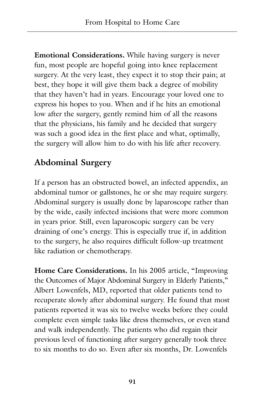**Emotional Considerations.** While having surgery is never fun, most people are hopeful going into knee replacement surgery. At the very least, they expect it to stop their pain; at best, they hope it will give them back a degree of mobility that they haven't had in years. Encourage your loved one to express his hopes to you. When and if he hits an emotional low after the surgery, gently remind him of all the reasons that the physicians, his family and he decided that surgery was such a good idea in the first place and what, optimally, the surgery will allow him to do with his life after recovery.

## **Abdominal Surgery**

If a person has an obstructed bowel, an infected appendix, an abdominal tumor or gallstones, he or she may require surgery. Abdominal surgery is usually done by laparoscope rather than by the wide, easily infected incisions that were more common in years prior. Still, even laparoscopic surgery can be very draining of one's energy. This is especially true if, in addition to the surgery, he also requires difficult follow-up treatment like radiation or chemotherapy.

**Home Care Considerations.** In his 2005 article, "Improving the Outcomes of Major Abdominal Surgery in Elderly Patients," Albert Lowenfels, MD, reported that older patients tend to recuperate slowly after abdominal surgery. He found that most patients reported it was six to twelve weeks before they could complete even simple tasks like dress themselves, or even stand and walk independently. The patients who did regain their previous level of functioning after surgery generally took three to six months to do so. Even after six months, Dr. Lowenfels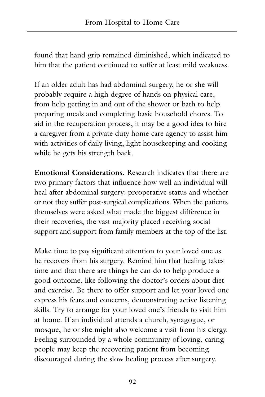found that hand grip remained diminished, which indicated to him that the patient continued to suffer at least mild weakness.

If an older adult has had abdominal surgery, he or she will probably require a high degree of hands on physical care, from help getting in and out of the shower or bath to help preparing meals and completing basic household chores. To aid in the recuperation process, it may be a good idea to hire a caregiver from a private duty home care agency to assist him with activities of daily living, light housekeeping and cooking while he gets his strength back.

**Emotional Considerations.** Research indicates that there are two primary factors that influence how well an individual will heal after abdominal surgery: preoperative status and whether or not they suffer post-surgical complications. When the patients themselves were asked what made the biggest difference in their recoveries, the vast majority placed receiving social support and support from family members at the top of the list.

Make time to pay significant attention to your loved one as he recovers from his surgery. Remind him that healing takes time and that there are things he can do to help produce a good outcome, like following the doctor's orders about diet and exercise. Be there to offer support and let your loved one express his fears and concerns, demonstrating active listening skills. Try to arrange for your loved one's friends to visit him at home. If an individual attends a church, synagogue, or mosque, he or she might also welcome a visit from his clergy. Feeling surrounded by a whole community of loving, caring people may keep the recovering patient from becoming discouraged during the slow healing process after surgery.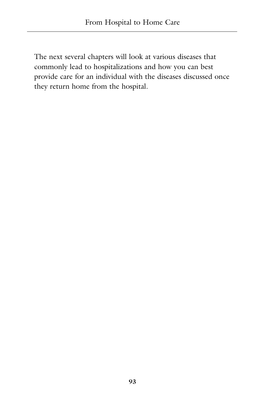The next several chapters will look at various diseases that commonly lead to hospitalizations and how you can best provide care for an individual with the diseases discussed once they return home from the hospital.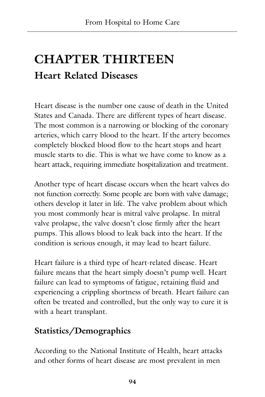# **CHAPTER THIRTEEN Heart Related Diseases**

Heart disease is the number one cause of death in the United States and Canada. There are different types of heart disease. The most common is a narrowing or blocking of the coronary arteries, which carry blood to the heart. If the artery becomes completely blocked blood flow to the heart stops and heart muscle starts to die. This is what we have come to know as a heart attack, requiring immediate hospitalization and treatment.

Another type of heart disease occurs when the heart valves do not function correctly. Some people are born with valve damage; others develop it later in life. The valve problem about which you most commonly hear is mitral valve prolapse. In mitral valve prolapse, the valve doesn't close firmly after the heart pumps. This allows blood to leak back into the heart. If the condition is serious enough, it may lead to heart failure.

Heart failure is a third type of heart-related disease. Heart failure means that the heart simply doesn't pump well. Heart failure can lead to symptoms of fatigue, retaining fluid and experiencing a crippling shortness of breath. Heart failure can often be treated and controlled, but the only way to cure it is with a heart transplant.

## **Statistics/Demographics**

According to the National Institute of Health, heart attacks and other forms of heart disease are most prevalent in men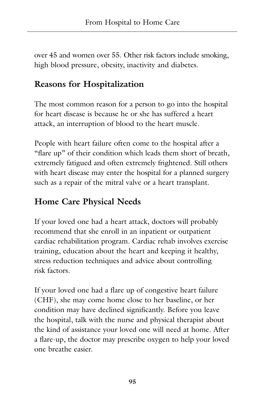over 45 and women over 55. Other risk factors include smoking, high blood pressure, obesity, inactivity and diabetes.

### **Reasons for Hospitalization**

The most common reason for a person to go into the hospital for heart disease is because he or she has suffered a heart attack, an interruption of blood to the heart muscle.

People with heart failure often come to the hospital after a "flare up" of their condition which leads them short of breath, extremely fatigued and often extremely frightened. Still others with heart disease may enter the hospital for a planned surgery such as a repair of the mitral valve or a heart transplant.

### **Home Care Physical Needs**

If your loved one had a heart attack, doctors will probably recommend that she enroll in an inpatient or outpatient cardiac rehabilitation program. Cardiac rehab involves exercise training, education about the heart and keeping it healthy, stress reduction techniques and advice about controlling risk factors.

If your loved one had a flare up of congestive heart failure (CHF), she may come home close to her baseline, or her condition may have declined significantly. Before you leave the hospital, talk with the nurse and physical therapist about the kind of assistance your loved one will need at home. After a flare-up, the doctor may prescribe oxygen to help your loved one breathe easier.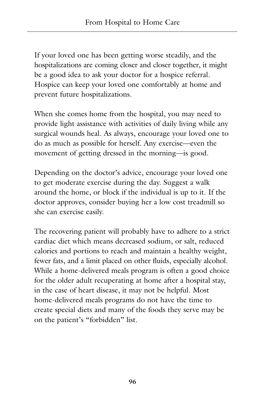If your loved one has been getting worse steadily, and the hospitalizations are coming closer and closer together, it might be a good idea to ask your doctor for a hospice referral. Hospice can keep your loved one comfortably at home and prevent future hospitalizations.

When she comes home from the hospital, you may need to provide light assistance with activities of daily living while any surgical wounds heal. As always, encourage your loved one to do as much as possible for herself. Any exercise—even the movement of getting dressed in the morning—is good.

Depending on the doctor's advice, encourage your loved one to get moderate exercise during the day. Suggest a walk around the home, or block if the individual is up to it. If the doctor approves, consider buying her a low cost treadmill so she can exercise easily.

The recovering patient will probably have to adhere to a strict cardiac diet which means decreased sodium, or salt, reduced calories and portions to reach and maintain a healthy weight, fewer fats, and a limit placed on other fluids, especially alcohol. While a home-delivered meals program is often a good choice for the older adult recuperating at home after a hospital stay, in the case of heart disease, it may not be helpful. Most home-delivered meals programs do not have the time to create special diets and many of the foods they serve may be on the patient's "forbidden" list.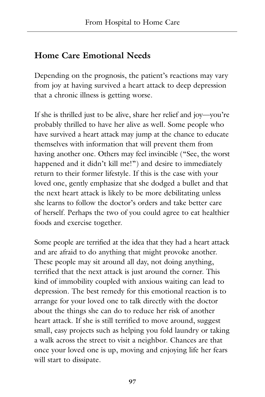#### **Home Care Emotional Needs**

Depending on the prognosis, the patient's reactions may vary from joy at having survived a heart attack to deep depression that a chronic illness is getting worse.

If she is thrilled just to be alive, share her relief and joy—you're probably thrilled to have her alive as well. Some people who have survived a heart attack may jump at the chance to educate themselves with information that will prevent them from having another one. Others may feel invincible ("See, the worst happened and it didn't kill me!") and desire to immediately return to their former lifestyle. If this is the case with your loved one, gently emphasize that she dodged a bullet and that the next heart attack is likely to be more debilitating unless she learns to follow the doctor's orders and take better care of herself. Perhaps the two of you could agree to eat healthier foods and exercise together.

Some people are terrified at the idea that they had a heart attack and are afraid to do anything that might provoke another. These people may sit around all day, not doing anything, terrified that the next attack is just around the corner. This kind of immobility coupled with anxious waiting can lead to depression. The best remedy for this emotional reaction is to arrange for your loved one to talk directly with the doctor about the things she can do to reduce her risk of another heart attack. If she is still terrified to move around, suggest small, easy projects such as helping you fold laundry or taking a walk across the street to visit a neighbor. Chances are that once your loved one is up, moving and enjoying life her fears will start to dissipate.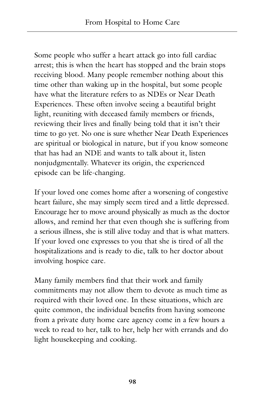Some people who suffer a heart attack go into full cardiac arrest; this is when the heart has stopped and the brain stops receiving blood. Many people remember nothing about this time other than waking up in the hospital, but some people have what the literature refers to as NDEs or Near Death Experiences. These often involve seeing a beautiful bright light, reuniting with deceased family members or friends, reviewing their lives and finally being told that it isn't their time to go yet. No one is sure whether Near Death Experiences are spiritual or biological in nature, but if you know someone that has had an NDE and wants to talk about it, listen nonjudgmentally. Whatever its origin, the experienced episode can be life-changing.

If your loved one comes home after a worsening of congestive heart failure, she may simply seem tired and a little depressed. Encourage her to move around physically as much as the doctor allows, and remind her that even though she is suffering from a serious illness, she is still alive today and that is what matters. If your loved one expresses to you that she is tired of all the hospitalizations and is ready to die, talk to her doctor about involving hospice care.

Many family members find that their work and family commitments may not allow them to devote as much time as required with their loved one. In these situations, which are quite common, the individual benefits from having someone from a private duty home care agency come in a few hours a week to read to her, talk to her, help her with errands and do light housekeeping and cooking.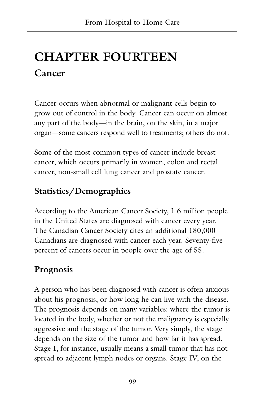# **CHAPTER FOURTEEN Cancer**

Cancer occurs when abnormal or malignant cells begin to grow out of control in the body. Cancer can occur on almost any part of the body—in the brain, on the skin, in a major organ—some cancers respond well to treatments; others do not.

Some of the most common types of cancer include breast cancer, which occurs primarily in women, colon and rectal cancer, non-small cell lung cancer and prostate cancer.

## **Statistics/Demographics**

According to the American Cancer Society, 1.6 million people in the United States are diagnosed with cancer every year. The Canadian Cancer Society cites an additional 180,000 Canadians are diagnosed with cancer each year. Seventy-five percent of cancers occur in people over the age of 55.

## **Prognosis**

A person who has been diagnosed with cancer is often anxious about his prognosis, or how long he can live with the disease. The prognosis depends on many variables: where the tumor is located in the body, whether or not the malignancy is especially aggressive and the stage of the tumor. Very simply, the stage depends on the size of the tumor and how far it has spread. Stage I, for instance, usually means a small tumor that has not spread to adjacent lymph nodes or organs. Stage IV, on the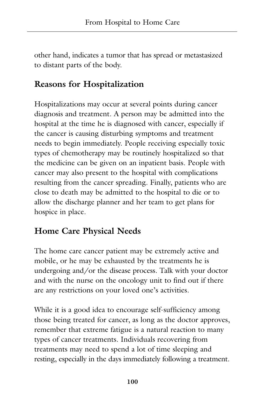other hand, indicates a tumor that has spread or metastasized to distant parts of the body.

#### **Reasons for Hospitalization**

Hospitalizations may occur at several points during cancer diagnosis and treatment. A person may be admitted into the hospital at the time he is diagnosed with cancer, especially if the cancer is causing disturbing symptoms and treatment needs to begin immediately. People receiving especially toxic types of chemotherapy may be routinely hospitalized so that the medicine can be given on an inpatient basis. People with cancer may also present to the hospital with complications resulting from the cancer spreading. Finally, patients who are close to death may be admitted to the hospital to die or to allow the discharge planner and her team to get plans for hospice in place.

#### **Home Care Physical Needs**

The home care cancer patient may be extremely active and mobile, or he may be exhausted by the treatments he is undergoing and/or the disease process. Talk with your doctor and with the nurse on the oncology unit to find out if there are any restrictions on your loved one's activities.

While it is a good idea to encourage self-sufficiency among those being treated for cancer, as long as the doctor approves, remember that extreme fatigue is a natural reaction to many types of cancer treatments. Individuals recovering from treatments may need to spend a lot of time sleeping and resting, especially in the days immediately following a treatment.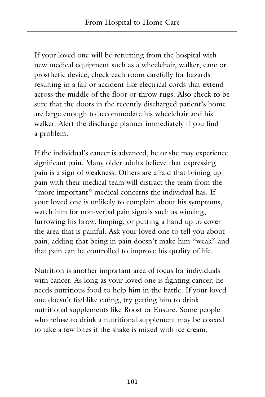If your loved one will be returning from the hospital with new medical equipment such as a wheelchair, walker, cane or prosthetic device, check each room carefully for hazards resulting in a fall or accident like electrical cords that extend across the middle of the floor or throw rugs. Also check to be sure that the doors in the recently discharged patient's home are large enough to accommodate his wheelchair and his walker. Alert the discharge planner immediately if you find a problem.

If the individual's cancer is advanced, he or she may experience significant pain. Many older adults believe that expressing pain is a sign of weakness. Others are afraid that brining up pain with their medical team will distract the team from the "more important" medical concerns the individual has. If your loved one is unlikely to complain about his symptoms, watch him for non-verbal pain signals such as wincing, furrowing his brow, limping, or putting a hand up to cover the area that is painful. Ask your loved one to tell you about pain, adding that being in pain doesn't make him "weak" and that pain can be controlled to improve his quality of life.

Nutrition is another important area of focus for individuals with cancer. As long as your loved one is fighting cancer, he needs nutritious food to help him in the battle. If your loved one doesn't feel like eating, try getting him to drink nutritional supplements like Boost or Ensure. Some people who refuse to drink a nutritional supplement may be coaxed to take a few bites if the shake is mixed with ice cream.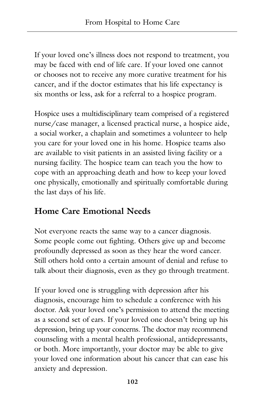If your loved one's illness does not respond to treatment, you may be faced with end of life care. If your loved one cannot or chooses not to receive any more curative treatment for his cancer, and if the doctor estimates that his life expectancy is six months or less, ask for a referral to a hospice program.

Hospice uses a multidisciplinary team comprised of a registered nurse/case manager, a licensed practical nurse, a hospice aide, a social worker, a chaplain and sometimes a volunteer to help you care for your loved one in his home. Hospice teams also are available to visit patients in an assisted living facility or a nursing facility. The hospice team can teach you the how to cope with an approaching death and how to keep your loved one physically, emotionally and spiritually comfortable during the last days of his life.

#### **Home Care Emotional Needs**

Not everyone reacts the same way to a cancer diagnosis. Some people come out fighting. Others give up and become profoundly depressed as soon as they hear the word cancer. Still others hold onto a certain amount of denial and refuse to talk about their diagnosis, even as they go through treatment.

If your loved one is struggling with depression after his diagnosis, encourage him to schedule a conference with his doctor. Ask your loved one's permission to attend the meeting as a second set of ears. If your loved one doesn't bring up his depression, bring up your concerns. The doctor may recommend counseling with a mental health professional, antidepressants, or both. More importantly, your doctor may be able to give your loved one information about his cancer that can ease his anxiety and depression.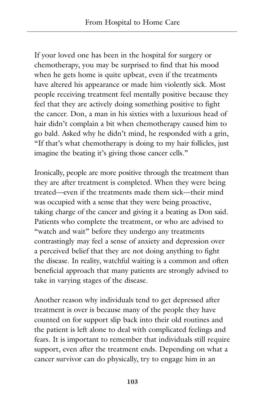If your loved one has been in the hospital for surgery or chemotherapy, you may be surprised to find that his mood when he gets home is quite upbeat, even if the treatments have altered his appearance or made him violently sick. Most people receiving treatment feel mentally positive because they feel that they are actively doing something positive to fight the cancer. Don, a man in his sixties with a luxurious head of hair didn't complain a bit when chemotherapy caused him to go bald. Asked why he didn't mind, he responded with a grin, "If that's what chemotherapy is doing to my hair follicles, just imagine the beating it's giving those cancer cells."

Ironically, people are more positive through the treatment than they are after treatment is completed. When they were being treated—even if the treatments made them sick—their mind was occupied with a sense that they were being proactive, taking charge of the cancer and giving it a beating as Don said. Patients who complete the treatment, or who are advised to "watch and wait" before they undergo any treatments contrastingly may feel a sense of anxiety and depression over a perceived belief that they are not doing anything to fight the disease. In reality, watchful waiting is a common and often beneficial approach that many patients are strongly advised to take in varying stages of the disease.

Another reason why individuals tend to get depressed after treatment is over is because many of the people they have counted on for support slip back into their old routines and the patient is left alone to deal with complicated feelings and fears. It is important to remember that individuals still require support, even after the treatment ends. Depending on what a cancer survivor can do physically, try to engage him in an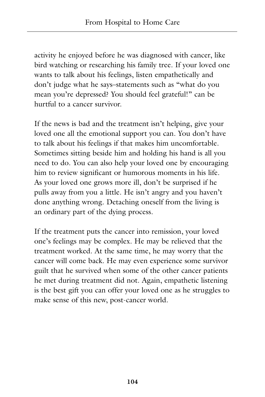activity he enjoyed before he was diagnosed with cancer, like bird watching or researching his family tree. If your loved one wants to talk about his feelings, listen empathetically and don't judge what he says–statements such as "what do you mean you're depressed? You should feel grateful!" can be hurtful to a cancer survivor.

If the news is bad and the treatment isn't helping, give your loved one all the emotional support you can. You don't have to talk about his feelings if that makes him uncomfortable. Sometimes sitting beside him and holding his hand is all you need to do. You can also help your loved one by encouraging him to review significant or humorous moments in his life. As your loved one grows more ill, don't be surprised if he pulls away from you a little. He isn't angry and you haven't done anything wrong. Detaching oneself from the living is an ordinary part of the dying process.

If the treatment puts the cancer into remission, your loved one's feelings may be complex. He may be relieved that the treatment worked. At the same time, he may worry that the cancer will come back. He may even experience some survivor guilt that he survived when some of the other cancer patients he met during treatment did not. Again, empathetic listening is the best gift you can offer your loved one as he struggles to make sense of this new, post-cancer world.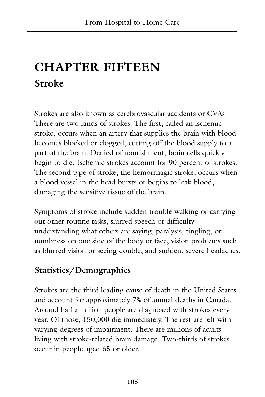# **CHAPTER FIFTEEN Stroke**

Strokes are also known as cerebrovascular accidents or CVAs. There are two kinds of strokes. The first, called an ischemic stroke, occurs when an artery that supplies the brain with blood becomes blocked or clogged, cutting off the blood supply to a part of the brain. Denied of nourishment, brain cells quickly begin to die. Ischemic strokes account for 90 percent of strokes. The second type of stroke, the hemorrhagic stroke, occurs when a blood vessel in the head bursts or begins to leak blood, damaging the sensitive tissue of the brain.

Symptoms of stroke include sudden trouble walking or carrying out other routine tasks, slurred speech or difficulty understanding what others are saying, paralysis, tingling, or numbness on one side of the body or face, vision problems such as blurred vision or seeing double, and sudden, severe headaches.

#### **Statistics/Demographics**

Strokes are the third leading cause of death in the United States and account for approximately 7% of annual deaths in Canada. Around half a million people are diagnosed with strokes every year. Of those, 150,000 die immediately. The rest are left with varying degrees of impairment. There are millions of adults living with stroke-related brain damage. Two-thirds of strokes occur in people aged 65 or older.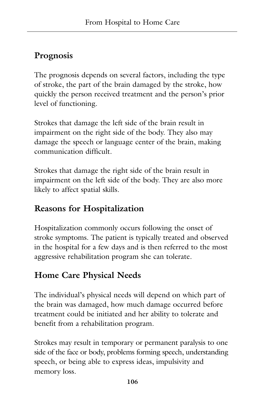## **Prognosis**

The prognosis depends on several factors, including the type of stroke, the part of the brain damaged by the stroke, how quickly the person received treatment and the person's prior level of functioning.

Strokes that damage the left side of the brain result in impairment on the right side of the body. They also may damage the speech or language center of the brain, making communication difficult.

Strokes that damage the right side of the brain result in impairment on the left side of the body. They are also more likely to affect spatial skills.

## **Reasons for Hospitalization**

Hospitalization commonly occurs following the onset of stroke symptoms. The patient is typically treated and observed in the hospital for a few days and is then referred to the most aggressive rehabilitation program she can tolerate.

## **Home Care Physical Needs**

The individual's physical needs will depend on which part of the brain was damaged, how much damage occurred before treatment could be initiated and her ability to tolerate and benefit from a rehabilitation program.

Strokes may result in temporary or permanent paralysis to one side of the face or body, problems forming speech, understanding speech, or being able to express ideas, impulsivity and memory loss.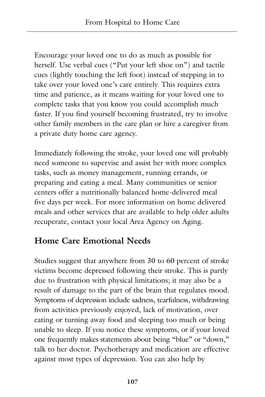Encourage your loved one to do as much as possible for herself. Use verbal cues ("Put your left shoe on") and tactile cues (lightly touching the left foot) instead of stepping in to take over your loved one's care entirely. This requires extra time and patience, as it means waiting for your loved one to complete tasks that you know you could accomplish much faster. If you find yourself becoming frustrated, try to involve other family members in the care plan or hire a caregiver from a private duty home care agency.

Immediately following the stroke, your loved one will probably need someone to supervise and assist her with more complex tasks, such as money management, running errands, or preparing and eating a meal. Many communities or senior centers offer a nutritionally balanced home-delivered meal five days per week. For more information on home delivered meals and other services that are available to help older adults recuperate, contact your local Area Agency on Aging.

#### **Home Care Emotional Needs**

Studies suggest that anywhere from 30 to 60 percent of stroke victims become depressed following their stroke. This is partly due to frustration with physical limitations; it may also be a result of damage to the part of the brain that regulates mood. Symptoms of depression include sadness, tearfulness, withdrawing from activities previously enjoyed, lack of motivation, over eating or turning away food and sleeping too much or being unable to sleep. If you notice these symptoms, or if your loved one frequently makes statements about being "blue" or "down," talk to her doctor. Psychotherapy and medication are effective against most types of depression. You can also help by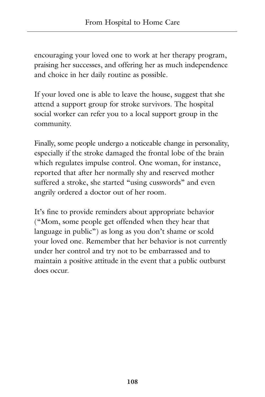encouraging your loved one to work at her therapy program, praising her successes, and offering her as much independence and choice in her daily routine as possible.

If your loved one is able to leave the house, suggest that she attend a support group for stroke survivors. The hospital social worker can refer you to a local support group in the community.

Finally, some people undergo a noticeable change in personality, especially if the stroke damaged the frontal lobe of the brain which regulates impulse control. One woman, for instance, reported that after her normally shy and reserved mother suffered a stroke, she started "using cusswords" and even angrily ordered a doctor out of her room.

It's fine to provide reminders about appropriate behavior ("Mom, some people get offended when they hear that language in public") as long as you don't shame or scold your loved one. Remember that her behavior is not currently under her control and try not to be embarrassed and to maintain a positive attitude in the event that a public outburst does occur.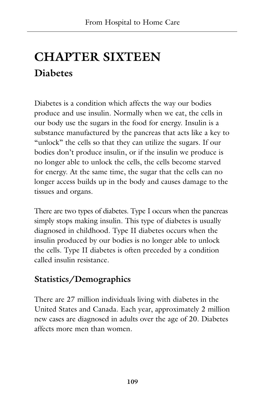## **CHAPTER SIXTEEN Diabetes**

Diabetes is a condition which affects the way our bodies produce and use insulin. Normally when we eat, the cells in our body use the sugars in the food for energy. Insulin is a substance manufactured by the pancreas that acts like a key to "unlock" the cells so that they can utilize the sugars. If our bodies don't produce insulin, or if the insulin we produce is no longer able to unlock the cells, the cells become starved for energy. At the same time, the sugar that the cells can no longer access builds up in the body and causes damage to the tissues and organs.

There are two types of diabetes. Type I occurs when the pancreas simply stops making insulin. This type of diabetes is usually diagnosed in childhood. Type II diabetes occurs when the insulin produced by our bodies is no longer able to unlock the cells. Type II diabetes is often preceded by a condition called insulin resistance.

### **Statistics/Demographics**

There are 27 million individuals living with diabetes in the United States and Canada. Each year, approximately 2 million new cases are diagnosed in adults over the age of 20. Diabetes affects more men than women.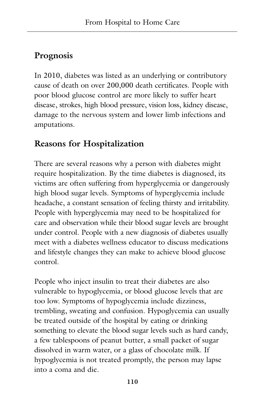#### **Prognosis**

In 2010, diabetes was listed as an underlying or contributory cause of death on over 200,000 death certificates. People with poor blood glucose control are more likely to suffer heart disease, strokes, high blood pressure, vision loss, kidney disease, damage to the nervous system and lower limb infections and amputations.

#### **Reasons for Hospitalization**

There are several reasons why a person with diabetes might require hospitalization. By the time diabetes is diagnosed, its victims are often suffering from hyperglycemia or dangerously high blood sugar levels. Symptoms of hyperglycemia include headache, a constant sensation of feeling thirsty and irritability. People with hyperglycemia may need to be hospitalized for care and observation while their blood sugar levels are brought under control. People with a new diagnosis of diabetes usually meet with a diabetes wellness educator to discuss medications and lifestyle changes they can make to achieve blood glucose control.

People who inject insulin to treat their diabetes are also vulnerable to hypoglycemia, or blood glucose levels that are too low. Symptoms of hypoglycemia include dizziness, trembling, sweating and confusion. Hypoglycemia can usually be treated outside of the hospital by eating or drinking something to elevate the blood sugar levels such as hard candy, a few tablespoons of peanut butter, a small packet of sugar dissolved in warm water, or a glass of chocolate milk. If hypoglycemia is not treated promptly, the person may lapse into a coma and die.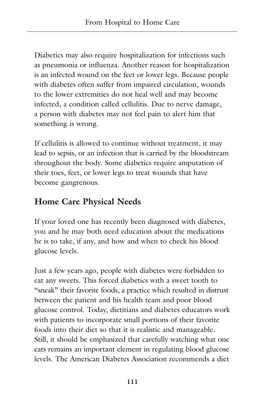Diabetics may also require hospitalization for infections such as pneumonia or influenza. Another reason for hospitalization is an infected wound on the feet or lower legs. Because people with diabetes often suffer from impaired circulation, wounds to the lower extremities do not heal well and may become infected, a condition called cellulitis. Due to nerve damage, a person with diabetes may not feel pain to alert him that something is wrong.

If cellulitis is allowed to continue without treatment, it may lead to sepsis, or an infection that is carried by the bloodstream throughout the body. Some diabetics require amputation of their toes, feet, or lower legs to treat wounds that have become gangrenous.

### **Home Care Physical Needs**

If your loved one has recently been diagnosed with diabetes, you and he may both need education about the medications he is to take, if any, and how and when to check his blood glucose levels.

Just a few years ago, people with diabetes were forbidden to eat any sweets. This forced diabetics with a sweet tooth to "sneak" their favorite foods, a practice which resulted in distrust between the patient and his health team and poor blood glucose control. Today, dietitians and diabetes educators work with patients to incorporate small portions of their favorite foods into their diet so that it is realistic and manageable. Still, it should be emphasized that carefully watching what one eats remains an important element in regulating blood glucose levels. The American Diabetes Association recommends a diet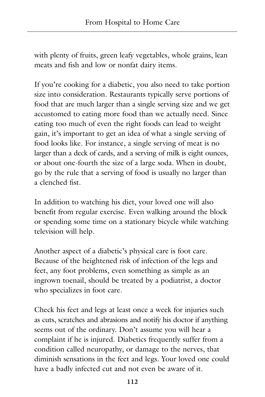with plenty of fruits, green leafy vegetables, whole grains, lean meats and fish and low or nonfat dairy items.

If you're cooking for a diabetic, you also need to take portion size into consideration. Restaurants typically serve portions of food that are much larger than a single serving size and we get accustomed to eating more food than we actually need. Since eating too much of even the right foods can lead to weight gain, it's important to get an idea of what a single serving of food looks like. For instance, a single serving of meat is no larger than a deck of cards, and a serving of milk is eight ounces, or about one-fourth the size of a large soda. When in doubt, go by the rule that a serving of food is usually no larger than a clenched fist.

In addition to watching his diet, your loved one will also benefit from regular exercise. Even walking around the block or spending some time on a stationary bicycle while watching television will help.

Another aspect of a diabetic's physical care is foot care. Because of the heightened risk of infection of the legs and feet, any foot problems, even something as simple as an ingrown toenail, should be treated by a podiatrist, a doctor who specializes in foot care.

Check his feet and legs at least once a week for injuries such as cuts, scratches and abrasions and notify his doctor if anything seems out of the ordinary. Don't assume you will hear a complaint if he is injured. Diabetics frequently suffer from a condition called neuropathy, or damage to the nerves, that diminish sensations in the feet and legs. Your loved one could have a badly infected cut and not even be aware of it.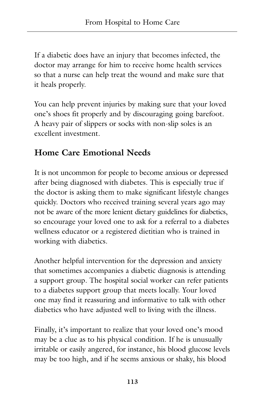If a diabetic does have an injury that becomes infected, the doctor may arrange for him to receive home health services so that a nurse can help treat the wound and make sure that it heals properly.

You can help prevent injuries by making sure that your loved one's shoes fit properly and by discouraging going barefoot. A heavy pair of slippers or socks with non-slip soles is an excellent investment.

## **Home Care Emotional Needs**

It is not uncommon for people to become anxious or depressed after being diagnosed with diabetes. This is especially true if the doctor is asking them to make significant lifestyle changes quickly. Doctors who received training several years ago may not be aware of the more lenient dietary guidelines for diabetics, so encourage your loved one to ask for a referral to a diabetes wellness educator or a registered dietitian who is trained in working with diabetics.

Another helpful intervention for the depression and anxiety that sometimes accompanies a diabetic diagnosis is attending a support group. The hospital social worker can refer patients to a diabetes support group that meets locally. Your loved one may find it reassuring and informative to talk with other diabetics who have adjusted well to living with the illness.

Finally, it's important to realize that your loved one's mood may be a clue as to his physical condition. If he is unusually irritable or easily angered, for instance, his blood glucose levels may be too high, and if he seems anxious or shaky, his blood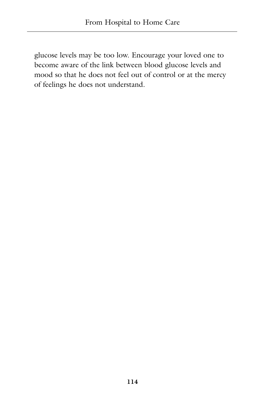glucose levels may be too low. Encourage your loved one to become aware of the link between blood glucose levels and mood so that he does not feel out of control or at the mercy of feelings he does not understand.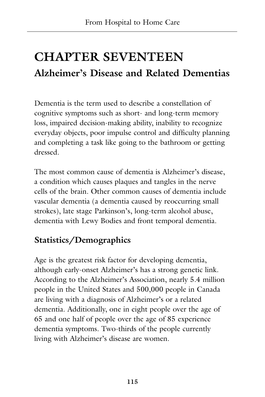## **CHAPTER SEVENTEEN Alzheimer's Disease and Related Dementias**

Dementia is the term used to describe a constellation of cognitive symptoms such as short- and long-term memory loss, impaired decision-making ability, inability to recognize everyday objects, poor impulse control and difficulty planning and completing a task like going to the bathroom or getting dressed.

The most common cause of dementia is Alzheimer's disease, a condition which causes plaques and tangles in the nerve cells of the brain. Other common causes of dementia include vascular dementia (a dementia caused by reoccurring small strokes), late stage Parkinson's, long-term alcohol abuse, dementia with Lewy Bodies and front temporal dementia.

### **Statistics/Demographics**

Age is the greatest risk factor for developing dementia, although early-onset Alzheimer's has a strong genetic link. According to the Alzheimer's Association, nearly 5.4 million people in the United States and 500,000 people in Canada are living with a diagnosis of Alzheimer's or a related dementia. Additionally, one in eight people over the age of 65 and one half of people over the age of 85 experience dementia symptoms. Two-thirds of the people currently living with Alzheimer's disease are women.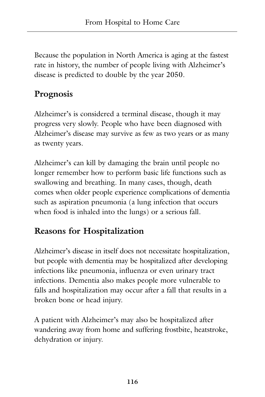Because the population in North America is aging at the fastest rate in history, the number of people living with Alzheimer's disease is predicted to double by the year 2050.

## **Prognosis**

Alzheimer's is considered a terminal disease, though it may progress very slowly. People who have been diagnosed with Alzheimer's disease may survive as few as two years or as many as twenty years.

Alzheimer's can kill by damaging the brain until people no longer remember how to perform basic life functions such as swallowing and breathing. In many cases, though, death comes when older people experience complications of dementia such as aspiration pneumonia (a lung infection that occurs when food is inhaled into the lungs) or a serious fall.

### **Reasons for Hospitalization**

Alzheimer's disease in itself does not necessitate hospitalization, but people with dementia may be hospitalized after developing infections like pneumonia, influenza or even urinary tract infections. Dementia also makes people more vulnerable to falls and hospitalization may occur after a fall that results in a broken bone or head injury.

A patient with Alzheimer's may also be hospitalized after wandering away from home and suffering frostbite, heatstroke, dehydration or injury.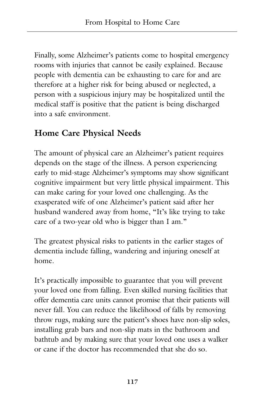Finally, some Alzheimer's patients come to hospital emergency rooms with injuries that cannot be easily explained. Because people with dementia can be exhausting to care for and are therefore at a higher risk for being abused or neglected, a person with a suspicious injury may be hospitalized until the medical staff is positive that the patient is being discharged into a safe environment.

#### **Home Care Physical Needs**

The amount of physical care an Alzheimer's patient requires depends on the stage of the illness. A person experiencing early to mid-stage Alzheimer's symptoms may show significant cognitive impairment but very little physical impairment. This can make caring for your loved one challenging. As the exasperated wife of one Alzheimer's patient said after her husband wandered away from home, "It's like trying to take care of a two-year old who is bigger than I am."

The greatest physical risks to patients in the earlier stages of dementia include falling, wandering and injuring oneself at home.

It's practically impossible to guarantee that you will prevent your loved one from falling. Even skilled nursing facilities that offer dementia care units cannot promise that their patients will never fall. You can reduce the likelihood of falls by removing throw rugs, making sure the patient's shoes have non-slip soles, installing grab bars and non-slip mats in the bathroom and bathtub and by making sure that your loved one uses a walker or cane if the doctor has recommended that she do so.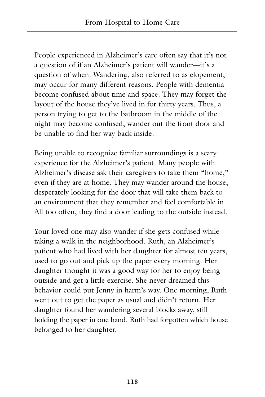People experienced in Alzheimer's care often say that it's not a question of if an Alzheimer's patient will wander—it's a question of when. Wandering, also referred to as elopement, may occur for many different reasons. People with dementia become confused about time and space. They may forget the layout of the house they've lived in for thirty years. Thus, a person trying to get to the bathroom in the middle of the night may become confused, wander out the front door and be unable to find her way back inside.

Being unable to recognize familiar surroundings is a scary experience for the Alzheimer's patient. Many people with Alzheimer's disease ask their caregivers to take them "home," even if they are at home. They may wander around the house, desperately looking for the door that will take them back to an environment that they remember and feel comfortable in. All too often, they find a door leading to the outside instead.

Your loved one may also wander if she gets confused while taking a walk in the neighborhood. Ruth, an Alzheimer's patient who had lived with her daughter for almost ten years, used to go out and pick up the paper every morning. Her daughter thought it was a good way for her to enjoy being outside and get a little exercise. She never dreamed this behavior could put Jenny in harm's way. One morning, Ruth went out to get the paper as usual and didn't return. Her daughter found her wandering several blocks away, still holding the paper in one hand. Ruth had forgotten which house belonged to her daughter.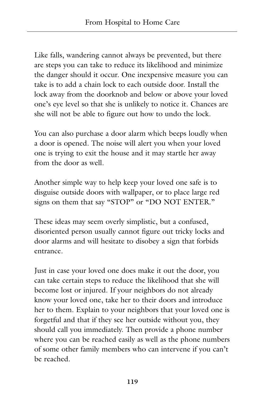Like falls, wandering cannot always be prevented, but there are steps you can take to reduce its likelihood and minimize the danger should it occur. One inexpensive measure you can take is to add a chain lock to each outside door. Install the lock away from the doorknob and below or above your loved one's eye level so that she is unlikely to notice it. Chances are she will not be able to figure out how to undo the lock.

You can also purchase a door alarm which beeps loudly when a door is opened. The noise will alert you when your loved one is trying to exit the house and it may startle her away from the door as well.

Another simple way to help keep your loved one safe is to disguise outside doors with wallpaper, or to place large red signs on them that say "STOP" or "DO NOT ENTER."

These ideas may seem overly simplistic, but a confused, disoriented person usually cannot figure out tricky locks and door alarms and will hesitate to disobey a sign that forbids entrance.

Just in case your loved one does make it out the door, you can take certain steps to reduce the likelihood that she will become lost or injured. If your neighbors do not already know your loved one, take her to their doors and introduce her to them. Explain to your neighbors that your loved one is forgetful and that if they see her outside without you, they should call you immediately. Then provide a phone number where you can be reached easily as well as the phone numbers of some other family members who can intervene if you can't be reached.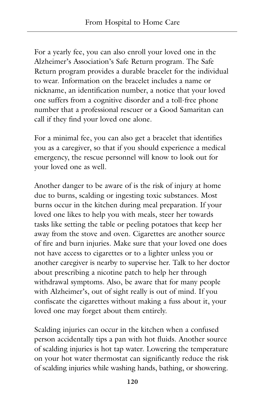For a yearly fee, you can also enroll your loved one in the Alzheimer's Association's Safe Return program. The Safe Return program provides a durable bracelet for the individual to wear. Information on the bracelet includes a name or nickname, an identification number, a notice that your loved one suffers from a cognitive disorder and a toll-free phone number that a professional rescuer or a Good Samaritan can call if they find your loved one alone.

For a minimal fee, you can also get a bracelet that identifies you as a caregiver, so that if you should experience a medical emergency, the rescue personnel will know to look out for your loved one as well.

Another danger to be aware of is the risk of injury at home due to burns, scalding or ingesting toxic substances. Most burns occur in the kitchen during meal preparation. If your loved one likes to help you with meals, steer her towards tasks like setting the table or peeling potatoes that keep her away from the stove and oven. Cigarettes are another source of fire and burn injuries. Make sure that your loved one does not have access to cigarettes or to a lighter unless you or another caregiver is nearby to supervise her. Talk to her doctor about prescribing a nicotine patch to help her through withdrawal symptoms. Also, be aware that for many people with Alzheimer's, out of sight really is out of mind. If you confiscate the cigarettes without making a fuss about it, your loved one may forget about them entirely.

Scalding injuries can occur in the kitchen when a confused person accidentally tips a pan with hot fluids. Another source of scalding injuries is hot tap water. Lowering the temperature on your hot water thermostat can significantly reduce the risk of scalding injuries while washing hands, bathing, or showering.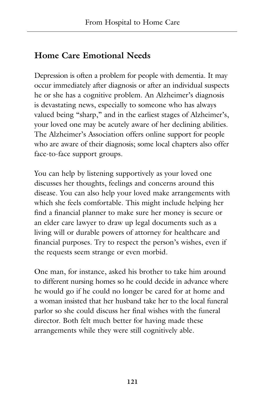#### **Home Care Emotional Needs**

Depression is often a problem for people with dementia. It may occur immediately after diagnosis or after an individual suspects he or she has a cognitive problem. An Alzheimer's diagnosis is devastating news, especially to someone who has always valued being "sharp," and in the earliest stages of Alzheimer's, your loved one may be acutely aware of her declining abilities. The Alzheimer's Association offers online support for people who are aware of their diagnosis; some local chapters also offer face-to-face support groups.

You can help by listening supportively as your loved one discusses her thoughts, feelings and concerns around this disease. You can also help your loved make arrangements with which she feels comfortable. This might include helping her find a financial planner to make sure her money is secure or an elder care lawyer to draw up legal documents such as a living will or durable powers of attorney for healthcare and financial purposes. Try to respect the person's wishes, even if the requests seem strange or even morbid.

One man, for instance, asked his brother to take him around to different nursing homes so he could decide in advance where he would go if he could no longer be cared for at home and a woman insisted that her husband take her to the local funeral parlor so she could discuss her final wishes with the funeral director. Both felt much better for having made these arrangements while they were still cognitively able.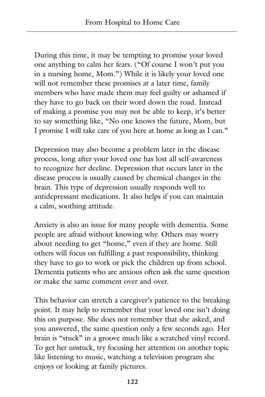During this time, it may be tempting to promise your loved one anything to calm her fears. ("Of course I won't put you in a nursing home, Mom.") While it is likely your loved one will not remember these promises at a later time, family members who have made them may feel guilty or ashamed if they have to go back on their word down the road. Instead of making a promise you may not be able to keep, it's better to say something like, "No one knows the future, Mom, but I promise I will take care of you here at home as long as I can."

Depression may also become a problem later in the disease process, long after your loved one has lost all self-awareness to recognize her decline. Depression that occurs later in the disease process is usually caused by chemical changes in the brain. This type of depression usually responds well to antidepressant medications. It also helps if you can maintain a calm, soothing attitude.

Anxiety is also an issue for many people with dementia. Some people are afraid without knowing why. Others may worry about needing to get "home," even if they are home. Still others will focus on fulfilling a past responsibility, thinking they have to go to work or pick the children up from school. Dementia patients who are anxious often ask the same question or make the same comment over and over.

This behavior can stretch a caregiver's patience to the breaking point. It may help to remember that your loved one isn't doing this on purpose. She does not remember that she asked, and you answered, the same question only a few seconds ago. Her brain is "stuck" in a groove much like a scratched vinyl record. To get her unstuck, try focusing her attention on another topic like listening to music, watching a television program she enjoys or looking at family pictures.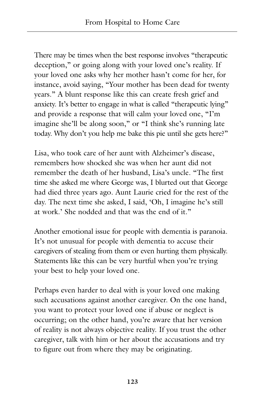There may be times when the best response involves "therapeutic deception," or going along with your loved one's reality. If your loved one asks why her mother hasn't come for her, for instance, avoid saying, "Your mother has been dead for twenty years." A blunt response like this can create fresh grief and anxiety. It's better to engage in what is called "therapeutic lying" and provide a response that will calm your loved one, "I'm imagine she'll be along soon," or "I think she's running late today. Why don't you help me bake this pie until she gets here?"

Lisa, who took care of her aunt with Alzheimer's disease, remembers how shocked she was when her aunt did not remember the death of her husband, Lisa's uncle. "The first time she asked me where George was, I blurted out that George had died three years ago. Aunt Laurie cried for the rest of the day. The next time she asked, I said, 'Oh, I imagine he's still at work.' She nodded and that was the end of it."

Another emotional issue for people with dementia is paranoia. It's not unusual for people with dementia to accuse their caregivers of stealing from them or even hurting them physically. Statements like this can be very hurtful when you're trying your best to help your loved one.

Perhaps even harder to deal with is your loved one making such accusations against another caregiver. On the one hand, you want to protect your loved one if abuse or neglect is occurring; on the other hand, you're aware that her version of reality is not always objective reality. If you trust the other caregiver, talk with him or her about the accusations and try to figure out from where they may be originating.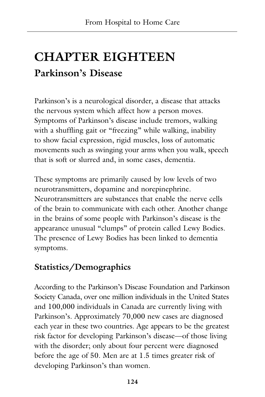## **CHAPTER EIGHTEEN Parkinson's Disease**

Parkinson's is a neurological disorder, a disease that attacks the nervous system which affect how a person moves. Symptoms of Parkinson's disease include tremors, walking with a shuffling gait or "freezing" while walking, inability to show facial expression, rigid muscles, loss of automatic movements such as swinging your arms when you walk, speech that is soft or slurred and, in some cases, dementia.

These symptoms are primarily caused by low levels of two neurotransmitters, dopamine and norepinephrine. Neurotransmitters are substances that enable the nerve cells of the brain to communicate with each other. Another change in the brains of some people with Parkinson's disease is the appearance unusual "clumps" of protein called Lewy Bodies. The presence of Lewy Bodies has been linked to dementia symptoms.

## **Statistics/Demographics**

According to the Parkinson's Disease Foundation and Parkinson Society Canada, over one million individuals in the United States and 100,000 individuals in Canada are currently living with Parkinson's. Approximately 70,000 new cases are diagnosed each year in these two countries. Age appears to be the greatest risk factor for developing Parkinson's disease—of those living with the disorder; only about four percent were diagnosed before the age of 50. Men are at 1.5 times greater risk of developing Parkinson's than women.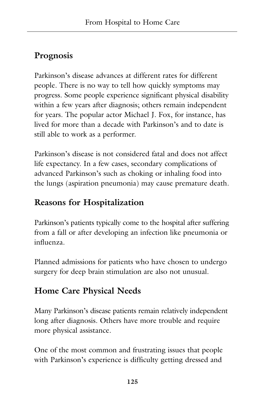## **Prognosis**

Parkinson's disease advances at different rates for different people. There is no way to tell how quickly symptoms may progress. Some people experience significant physical disability within a few years after diagnosis; others remain independent for years. The popular actor Michael J. Fox, for instance, has lived for more than a decade with Parkinson's and to date is still able to work as a performer.

Parkinson's disease is not considered fatal and does not affect life expectancy. In a few cases, secondary complications of advanced Parkinson's such as choking or inhaling food into the lungs (aspiration pneumonia) may cause premature death.

### **Reasons for Hospitalization**

Parkinson's patients typically come to the hospital after suffering from a fall or after developing an infection like pneumonia or influenza.

Planned admissions for patients who have chosen to undergo surgery for deep brain stimulation are also not unusual.

## **Home Care Physical Needs**

Many Parkinson's disease patients remain relatively independent long after diagnosis. Others have more trouble and require more physical assistance.

One of the most common and frustrating issues that people with Parkinson's experience is difficulty getting dressed and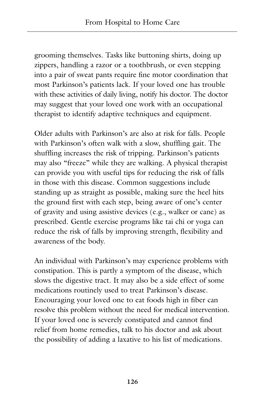grooming themselves. Tasks like buttoning shirts, doing up zippers, handling a razor or a toothbrush, or even stepping into a pair of sweat pants require fine motor coordination that most Parkinson's patients lack. If your loved one has trouble with these activities of daily living, notify his doctor. The doctor may suggest that your loved one work with an occupational therapist to identify adaptive techniques and equipment.

Older adults with Parkinson's are also at risk for falls. People with Parkinson's often walk with a slow, shuffling gait. The shuffling increases the risk of tripping. Parkinson's patients may also "freeze" while they are walking. A physical therapist can provide you with useful tips for reducing the risk of falls in those with this disease. Common suggestions include standing up as straight as possible, making sure the heel hits the ground first with each step, being aware of one's center of gravity and using assistive devices (e.g., walker or cane) as prescribed. Gentle exercise programs like tai chi or yoga can reduce the risk of falls by improving strength, flexibility and awareness of the body.

An individual with Parkinson's may experience problems with constipation. This is partly a symptom of the disease, which slows the digestive tract. It may also be a side effect of some medications routinely used to treat Parkinson's disease. Encouraging your loved one to eat foods high in fiber can resolve this problem without the need for medical intervention. If your loved one is severely constipated and cannot find relief from home remedies, talk to his doctor and ask about the possibility of adding a laxative to his list of medications.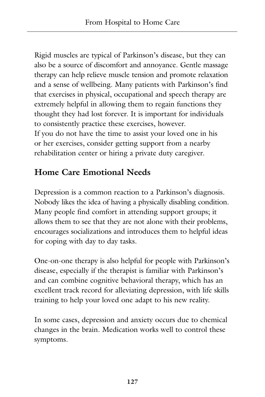Rigid muscles are typical of Parkinson's disease, but they can also be a source of discomfort and annoyance. Gentle massage therapy can help relieve muscle tension and promote relaxation and a sense of wellbeing. Many patients with Parkinson's find that exercises in physical, occupational and speech therapy are extremely helpful in allowing them to regain functions they thought they had lost forever. It is important for individuals to consistently practice these exercises, however. If you do not have the time to assist your loved one in his or her exercises, consider getting support from a nearby rehabilitation center or hiring a private duty caregiver.

## **Home Care Emotional Needs**

Depression is a common reaction to a Parkinson's diagnosis. Nobody likes the idea of having a physically disabling condition. Many people find comfort in attending support groups; it allows them to see that they are not alone with their problems, encourages socializations and introduces them to helpful ideas for coping with day to day tasks.

One-on-one therapy is also helpful for people with Parkinson's disease, especially if the therapist is familiar with Parkinson's and can combine cognitive behavioral therapy, which has an excellent track record for alleviating depression, with life skills training to help your loved one adapt to his new reality.

In some cases, depression and anxiety occurs due to chemical changes in the brain. Medication works well to control these symptoms.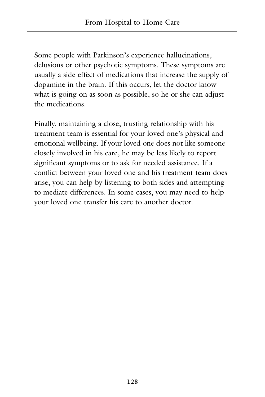Some people with Parkinson's experience hallucinations, delusions or other psychotic symptoms. These symptoms are usually a side effect of medications that increase the supply of dopamine in the brain. If this occurs, let the doctor know what is going on as soon as possible, so he or she can adjust the medications.

Finally, maintaining a close, trusting relationship with his treatment team is essential for your loved one's physical and emotional wellbeing. If your loved one does not like someone closely involved in his care, he may be less likely to report significant symptoms or to ask for needed assistance. If a conflict between your loved one and his treatment team does arise, you can help by listening to both sides and attempting to mediate differences. In some cases, you may need to help your loved one transfer his care to another doctor.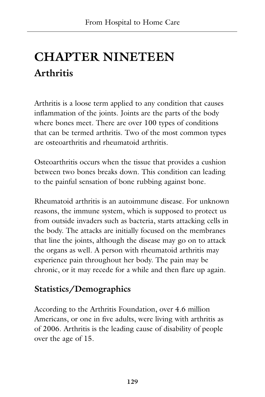## **CHAPTER NINETEEN Arthritis**

Arthritis is a loose term applied to any condition that causes inflammation of the joints. Joints are the parts of the body where bones meet. There are over 100 types of conditions that can be termed arthritis. Two of the most common types are osteoarthritis and rheumatoid arthritis.

Osteoarthritis occurs when the tissue that provides a cushion between two bones breaks down. This condition can leading to the painful sensation of bone rubbing against bone.

Rheumatoid arthritis is an autoimmune disease. For unknown reasons, the immune system, which is supposed to protect us from outside invaders such as bacteria, starts attacking cells in the body. The attacks are initially focused on the membranes that line the joints, although the disease may go on to attack the organs as well. A person with rheumatoid arthritis may experience pain throughout her body. The pain may be chronic, or it may recede for a while and then flare up again.

### **Statistics/Demographics**

According to the Arthritis Foundation, over 4.6 million Americans, or one in five adults, were living with arthritis as of 2006. Arthritis is the leading cause of disability of people over the age of 15.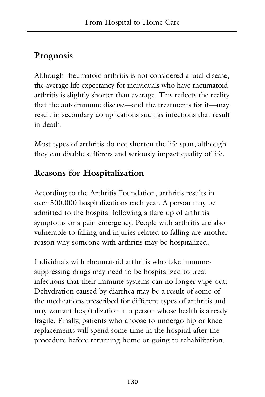## **Prognosis**

Although rheumatoid arthritis is not considered a fatal disease, the average life expectancy for individuals who have rheumatoid arthritis is slightly shorter than average. This reflects the reality that the autoimmune disease—and the treatments for it—may result in secondary complications such as infections that result in death.

Most types of arthritis do not shorten the life span, although they can disable sufferers and seriously impact quality of life.

## **Reasons for Hospitalization**

According to the Arthritis Foundation, arthritis results in over 500,000 hospitalizations each year. A person may be admitted to the hospital following a flare-up of arthritis symptoms or a pain emergency. People with arthritis are also vulnerable to falling and injuries related to falling are another reason why someone with arthritis may be hospitalized.

Individuals with rheumatoid arthritis who take immunesuppressing drugs may need to be hospitalized to treat infections that their immune systems can no longer wipe out. Dehydration caused by diarrhea may be a result of some of the medications prescribed for different types of arthritis and may warrant hospitalization in a person whose health is already fragile. Finally, patients who choose to undergo hip or knee replacements will spend some time in the hospital after the procedure before returning home or going to rehabilitation.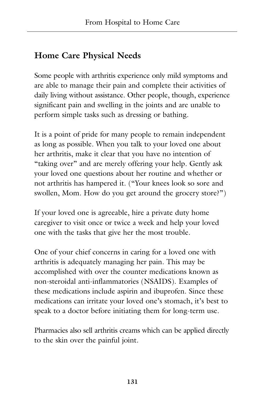#### **Home Care Physical Needs**

Some people with arthritis experience only mild symptoms and are able to manage their pain and complete their activities of daily living without assistance. Other people, though, experience significant pain and swelling in the joints and are unable to perform simple tasks such as dressing or bathing.

It is a point of pride for many people to remain independent as long as possible. When you talk to your loved one about her arthritis, make it clear that you have no intention of "taking over" and are merely offering your help. Gently ask your loved one questions about her routine and whether or not arthritis has hampered it. ("Your knees look so sore and swollen, Mom. How do you get around the grocery store?")

If your loved one is agreeable, hire a private duty home caregiver to visit once or twice a week and help your loved one with the tasks that give her the most trouble.

One of your chief concerns in caring for a loved one with arthritis is adequately managing her pain. This may be accomplished with over the counter medications known as non-steroidal anti-inflammatories (NSAIDS). Examples of these medications include aspirin and ibuprofen. Since these medications can irritate your loved one's stomach, it's best to speak to a doctor before initiating them for long-term use.

Pharmacies also sell arthritis creams which can be applied directly to the skin over the painful joint.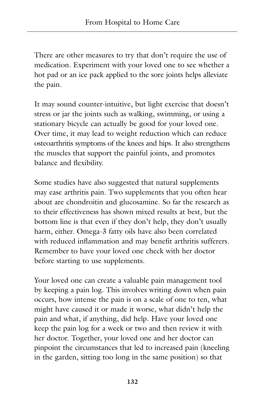There are other measures to try that don't require the use of medication. Experiment with your loved one to see whether a hot pad or an ice pack applied to the sore joints helps alleviate the pain.

It may sound counter-intuitive, but light exercise that doesn't stress or jar the joints such as walking, swimming, or using a stationary bicycle can actually be good for your loved one. Over time, it may lead to weight reduction which can reduce osteoarthritis symptoms of the knees and hips. It also strengthens the muscles that support the painful joints, and promotes balance and flexibility.

Some studies have also suggested that natural supplements may ease arthritis pain. Two supplements that you often hear about are chondroitin and glucosamine. So far the research as to their effectiveness has shown mixed results at best, but the bottom line is that even if they don't help, they don't usually harm, either. Omega-3 fatty oils have also been correlated with reduced inflammation and may benefit arthritis sufferers. Remember to have your loved one check with her doctor before starting to use supplements.

Your loved one can create a valuable pain management tool by keeping a pain log. This involves writing down when pain occurs, how intense the pain is on a scale of one to ten, what might have caused it or made it worse, what didn't help the pain and what, if anything, did help. Have your loved one keep the pain log for a week or two and then review it with her doctor. Together, your loved one and her doctor can pinpoint the circumstances that led to increased pain (kneeling in the garden, sitting too long in the same position) so that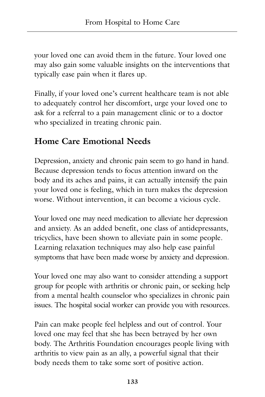your loved one can avoid them in the future. Your loved one may also gain some valuable insights on the interventions that typically ease pain when it flares up.

Finally, if your loved one's current healthcare team is not able to adequately control her discomfort, urge your loved one to ask for a referral to a pain management clinic or to a doctor who specialized in treating chronic pain.

### **Home Care Emotional Needs**

Depression, anxiety and chronic pain seem to go hand in hand. Because depression tends to focus attention inward on the body and its aches and pains, it can actually intensify the pain your loved one is feeling, which in turn makes the depression worse. Without intervention, it can become a vicious cycle.

Your loved one may need medication to alleviate her depression and anxiety. As an added benefit, one class of antidepressants, tricyclics, have been shown to alleviate pain in some people. Learning relaxation techniques may also help ease painful symptoms that have been made worse by anxiety and depression.

Your loved one may also want to consider attending a support group for people with arthritis or chronic pain, or seeking help from a mental health counselor who specializes in chronic pain issues. The hospital social worker can provide you with resources.

Pain can make people feel helpless and out of control. Your loved one may feel that she has been betrayed by her own body. The Arthritis Foundation encourages people living with arthritis to view pain as an ally, a powerful signal that their body needs them to take some sort of positive action.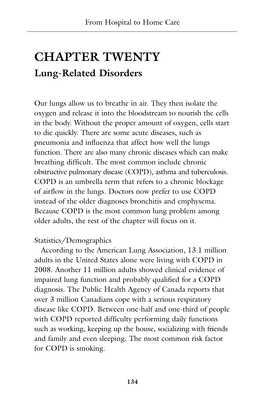## **CHAPTER TWENTY Lung-Related Disorders**

Our lungs allow us to breathe in air. They then isolate the oxygen and release it into the bloodstream to nourish the cells in the body. Without the proper amount of oxygen, cells start to die quickly. There are some acute diseases, such as pneumonia and influenza that affect how well the lungs function. There are also many chronic diseases which can make breathing difficult. The most common include chronic obstructive pulmonary disease (COPD), asthma and tuberculosis. COPD is an umbrella term that refers to a chronic blockage of airflow in the lungs. Doctors now prefer to use COPD instead of the older diagnoses bronchitis and emphysema. Because COPD is the most common lung problem among older adults, the rest of the chapter will focus on it.

#### Statistics/Demographics

According to the American Lung Association, 13.1 million adults in the United States alone were living with COPD in 2008. Another 11 million adults showed clinical evidence of impaired lung function and probably qualified for a COPD diagnosis. The Public Health Agency of Canada reports that over 3 million Canadians cope with a serious respiratory disease like COPD. Between one-half and one-third of people with COPD reported difficulty performing daily functions such as working, keeping up the house, socializing with friends and family and even sleeping. The most common risk factor for COPD is smoking.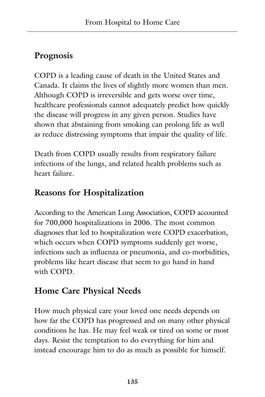## **Prognosis**

COPD is a leading cause of death in the United States and Canada. It claims the lives of slightly more women than men. Although COPD is irreversible and gets worse over time, healthcare professionals cannot adequately predict how quickly the disease will progress in any given person. Studies have shown that abstaining from smoking can prolong life as well as reduce distressing symptoms that impair the quality of life.

Death from COPD usually results from respiratory failure infections of the lungs, and related health problems such as heart failure.

### **Reasons for Hospitalization**

According to the American Lung Association, COPD accounted for 700,000 hospitalizations in 2006. The most common diagnoses that led to hospitalization were COPD exacerbation, which occurs when COPD symptoms suddenly get worse, infections such as influenza or pneumonia, and co-morbidities, problems like heart disease that seem to go hand in hand with COPD.

## **Home Care Physical Needs**

How much physical care your loved one needs depends on how far the COPD has progressed and on many other physical conditions he has. He may feel weak or tired on some or most days. Resist the temptation to do everything for him and instead encourage him to do as much as possible for himself.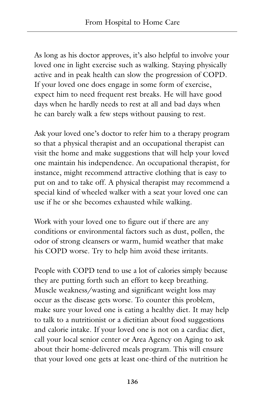As long as his doctor approves, it's also helpful to involve your loved one in light exercise such as walking. Staying physically active and in peak health can slow the progression of COPD. If your loved one does engage in some form of exercise, expect him to need frequent rest breaks. He will have good days when he hardly needs to rest at all and bad days when he can barely walk a few steps without pausing to rest.

Ask your loved one's doctor to refer him to a therapy program so that a physical therapist and an occupational therapist can visit the home and make suggestions that will help your loved one maintain his independence. An occupational therapist, for instance, might recommend attractive clothing that is easy to put on and to take off. A physical therapist may recommend a special kind of wheeled walker with a seat your loved one can use if he or she becomes exhausted while walking.

Work with your loved one to figure out if there are any conditions or environmental factors such as dust, pollen, the odor of strong cleansers or warm, humid weather that make his COPD worse. Try to help him avoid these irritants.

People with COPD tend to use a lot of calories simply because they are putting forth such an effort to keep breathing. Muscle weakness/wasting and significant weight loss may occur as the disease gets worse. To counter this problem, make sure your loved one is eating a healthy diet. It may help to talk to a nutritionist or a dietitian about food suggestions and calorie intake. If your loved one is not on a cardiac diet, call your local senior center or Area Agency on Aging to ask about their home-delivered meals program. This will ensure that your loved one gets at least one-third of the nutrition he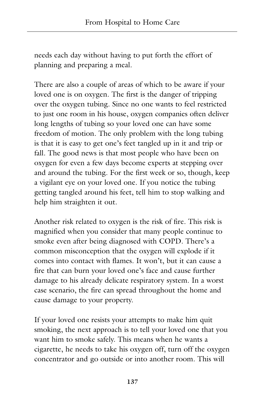needs each day without having to put forth the effort of planning and preparing a meal.

There are also a couple of areas of which to be aware if your loved one is on oxygen. The first is the danger of tripping over the oxygen tubing. Since no one wants to feel restricted to just one room in his house, oxygen companies often deliver long lengths of tubing so your loved one can have some freedom of motion. The only problem with the long tubing is that it is easy to get one's feet tangled up in it and trip or fall. The good news is that most people who have been on oxygen for even a few days become experts at stepping over and around the tubing. For the first week or so, though, keep a vigilant eye on your loved one. If you notice the tubing getting tangled around his feet, tell him to stop walking and help him straighten it out.

Another risk related to oxygen is the risk of fire. This risk is magnified when you consider that many people continue to smoke even after being diagnosed with COPD. There's a common misconception that the oxygen will explode if it comes into contact with flames. It won't, but it can cause a fire that can burn your loved one's face and cause further damage to his already delicate respiratory system. In a worst case scenario, the fire can spread throughout the home and cause damage to your property.

If your loved one resists your attempts to make him quit smoking, the next approach is to tell your loved one that you want him to smoke safely. This means when he wants a cigarette, he needs to take his oxygen off, turn off the oxygen concentrator and go outside or into another room. This will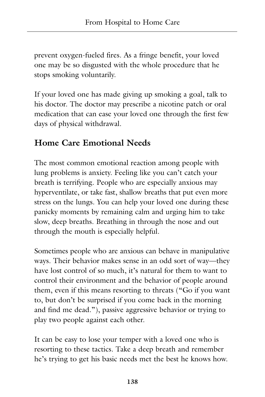prevent oxygen-fueled fires. As a fringe benefit, your loved one may be so disgusted with the whole procedure that he stops smoking voluntarily.

If your loved one has made giving up smoking a goal, talk to his doctor. The doctor may prescribe a nicotine patch or oral medication that can ease your loved one through the first few days of physical withdrawal.

## **Home Care Emotional Needs**

The most common emotional reaction among people with lung problems is anxiety. Feeling like you can't catch your breath is terrifying. People who are especially anxious may hyperventilate, or take fast, shallow breaths that put even more stress on the lungs. You can help your loved one during these panicky moments by remaining calm and urging him to take slow, deep breaths. Breathing in through the nose and out through the mouth is especially helpful.

Sometimes people who are anxious can behave in manipulative ways. Their behavior makes sense in an odd sort of way—they have lost control of so much, it's natural for them to want to control their environment and the behavior of people around them, even if this means resorting to threats ("Go if you want to, but don't be surprised if you come back in the morning and find me dead."), passive aggressive behavior or trying to play two people against each other.

It can be easy to lose your temper with a loved one who is resorting to these tactics. Take a deep breath and remember he's trying to get his basic needs met the best he knows how.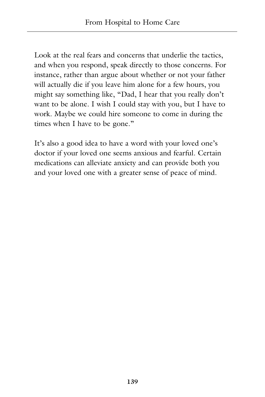Look at the real fears and concerns that underlie the tactics, and when you respond, speak directly to those concerns. For instance, rather than argue about whether or not your father will actually die if you leave him alone for a few hours, you might say something like, "Dad, I hear that you really don't want to be alone. I wish I could stay with you, but I have to work. Maybe we could hire someone to come in during the times when I have to be gone."

It's also a good idea to have a word with your loved one's doctor if your loved one seems anxious and fearful. Certain medications can alleviate anxiety and can provide both you and your loved one with a greater sense of peace of mind.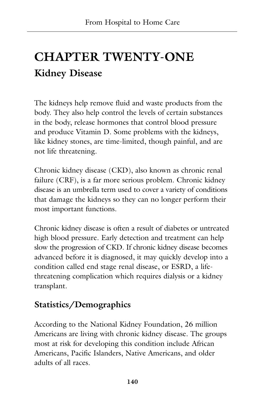# **CHAPTER TWENTY-ONE Kidney Disease**

The kidneys help remove fluid and waste products from the body. They also help control the levels of certain substances in the body, release hormones that control blood pressure and produce Vitamin D. Some problems with the kidneys, like kidney stones, are time-limited, though painful, and are not life threatening.

Chronic kidney disease (CKD), also known as chronic renal failure (CRF), is a far more serious problem. Chronic kidney disease is an umbrella term used to cover a variety of conditions that damage the kidneys so they can no longer perform their most important functions.

Chronic kidney disease is often a result of diabetes or untreated high blood pressure. Early detection and treatment can help slow the progression of CKD. If chronic kidney disease becomes advanced before it is diagnosed, it may quickly develop into a condition called end stage renal disease, or ESRD, a lifethreatening complication which requires dialysis or a kidney transplant.

### **Statistics/Demographics**

According to the National Kidney Foundation, 26 million Americans are living with chronic kidney disease. The groups most at risk for developing this condition include African Americans, Pacific Islanders, Native Americans, and older adults of all races.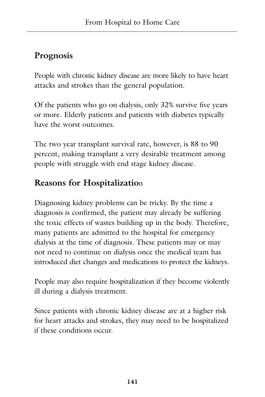## **Prognosis**

People with chronic kidney disease are more likely to have heart attacks and strokes than the general population.

Of the patients who go on dialysis, only 32% survive five years or more. Elderly patients and patients with diabetes typically have the worst outcomes.

The two year transplant survival rate, however, is 88 to 90 percent, making transplant a very desirable treatment among people with struggle with end stage kidney disease.

### **Reasons for Hospitalizatio**n

Diagnosing kidney problems can be tricky. By the time a diagnosis is confirmed, the patient may already be suffering the toxic effects of wastes building up in the body. Therefore, many patients are admitted to the hospital for emergency dialysis at the time of diagnosis. These patients may or may not need to continue on dialysis once the medical team has introduced diet changes and medications to protect the kidneys.

People may also require hospitalization if they become violently ill during a dialysis treatment.

Since patients with chronic kidney disease are at a higher risk for heart attacks and strokes, they may need to be hospitalized if these conditions occur.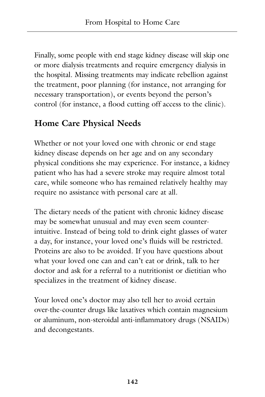Finally, some people with end stage kidney disease will skip one or more dialysis treatments and require emergency dialysis in the hospital. Missing treatments may indicate rebellion against the treatment, poor planning (for instance, not arranging for necessary transportation), or events beyond the person's control (for instance, a flood cutting off access to the clinic).

### **Home Care Physical Needs**

Whether or not your loved one with chronic or end stage kidney disease depends on her age and on any secondary physical conditions she may experience. For instance, a kidney patient who has had a severe stroke may require almost total care, while someone who has remained relatively healthy may require no assistance with personal care at all.

The dietary needs of the patient with chronic kidney disease may be somewhat unusual and may even seem counterintuitive. Instead of being told to drink eight glasses of water a day, for instance, your loved one's fluids will be restricted. Proteins are also to be avoided. If you have questions about what your loved one can and can't eat or drink, talk to her doctor and ask for a referral to a nutritionist or dietitian who specializes in the treatment of kidney disease.

Your loved one's doctor may also tell her to avoid certain over-the-counter drugs like laxatives which contain magnesium or aluminum, non-steroidal anti-inflammatory drugs (NSAIDs) and decongestants.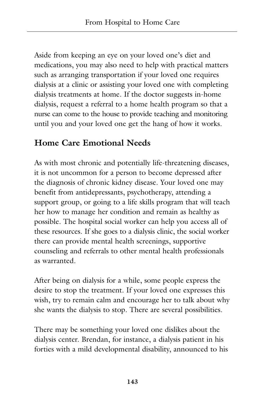Aside from keeping an eye on your loved one's diet and medications, you may also need to help with practical matters such as arranging transportation if your loved one requires dialysis at a clinic or assisting your loved one with completing dialysis treatments at home. If the doctor suggests in-home dialysis, request a referral to a home health program so that a nurse can come to the house to provide teaching and monitoring until you and your loved one get the hang of how it works.

### **Home Care Emotional Needs**

As with most chronic and potentially life-threatening diseases, it is not uncommon for a person to become depressed after the diagnosis of chronic kidney disease. Your loved one may benefit from antidepressants, psychotherapy, attending a support group, or going to a life skills program that will teach her how to manage her condition and remain as healthy as possible. The hospital social worker can help you access all of these resources. If she goes to a dialysis clinic, the social worker there can provide mental health screenings, supportive counseling and referrals to other mental health professionals as warranted.

After being on dialysis for a while, some people express the desire to stop the treatment. If your loved one expresses this wish, try to remain calm and encourage her to talk about why she wants the dialysis to stop. There are several possibilities.

There may be something your loved one dislikes about the dialysis center. Brendan, for instance, a dialysis patient in his forties with a mild developmental disability, announced to his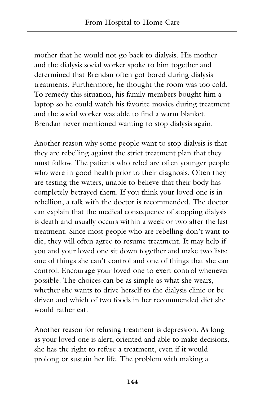mother that he would not go back to dialysis. His mother and the dialysis social worker spoke to him together and determined that Brendan often got bored during dialysis treatments. Furthermore, he thought the room was too cold. To remedy this situation, his family members bought him a laptop so he could watch his favorite movies during treatment and the social worker was able to find a warm blanket. Brendan never mentioned wanting to stop dialysis again.

Another reason why some people want to stop dialysis is that they are rebelling against the strict treatment plan that they must follow. The patients who rebel are often younger people who were in good health prior to their diagnosis. Often they are testing the waters, unable to believe that their body has completely betrayed them. If you think your loved one is in rebellion, a talk with the doctor is recommended. The doctor can explain that the medical consequence of stopping dialysis is death and usually occurs within a week or two after the last treatment. Since most people who are rebelling don't want to die, they will often agree to resume treatment. It may help if you and your loved one sit down together and make two lists: one of things she can't control and one of things that she can control. Encourage your loved one to exert control whenever possible. The choices can be as simple as what she wears, whether she wants to drive herself to the dialysis clinic or be driven and which of two foods in her recommended diet she would rather eat.

Another reason for refusing treatment is depression. As long as your loved one is alert, oriented and able to make decisions, she has the right to refuse a treatment, even if it would prolong or sustain her life. The problem with making a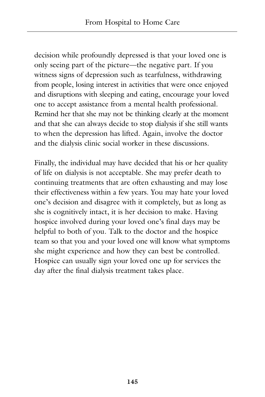decision while profoundly depressed is that your loved one is only seeing part of the picture—the negative part. If you witness signs of depression such as tearfulness, withdrawing from people, losing interest in activities that were once enjoyed and disruptions with sleeping and eating, encourage your loved one to accept assistance from a mental health professional. Remind her that she may not be thinking clearly at the moment and that she can always decide to stop dialysis if she still wants to when the depression has lifted. Again, involve the doctor and the dialysis clinic social worker in these discussions.

Finally, the individual may have decided that his or her quality of life on dialysis is not acceptable. She may prefer death to continuing treatments that are often exhausting and may lose their effectiveness within a few years. You may hate your loved one's decision and disagree with it completely, but as long as she is cognitively intact, it is her decision to make. Having hospice involved during your loved one's final days may be helpful to both of you. Talk to the doctor and the hospice team so that you and your loved one will know what symptoms she might experience and how they can best be controlled. Hospice can usually sign your loved one up for services the day after the final dialysis treatment takes place.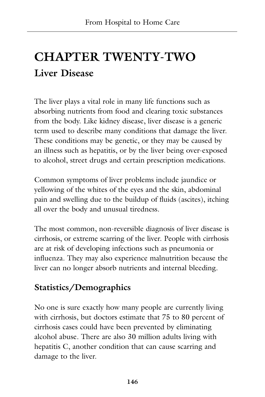# **CHAPTER TWENTY-TWO Liver Disease**

The liver plays a vital role in many life functions such as absorbing nutrients from food and clearing toxic substances from the body. Like kidney disease, liver disease is a generic term used to describe many conditions that damage the liver. These conditions may be genetic, or they may be caused by an illness such as hepatitis, or by the liver being over-exposed to alcohol, street drugs and certain prescription medications.

Common symptoms of liver problems include jaundice or yellowing of the whites of the eyes and the skin, abdominal pain and swelling due to the buildup of fluids (ascites), itching all over the body and unusual tiredness.

The most common, non-reversible diagnosis of liver disease is cirrhosis, or extreme scarring of the liver. People with cirrhosis are at risk of developing infections such as pneumonia or influenza. They may also experience malnutrition because the liver can no longer absorb nutrients and internal bleeding.

## **Statistics/Demographics**

No one is sure exactly how many people are currently living with cirrhosis, but doctors estimate that 75 to 80 percent of cirrhosis cases could have been prevented by eliminating alcohol abuse. There are also 30 million adults living with hepatitis C, another condition that can cause scarring and damage to the liver.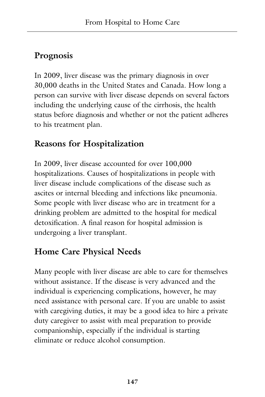## **Prognosis**

In 2009, liver disease was the primary diagnosis in over 30,000 deaths in the United States and Canada. How long a person can survive with liver disease depends on several factors including the underlying cause of the cirrhosis, the health status before diagnosis and whether or not the patient adheres to his treatment plan.

### **Reasons for Hospitalization**

In 2009, liver disease accounted for over 100,000 hospitalizations. Causes of hospitalizations in people with liver disease include complications of the disease such as ascites or internal bleeding and infections like pneumonia. Some people with liver disease who are in treatment for a drinking problem are admitted to the hospital for medical detoxification. A final reason for hospital admission is undergoing a liver transplant.

## **Home Care Physical Needs**

Many people with liver disease are able to care for themselves without assistance. If the disease is very advanced and the individual is experiencing complications, however, he may need assistance with personal care. If you are unable to assist with caregiving duties, it may be a good idea to hire a private duty caregiver to assist with meal preparation to provide companionship, especially if the individual is starting eliminate or reduce alcohol consumption.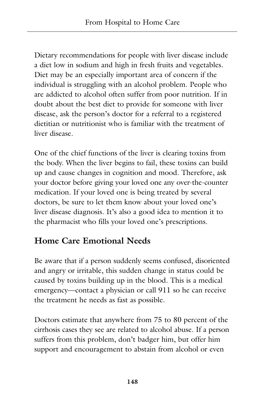Dietary recommendations for people with liver disease include a diet low in sodium and high in fresh fruits and vegetables. Diet may be an especially important area of concern if the individual is struggling with an alcohol problem. People who are addicted to alcohol often suffer from poor nutrition. If in doubt about the best diet to provide for someone with liver disease, ask the person's doctor for a referral to a registered dietitian or nutritionist who is familiar with the treatment of liver disease.

One of the chief functions of the liver is clearing toxins from the body. When the liver begins to fail, these toxins can build up and cause changes in cognition and mood. Therefore, ask your doctor before giving your loved one any over-the-counter medication. If your loved one is being treated by several doctors, be sure to let them know about your loved one's liver disease diagnosis. It's also a good idea to mention it to the pharmacist who fills your loved one's prescriptions.

#### **Home Care Emotional Needs**

Be aware that if a person suddenly seems confused, disoriented and angry or irritable, this sudden change in status could be caused by toxins building up in the blood. This is a medical emergency—contact a physician or call 911 so he can receive the treatment he needs as fast as possible.

Doctors estimate that anywhere from 75 to 80 percent of the cirrhosis cases they see are related to alcohol abuse. If a person suffers from this problem, don't badger him, but offer him support and encouragement to abstain from alcohol or even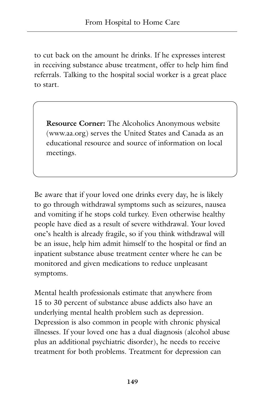to cut back on the amount he drinks. If he expresses interest in receiving substance abuse treatment, offer to help him find referrals. Talking to the hospital social worker is a great place to start.

**Resource Corner:** The Alcoholics Anonymous website (www.aa.org) serves the United States and Canada as an educational resource and source of information on local meetings.

Be aware that if your loved one drinks every day, he is likely to go through withdrawal symptoms such as seizures, nausea and vomiting if he stops cold turkey. Even otherwise healthy people have died as a result of severe withdrawal. Your loved one's health is already fragile, so if you think withdrawal will be an issue, help him admit himself to the hospital or find an inpatient substance abuse treatment center where he can be monitored and given medications to reduce unpleasant symptoms.

Mental health professionals estimate that anywhere from 15 to 30 percent of substance abuse addicts also have an underlying mental health problem such as depression. Depression is also common in people with chronic physical illnesses. If your loved one has a dual diagnosis (alcohol abuse plus an additional psychiatric disorder), he needs to receive treatment for both problems. Treatment for depression can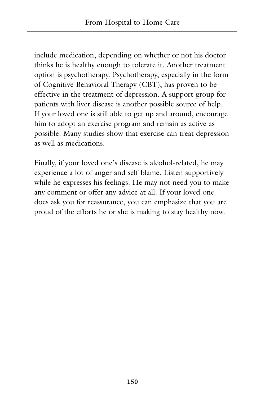include medication, depending on whether or not his doctor thinks he is healthy enough to tolerate it. Another treatment option is psychotherapy. Psychotherapy, especially in the form of Cognitive Behavioral Therapy (CBT), has proven to be effective in the treatment of depression. A support group for patients with liver disease is another possible source of help. If your loved one is still able to get up and around, encourage him to adopt an exercise program and remain as active as possible. Many studies show that exercise can treat depression as well as medications.

Finally, if your loved one's disease is alcohol-related, he may experience a lot of anger and self-blame. Listen supportively while he expresses his feelings. He may not need you to make any comment or offer any advice at all. If your loved one does ask you for reassurance, you can emphasize that you are proud of the efforts he or she is making to stay healthy now.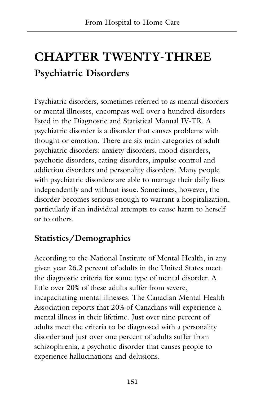# **CHAPTER TWENTY-THREE Psychiatric Disorders**

Psychiatric disorders, sometimes referred to as mental disorders or mental illnesses, encompass well over a hundred disorders listed in the Diagnostic and Statistical Manual IV-TR. A psychiatric disorder is a disorder that causes problems with thought or emotion. There are six main categories of adult psychiatric disorders: anxiety disorders, mood disorders, psychotic disorders, eating disorders, impulse control and addiction disorders and personality disorders. Many people with psychiatric disorders are able to manage their daily lives independently and without issue. Sometimes, however, the disorder becomes serious enough to warrant a hospitalization, particularly if an individual attempts to cause harm to herself or to others.

### **Statistics/Demographics**

According to the National Institute of Mental Health, in any given year 26.2 percent of adults in the United States meet the diagnostic criteria for some type of mental disorder. A little over 20% of these adults suffer from severe, incapacitating mental illnesses. The Canadian Mental Health Association reports that 20% of Canadians will experience a mental illness in their lifetime. Just over nine percent of adults meet the criteria to be diagnosed with a personality disorder and just over one percent of adults suffer from schizophrenia, a psychotic disorder that causes people to experience hallucinations and delusions.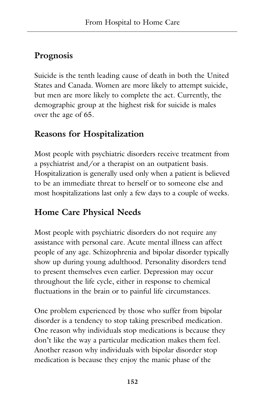### **Prognosis**

Suicide is the tenth leading cause of death in both the United States and Canada. Women are more likely to attempt suicide, but men are more likely to complete the act. Currently, the demographic group at the highest risk for suicide is males over the age of 65.

### **Reasons for Hospitalization**

Most people with psychiatric disorders receive treatment from a psychiatrist and/or a therapist on an outpatient basis. Hospitalization is generally used only when a patient is believed to be an immediate threat to herself or to someone else and most hospitalizations last only a few days to a couple of weeks.

### **Home Care Physical Needs**

Most people with psychiatric disorders do not require any assistance with personal care. Acute mental illness can affect people of any age. Schizophrenia and bipolar disorder typically show up during young adulthood. Personality disorders tend to present themselves even earlier. Depression may occur throughout the life cycle, either in response to chemical fluctuations in the brain or to painful life circumstances.

One problem experienced by those who suffer from bipolar disorder is a tendency to stop taking prescribed medication. One reason why individuals stop medications is because they don't like the way a particular medication makes them feel. Another reason why individuals with bipolar disorder stop medication is because they enjoy the manic phase of the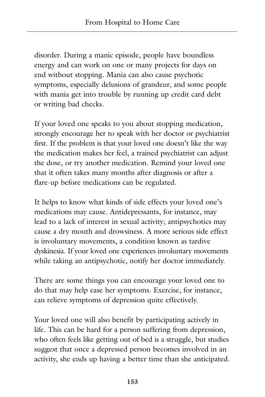disorder. During a manic episode, people have boundless energy and can work on one or many projects for days on end without stopping. Mania can also cause psychotic symptoms, especially delusions of grandeur, and some people with mania get into trouble by running up credit card debt or writing bad checks.

If your loved one speaks to you about stopping medication, strongly encourage her to speak with her doctor or psychiatrist first. If the problem is that your loved one doesn't like the way the medication makes her feel, a trained psychiatrist can adjust the dose, or try another medication. Remind your loved one that it often takes many months after diagnosis or after a flare-up before medications can be regulated.

It helps to know what kinds of side effects your loved one's medications may cause. Antidepressants, for instance, may lead to a lack of interest in sexual activity; antipsychotics may cause a dry mouth and drowsiness. A more serious side effect is involuntary movements, a condition known as tardive dyskinesia. If your loved one experiences involuntary movements while taking an antipsychotic, notify her doctor immediately.

There are some things you can encourage your loved one to do that may help ease her symptoms. Exercise, for instance, can relieve symptoms of depression quite effectively.

Your loved one will also benefit by participating actively in life. This can be hard for a person suffering from depression, who often feels like getting out of bed is a struggle, but studies suggest that once a depressed person becomes involved in an activity, she ends up having a better time than she anticipated.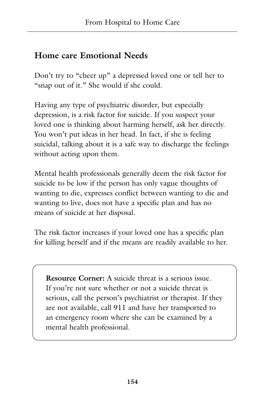### **Home care Emotional Needs**

Don't try to "cheer up" a depressed loved one or tell her to "snap out of it." She would if she could.

Having any type of psychiatric disorder, but especially depression, is a risk factor for suicide. If you suspect your loved one is thinking about harming herself, ask her directly. You won't put ideas in her head. In fact, if she is feeling suicidal, talking about it is a safe way to discharge the feelings without acting upon them.

Mental health professionals generally deem the risk factor for suicide to be low if the person has only vague thoughts of wanting to die, expresses conflict between wanting to die and wanting to live, does not have a specific plan and has no means of suicide at her disposal.

The risk factor increases if your loved one has a specific plan for killing herself and if the means are readily available to her.

**Resource Corner:** A suicide threat is a serious issue. If you're not sure whether or not a suicide threat is serious, call the person's psychiatrist or therapist. If they are not available, call 911 and have her transported to an emergency room where she can be examined by a mental health professional.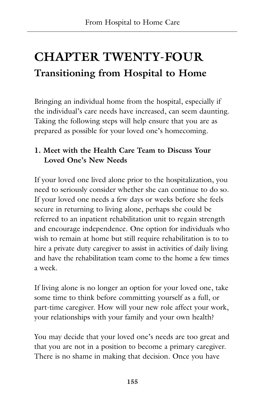## **CHAPTER TWENTY-FOUR Transitioning from Hospital to Home**

Bringing an individual home from the hospital, especially if the individual's care needs have increased, can seem daunting. Taking the following steps will help ensure that you are as prepared as possible for your loved one's homecoming.

#### **1. Meet with the Health Care Team to Discuss Your Loved One's New Needs**

If your loved one lived alone prior to the hospitalization, you need to seriously consider whether she can continue to do so. If your loved one needs a few days or weeks before she feels secure in returning to living alone, perhaps she could be referred to an inpatient rehabilitation unit to regain strength and encourage independence. One option for individuals who wish to remain at home but still require rehabilitation is to to hire a private duty caregiver to assist in activities of daily living and have the rehabilitation team come to the home a few times a week.

If living alone is no longer an option for your loved one, take some time to think before committing yourself as a full, or part-time caregiver. How will your new role affect your work, your relationships with your family and your own health?

You may decide that your loved one's needs are too great and that you are not in a position to become a primary caregiver. There is no shame in making that decision. Once you have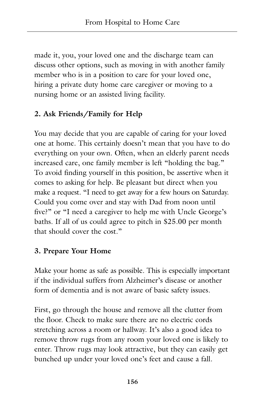made it, you, your loved one and the discharge team can discuss other options, such as moving in with another family member who is in a position to care for your loved one, hiring a private duty home care caregiver or moving to a nursing home or an assisted living facility.

#### **2. Ask Friends/Family for Help**

You may decide that you are capable of caring for your loved one at home. This certainly doesn't mean that you have to do everything on your own. Often, when an elderly parent needs increased care, one family member is left "holding the bag." To avoid finding yourself in this position, be assertive when it comes to asking for help. Be pleasant but direct when you make a request. "I need to get away for a few hours on Saturday. Could you come over and stay with Dad from noon until five?" or "I need a caregiver to help me with Uncle George's baths. If all of us could agree to pitch in \$25.00 per month that should cover the cost."

#### **3. Prepare Your Home**

Make your home as safe as possible. This is especially important if the individual suffers from Alzheimer's disease or another form of dementia and is not aware of basic safety issues.

First, go through the house and remove all the clutter from the floor. Check to make sure there are no electric cords stretching across a room or hallway. It's also a good idea to remove throw rugs from any room your loved one is likely to enter. Throw rugs may look attractive, but they can easily get bunched up under your loved one's feet and cause a fall.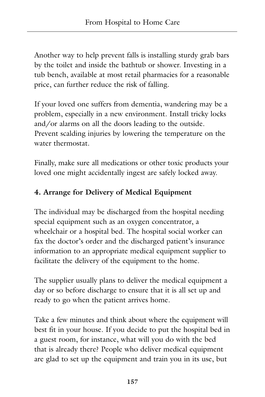Another way to help prevent falls is installing sturdy grab bars by the toilet and inside the bathtub or shower. Investing in a tub bench, available at most retail pharmacies for a reasonable price, can further reduce the risk of falling.

If your loved one suffers from dementia, wandering may be a problem, especially in a new environment. Install tricky locks and/or alarms on all the doors leading to the outside. Prevent scalding injuries by lowering the temperature on the water thermostat.

Finally, make sure all medications or other toxic products your loved one might accidentally ingest are safely locked away.

#### **4. Arrange for Delivery of Medical Equipment**

The individual may be discharged from the hospital needing special equipment such as an oxygen concentrator, a wheelchair or a hospital bed. The hospital social worker can fax the doctor's order and the discharged patient's insurance information to an appropriate medical equipment supplier to facilitate the delivery of the equipment to the home.

The supplier usually plans to deliver the medical equipment a day or so before discharge to ensure that it is all set up and ready to go when the patient arrives home.

Take a few minutes and think about where the equipment will best fit in your house. If you decide to put the hospital bed in a guest room, for instance, what will you do with the bed that is already there? People who deliver medical equipment are glad to set up the equipment and train you in its use, but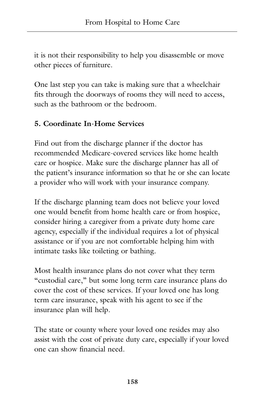it is not their responsibility to help you disassemble or move other pieces of furniture.

One last step you can take is making sure that a wheelchair fits through the doorways of rooms they will need to access, such as the bathroom or the bedroom.

#### **5. Coordinate In-Home Services**

Find out from the discharge planner if the doctor has recommended Medicare-covered services like home health care or hospice. Make sure the discharge planner has all of the patient's insurance information so that he or she can locate a provider who will work with your insurance company.

If the discharge planning team does not believe your loved one would benefit from home health care or from hospice, consider hiring a caregiver from a private duty home care agency, especially if the individual requires a lot of physical assistance or if you are not comfortable helping him with intimate tasks like toileting or bathing.

Most health insurance plans do not cover what they term "custodial care," but some long term care insurance plans do cover the cost of these services. If your loved one has long term care insurance, speak with his agent to see if the insurance plan will help.

The state or county where your loved one resides may also assist with the cost of private duty care, especially if your loved one can show financial need.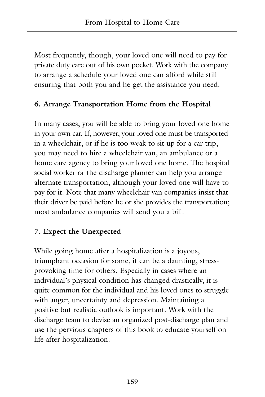Most frequently, though, your loved one will need to pay for private duty care out of his own pocket. Work with the company to arrange a schedule your loved one can afford while still ensuring that both you and he get the assistance you need.

#### **6. Arrange Transportation Home from the Hospital**

In many cases, you will be able to bring your loved one home in your own car. If, however, your loved one must be transported in a wheelchair, or if he is too weak to sit up for a car trip, you may need to hire a wheelchair van, an ambulance or a home care agency to bring your loved one home. The hospital social worker or the discharge planner can help you arrange alternate transportation, although your loved one will have to pay for it. Note that many wheelchair van companies insist that their driver be paid before he or she provides the transportation; most ambulance companies will send you a bill.

#### **7. Expect the Unexpected**

While going home after a hospitalization is a joyous, triumphant occasion for some, it can be a daunting, stressprovoking time for others. Especially in cases where an individual's physical condition has changed drastically, it is quite common for the individual and his loved ones to struggle with anger, uncertainty and depression. Maintaining a positive but realistic outlook is important. Work with the discharge team to devise an organized post-discharge plan and use the pervious chapters of this book to educate yourself on life after hospitalization.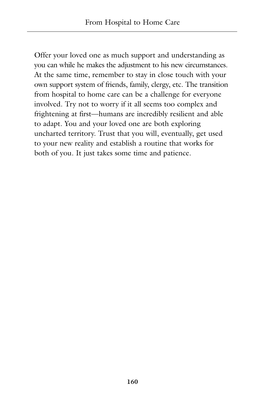Offer your loved one as much support and understanding as you can while he makes the adjustment to his new circumstances. At the same time, remember to stay in close touch with your own support system of friends, family, clergy, etc. The transition from hospital to home care can be a challenge for everyone involved. Try not to worry if it all seems too complex and frightening at first—humans are incredibly resilient and able to adapt. You and your loved one are both exploring uncharted territory. Trust that you will, eventually, get used to your new reality and establish a routine that works for both of you. It just takes some time and patience.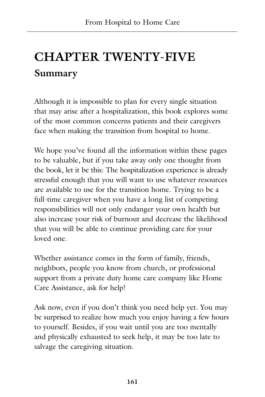# **CHAPTER TWENTY-FIVE Summary**

Although it is impossible to plan for every single situation that may arise after a hospitalization, this book explores some of the most common concerns patients and their caregivers face when making the transition from hospital to home.

We hope you've found all the information within these pages to be valuable, but if you take away only one thought from the book, let it be this: The hospitalization experience is already stressful enough that you will want to use whatever resources are available to use for the transition home. Trying to be a full-time caregiver when you have a long list of competing responsibilities will not only endanger your own health but also increase your risk of burnout and decrease the likelihood that you will be able to continue providing care for your loved one.

Whether assistance comes in the form of family, friends, neighbors, people you know from church, or professional support from a private duty home care company like Home Care Assistance, ask for help!

Ask now, even if you don't think you need help yet. You may be surprised to realize how much you enjoy having a few hours to yourself. Besides, if you wait until you are too mentally and physically exhausted to seek help, it may be too late to salvage the caregiving situation.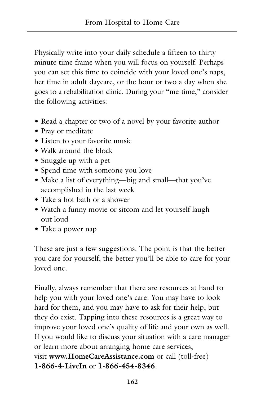Physically write into your daily schedule a fifteen to thirty minute time frame when you will focus on yourself. Perhaps you can set this time to coincide with your loved one's naps, her time in adult daycare, or the hour or two a day when she goes to a rehabilitation clinic. During your "me-time," consider the following activities:

- Read a chapter or two of a novel by your favorite author
- Pray or meditate
- Listen to your favorite music
- Walk around the block
- Snuggle up with a pet
- Spend time with someone you love
- Make a list of everything—big and small—that you've accomplished in the last week
- Take a hot bath or a shower
- Watch a funny movie or sitcom and let yourself laugh out loud
- Take a power nap

These are just a few suggestions. The point is that the better you care for yourself, the better you'll be able to care for your loved one.

Finally, always remember that there are resources at hand to help you with your loved one's care. You may have to look hard for them, and you may have to ask for their help, but they do exist. Tapping into these resources is a great way to improve your loved one's quality of life and your own as well. If you would like to discuss your situation with a care manager or learn more about arranging home care services, visit **www.HomeCareAssistance.com** or call (toll-free) **1-866-4-LiveIn** or **1-866-454-8346**.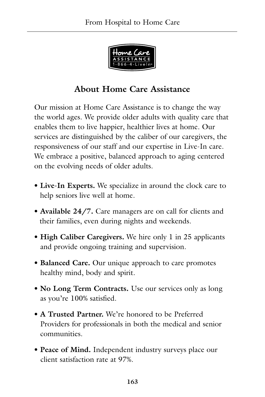

#### **About Home Care Assistance**

Our mission at Home Care Assistance is to change the way the world ages. We provide older adults with quality care that enables them to live happier, healthier lives at home. Our services are distinguished by the caliber of our caregivers, the responsiveness of our staff and our expertise in Live-In care. We embrace a positive, balanced approach to aging centered on the evolving needs of older adults.

- **• Live-In Experts.** We specialize in around the clock care to help seniors live well at home.
- **• Available 24/7.** Care managers are on call for clients and their families, even during nights and weekends.
- **• High Caliber Caregivers.** We hire only 1 in 25 applicants and provide ongoing training and supervision.
- **• Balanced Care.** Our unique approach to care promotes healthy mind, body and spirit.
- **• No Long Term Contracts.** Use our services only as long as you're 100% satisfied.
- **• A Trusted Partner.** We're honored to be Preferred Providers for professionals in both the medical and senior communities.
- **• Peace of Mind.** Independent industry surveys place our client satisfaction rate at 97%.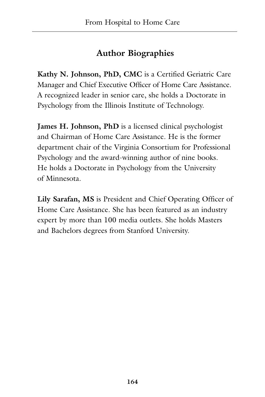#### **Author Biographies**

**Kathy N. Johnson, PhD, CMC** is a Certified Geriatric Care Manager and Chief Executive Officer of Home Care Assistance. A recognized leader in senior care, she holds a Doctorate in Psychology from the Illinois Institute of Technology.

**James H. Johnson, PhD** is a licensed clinical psychologist and Chairman of Home Care Assistance. He is the former department chair of the Virginia Consortium for Professional Psychology and the award-winning author of nine books. He holds a Doctorate in Psychology from the University of Minnesota.

**Lily Sarafan, MS** is President and Chief Operating Officer of Home Care Assistance. She has been featured as an industry expert by more than 100 media outlets. She holds Masters and Bachelors degrees from Stanford University.